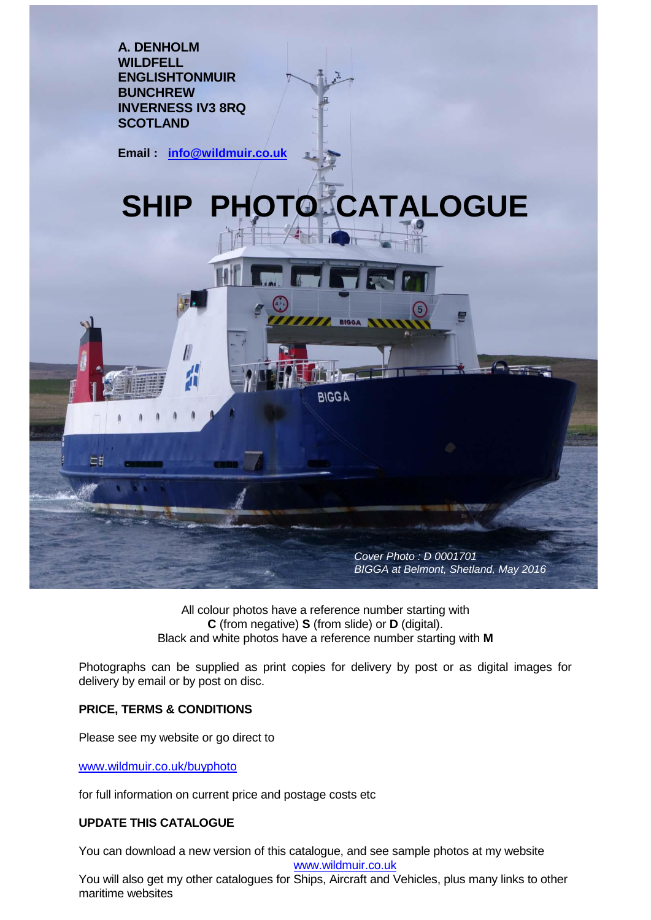

All colour photos have a reference number starting with **C** (from negative) **S** (from slide) or **D** (digital). Black and white photos have a reference number starting with **M**

Photographs can be supplied as print copies for delivery by post or as digital images for delivery by email or by post on disc.

## **PRICE, TERMS & CONDITIONS**

Please see my website or go direct to

www.wildmuir.co.uk/buyphoto

for full information on current price and postage costs etc

## **UPDATE THIS CATALOGUE**

You can download a new version of this catalogue, and see sample photos at my website

[www.wildmuir.co.uk](http://www.wildmuir.co.uk/)

You will also get my other catalogues for Ships, Aircraft and Vehicles, plus many links to other maritime websites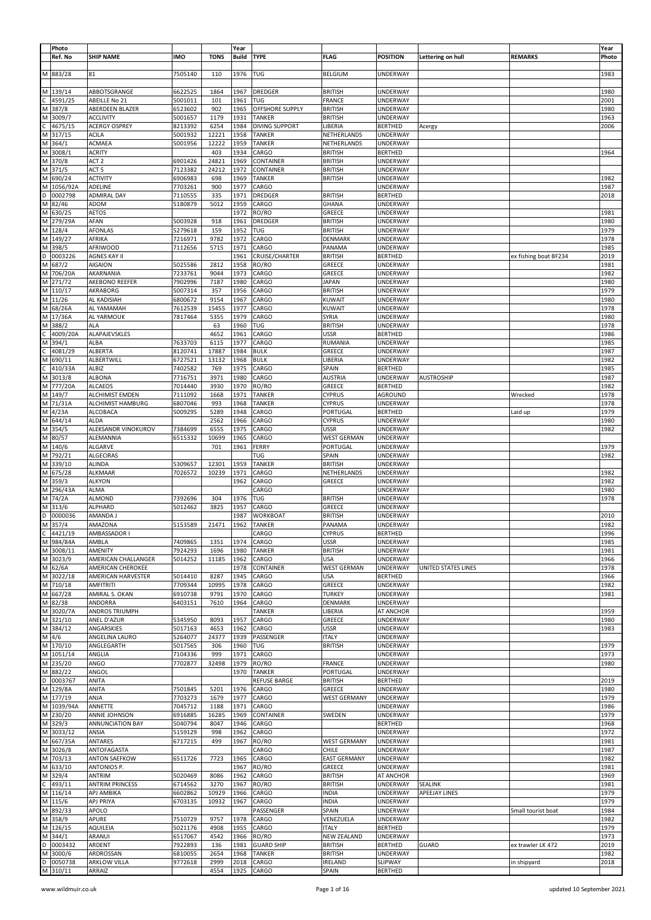|   | Photo     |                        |            |             | Year         |                   |                     |                 |                     |                       | Year  |
|---|-----------|------------------------|------------|-------------|--------------|-------------------|---------------------|-----------------|---------------------|-----------------------|-------|
|   | Ref. No   | <b>SHIP NAME</b>       | <b>IMO</b> | <b>TONS</b> | <b>Build</b> | <b>TYPE</b>       | <b>FLAG</b>         | <b>POSITION</b> | Lettering on hull   | <b>REMARKS</b>        | Photo |
|   |           |                        |            |             |              |                   |                     |                 |                     |                       |       |
|   |           | 81                     | 7505140    |             | 1976         |                   |                     | <b>UNDERWAY</b> |                     |                       | 1983  |
|   | 883/28    |                        |            | 110         |              | TUG               | <b>BELGIUM</b>      |                 |                     |                       |       |
|   |           |                        |            |             |              |                   |                     |                 |                     |                       |       |
| M | 139/14    | ABBOTSGRANGE           | 6622525    | 1864        | 1967         | <b>DREDGER</b>    | <b>BRITISH</b>      | UNDERWAY        |                     |                       | 1980  |
|   | 4591/25   | ABEILLE No 21          | 5001011    | 101         | 1961         | TUG               | <b>FRANCE</b>       | UNDERWAY        |                     |                       | 2001  |
| M | 387/8     | ABERDEEN BLAZER        | 6523602    | 902         | 1965         | OFFSHORE SUPPLY   | <b>BRITISH</b>      | UNDERWAY        |                     |                       | 1980  |
|   |           | <b>ACCLIVITY</b>       |            |             |              |                   |                     |                 |                     |                       |       |
| М | 3009/7    |                        | 5001657    | 1179        | 1931         | <b>TANKER</b>     | <b>BRITISH</b>      | <b>UNDERWAY</b> |                     |                       | 1963  |
|   | 4675/15   | ACERGY OSPREY          | 8213392    | 6254        | 1984         | DIVING SUPPORT    | LIBERIA             | <b>BERTHED</b>  | Acergy              |                       | 2006  |
| М | 317/15    | <b>ACILA</b>           | 5001932    | 12221       | 1958         | TANKER            | NETHERLANDS         | UNDERWAY        |                     |                       |       |
| М | 364/1     | <b>ACMAEA</b>          | 5001956    | 12222       | 1959         | <b>TANKER</b>     | NETHERLANDS         | UNDERWAY        |                     |                       |       |
| M | 3008/1    | <b>ACRITY</b>          |            | 403         | 1934         | CARGO             | <b>BRITISH</b>      | <b>BERTHED</b>  |                     |                       | 1964  |
|   |           |                        |            |             |              |                   |                     |                 |                     |                       |       |
| M | 370/8     | ACT <sub>2</sub>       | 6901426    | 24821       | 1969         | CONTAINER         | <b>BRITISH</b>      | <b>UNDERWAY</b> |                     |                       |       |
| M | 371/5     | ACT <sub>5</sub>       | 7123382    | 24212       | 1972         | CONTAINER         | <b>BRITISH</b>      | UNDERWAY        |                     |                       |       |
| M | 690/24    | <b>ACTIVITY</b>        | 6906983    | 698         | 1969         | <b>TANKER</b>     | <b>BRITISH</b>      | UNDERWAY        |                     |                       | 1982  |
| м | 1056/92A  | ADELINE                | 7703261    | 900         | 1977         | CARGO             |                     | UNDERWAY        |                     |                       | 1987  |
| D | 0002798   | <b>ADMIRAL DAY</b>     |            |             | 1971         | DREDGER           | <b>BRITISH</b>      |                 |                     |                       | 2018  |
|   |           |                        | 7110555    | 335         |              |                   |                     | <b>BERTHED</b>  |                     |                       |       |
| M | 82/46     | ADOM                   | 5180879    | 5012        | 1959         | CARGO             | GHANA               | <b>UNDERWAY</b> |                     |                       |       |
| M | 630/25    | AETOS                  |            |             | 1972         | RO/RO             | GREECE              | UNDERWAY        |                     |                       | 1981  |
| M | 279/29A   | AFAN                   | 5003928    | 918         | 1961         | DREDGER           | <b>BRITISH</b>      | UNDERWAY        |                     |                       | 1980  |
| М | 128/4     | <b>AFONLAS</b>         | 5279618    | 159         | 1952         | TUG               | <b>BRITISH</b>      | UNDERWAY        |                     |                       | 1979  |
|   | 149/27    | AFRIKA                 | 7216971    | 9782        | 1972         | CARGO             | DENMARK             | UNDERWAY        |                     |                       | 1978  |
| М |           |                        |            |             |              |                   |                     |                 |                     |                       |       |
| M | 398/5     | AFRIWOOD               | 7112656    | 5715        | 1971         | CARGO             | PANAMA              | UNDERWAY        |                     |                       | 1985  |
| D | 0003226   | AGNES KAY II           |            |             | 1961         | CRUISE/CHARTER    | <b>BRITISH</b>      | <b>BERTHED</b>  |                     | ex fishing boat BF234 | 2019  |
| M | 687/2     | AIGAION                | 5025586    | 2812        | 1958         | RO/RO             | GREECE              | UNDERWAY        |                     |                       | 1981  |
| M | 706/20A   | AKARNANIA              | 7233761    | 9044        | 1973         | CARGO             | GREECE              | UNDERWAY        |                     |                       | 1982  |
|   |           | AKEBONO REEFER         |            |             |              |                   |                     |                 |                     |                       |       |
| М | 271/72    |                        | 7902996    | 7187        | 1980         | CARGO             | <b>JAPAN</b>        | <b>UNDERWAY</b> |                     |                       | 1980  |
| M | 110/17    | AKRABORG               | 5007314    | 357         | 1956         | CARGO             | <b>BRITISH</b>      | UNDERWAY        |                     |                       | 1979  |
| M | 11/26     | AL KADISIAH            | 6800672    | 9154        | 1967         | CARGO             | <b>KUWAIT</b>       | UNDERWAY        |                     |                       | 1980  |
| Μ | 68/26A    | AL YAMAMAH             | 7612539    | 15455       | 1977         | CARGO             | <b>KUWAIT</b>       | UNDERWAY        |                     |                       | 1978  |
| M | 17/36A    | AL YARMOUK             | 7817464    | 5355        | 1979         | CARGO             | SYRIA               | UNDERWAY        |                     |                       | 1980  |
|   |           |                        |            |             |              |                   |                     |                 |                     |                       |       |
| M | 388/2     | ALA                    |            | 63          | 1960         | TUG               | <b>BRITISH</b>      | UNDERWAY        |                     |                       | 1978  |
|   | 4009/20A  | ALAPAJEVSKLES          |            | 4652        | 1961         | CARGO             | <b>USSR</b>         | <b>BERTHED</b>  |                     |                       | 1986  |
| М | 394/1     | ALBA                   | 7633703    | 6115        | 1977         | CARGO             | RUMANIA             | UNDERWAY        |                     |                       | 1985  |
|   | 4081/29   | ALBERTA                | 8120741    | 17887       | 1984         | <b>BULK</b>       | GREECE              | <b>UNDERWAY</b> |                     |                       | 1987  |
|   | 690/11    | ALBERTWILL             | 6727521    | 13132       | 1968         | <b>BULK</b>       | LIBERIA             | UNDERWAY        |                     |                       | 1982  |
|   |           |                        |            |             |              |                   |                     |                 |                     |                       |       |
|   | 410/33A   | ALBIZ                  | 7402582    | 769         | 1975         | CARGO             | SPAIN               | <b>BERTHED</b>  |                     |                       | 1985  |
| М | 3013/8    | <b>ALBONA</b>          | 7716751    | 3971        | 1980         | CARGO             | <b>AUSTRIA</b>      | UNDERWAY        | <b>AUSTROSHIP</b>   |                       | 1987  |
| М | 777/20A   | <b>ALCAEOS</b>         | 7014440    | 3930        | 1970         | RO/RO             | GREECE              | <b>BERTHED</b>  |                     |                       | 1982  |
| M | 149/7     | ALCHIMIST EMDEN        | 7111092    | 1668        | 1971         | TANKER            | <b>CYPRUS</b>       | AGROUND         |                     | Wrecked               | 1978  |
|   | M 71/31A  | ALCHIMIST HAMBURG      | 6807046    | 993         | 1968         | TANKER            | <b>CYPRUS</b>       | UNDERWAY        |                     |                       | 1978  |
|   |           |                        |            |             |              |                   |                     |                 |                     |                       |       |
| M | 4/23A     | ALCOBACA               | 5009295    | 5289        | 1948         | CARGO             | PORTUGAL            | <b>BERTHED</b>  |                     | Laid up               | 1979  |
| М | 644/14    | <b>ALDA</b>            |            | 2562        | 1966         | CARGO             | <b>CYPRUS</b>       | UNDERWAY        |                     |                       | 1980  |
| M | 354/5     | ALEKSANDR VINOKUROV    | 7384699    | 6555        | 1975         | CARGO             | <b>USSR</b>         | <b>UNDERWAY</b> |                     |                       | 1982  |
| M | 80/57     | ALEMANNIA              | 6515332    | 10699       | 1965         | CARGO             | <b>WEST GERMAN</b>  | UNDERWAY        |                     |                       |       |
| M | 140/6     | ALGARVE                |            |             | 1961         |                   |                     |                 |                     |                       |       |
|   |           |                        |            | 701         |              | FERRY             | PORTUGAL            | UNDERWAY        |                     |                       | 1979  |
| M | 792/21    | <b>ALGECIRAS</b>       |            |             |              | TUG               | SPAIN               | UNDERWAY        |                     |                       | 1982  |
| M | 339/10    | <b>ALINDA</b>          | 5309657    | 12301       | 1959         | TANKER            | <b>BRITISH</b>      | UNDERWAY        |                     |                       |       |
| М | 675/28    | <b>ALKMAAR</b>         | 7026572    | 10239       | 1971         | CARGO             | NETHERLANDS         | UNDERWAY        |                     |                       | 1982  |
| М | 359/3     | <b>ALKYON</b>          |            |             | 1962         | CARGO             | GREECE              | UNDERWAY        |                     |                       | 1982  |
| M | 296/43A   | ALMA                   |            |             |              | CARGO             |                     | UNDERWAY        |                     |                       | 1980  |
|   |           |                        |            |             |              |                   |                     |                 |                     |                       |       |
| М | 74/2A     | <b>ALMOND</b>          | 7392696    | 304         | 1976         | TUG               | <b>BRITISH</b>      | <b>UNDERWAY</b> |                     |                       | 1978  |
| M | 313/6     | ALPHARD                | 5012462    | 3825        | 1957         | CARGO             | GREECE              | UNDERWAY        |                     |                       |       |
| D | 0000036   | AMANDA J               |            |             | 1987         | <b>WORKBOAT</b>   | <b>BRITISH</b>      | UNDERWAY        |                     |                       | 2010  |
| M | 357/4     | AMAZONA                | 5153589    | 21471       | 1962         | <b>TANKER</b>     | PANAMA              | UNDERWAY        |                     |                       | 1982  |
|   | 4421/19   | AMBASSADOR I           |            |             |              | CARGO             | <b>CYPRUS</b>       | <b>BERTHED</b>  |                     |                       | 1996  |
|   | M 984/84A |                        |            |             |              |                   |                     |                 |                     |                       |       |
|   |           | AMBLA                  | 7409865    | 1351        | 1974         | CARGO             | <b>USSR</b>         | UNDERWAY        |                     |                       | 1985  |
|   | M 3008/11 | AMENITY                | 7924293    | 1696        | 1980         | <b>TANKER</b>     | <b>BRITISH</b>      | <b>UNDERWAY</b> |                     |                       | 1981  |
| M | 3023/9    | AMERICAN CHALLANGER    | 5014252    | 11185       | 1962         | CARGO             | <b>USA</b>          | UNDERWAY        |                     |                       | 1966  |
|   | M 62/6A   | AMERICAN CHEROKEE      |            |             | 1978         | CONTAINER         | <b>WEST GERMAN</b>  | <b>UNDERWAY</b> | UNITED STATES LINES |                       | 1978  |
|   | M 3022/18 | AMERICAN HARVESTER     | 5014410    | 8287        | 1945         | CARGO             | <b>USA</b>          | <b>BERTHED</b>  |                     |                       | 1966  |
|   | M 710/18  | AMFITRITI              | 7709344    | 10995       | 1978         | CARGO             | GREECE              | UNDERWAY        |                     |                       | 1982  |
|   |           |                        |            |             |              |                   |                     |                 |                     |                       |       |
|   | M 667/28  | AMIRAL S. OKAN         | 6910738    | 9791        | 1970         | CARGO             | <b>TURKEY</b>       | UNDERWAY        |                     |                       | 1981  |
|   | M 82/38   | ANDORRA                | 6403151    | 7610        | 1964         | CARGO             | DENMARK             | <b>UNDERWAY</b> |                     |                       |       |
|   | M 3020/7A | ANDROS TRIUMPH         |            |             |              | <b>TANKER</b>     | LIBERIA             | AT ANCHOR       |                     |                       | 1959  |
|   | M 321/10  | ANEL D'AZUR            | 5345950    | 8093        | 1957         | CARGO             | GREECE              | UNDERWAY        |                     |                       | 1980  |
| M | 384/12    | ANGARSKIES             | 5017163    | 4653        | 1962         | CARGO             | <b>USSR</b>         | UNDERWAY        |                     |                       | 1983  |
|   | M 4/6     | ANGELINA LAURO         | 5264077    | 24377       | 1939         | PASSENGER         | <b>ITALY</b>        | UNDERWAY        |                     |                       |       |
|   |           |                        |            |             |              |                   |                     |                 |                     |                       |       |
|   | M 170/10  | ANGLEGARTH             | 5017565    | 306         | 1960         | TUG               | <b>BRITISH</b>      | UNDERWAY        |                     |                       | 1979  |
| M | 1051/14   | ANGLIA                 | 7104336    | 999         | 1971         | CARGO             |                     | UNDERWAY        |                     |                       | 1973  |
|   | M 235/20  | ANGO                   | 7702877    | 32498       | 1979         | RO/RO             | <b>FRANCE</b>       | <b>UNDERWAY</b> |                     |                       | 1980  |
|   | M 882/22  | ANGOL                  |            |             | 1970         | <b>TANKER</b>     | PORTUGAL            | <b>UNDERWAY</b> |                     |                       |       |
| D | 0003767   | ANITA                  |            |             |              | REFUSE BARGE      | <b>BRITISH</b>      | <b>BERTHED</b>  |                     |                       | 2019  |
|   | M 129/8A  | ANITA                  | 7501845    | 5201        | 1976         | CARGO             | GREECE              |                 |                     |                       | 1980  |
|   |           |                        |            |             |              |                   |                     | <b>UNDERWAY</b> |                     |                       |       |
| M | 177/19    | ANJA                   | 7703273    | 1679        | 1977         | CARGO             | <b>WEST GERMANY</b> | UNDERWAY        |                     |                       | 1979  |
| M | 1039/94A  | ANNETTE                | 7045712    | 1188        | 1971         | CARGO             |                     | UNDERWAY        |                     |                       | 1986  |
| M | 230/20    | ANNIE JOHNSON          | 6916885    | 16285       | 1969         | CONTAINER         | SWEDEN              | UNDERWAY        |                     |                       | 1979  |
|   | M 329/3   | ANNUNCIATION BAY       | 5040794    | 8047        | 1946         | CARGO             |                     | <b>BERTHED</b>  |                     |                       | 1968  |
|   | M 3033/12 | ANSIA                  | 5159129    | 998         | 1962         | CARGO             |                     | UNDERWAY        |                     |                       | 1972  |
|   | M 667/35A | ANTARES                | 6717215    | 499         | 1967         | RO/RO             | <b>WEST GERMANY</b> | UNDERWAY        |                     |                       | 1981  |
|   |           |                        |            |             |              |                   |                     |                 |                     |                       |       |
| M | 3026/8    | ANTOFAGASTA            |            |             |              | CARGO             | CHILE               | UNDERWAY        |                     |                       | 1987  |
|   | M 703/13  | <b>ANTON SAEFKOW</b>   | 6511726    | 7723        | 1965         | CARGO             | <b>EAST GERMANY</b> | <b>UNDERWAY</b> |                     |                       | 1982  |
|   | M 633/10  | ANTONIOS P.            |            |             | 1967         | RO/RO             | GREECE              | UNDERWAY        |                     |                       | 1981  |
| M | 329/4     | ANTRIM                 | 5020469    | 8086        | 1962         | CARGO             | <b>BRITISH</b>      | AT ANCHOR       |                     |                       | 1969  |
| C | 493/11    | <b>ANTRIM PRINCESS</b> | 6714562    | 3270        | 1967         | RO/RO             | <b>BRITISH</b>      | <b>UNDERWAY</b> | <b>SEALINK</b>      |                       | 1981  |
|   | M 116/14  | APJ AMBIKA             | 6602862    | 10929       | 1966         | CARGO             | <b>INDIA</b>        | <b>UNDERWAY</b> | APEEJAY LINES       |                       | 1979  |
|   | M 115/6   |                        |            |             |              |                   | <b>INDIA</b>        |                 |                     |                       |       |
|   |           | APJ PRIYA              | 6703135    | 10932       | 1967         | CARGO             |                     | UNDERWAY        |                     |                       | 1979  |
|   | M 892/33  | APOLO                  |            |             |              | PASSENGER         | SPAIN               | UNDERWAY        |                     | Small tourist boat    | 1984  |
|   | M 358/9   | APURE                  | 7510729    | 9757        | 1978         | CARGO             | VENEZUELA           | <b>UNDERWAY</b> |                     |                       | 1982  |
|   | M 126/15  | AQUILEIA               | 5021176    | 4908        | 1955         | CARGO             | <b>ITALY</b>        | <b>BERTHED</b>  |                     |                       | 1979  |
| M | 344/1     | ARANUI                 | 6517067    | 4542        | 1966         | RO/RO             | <b>NEW ZEALAND</b>  | UNDERWAY        |                     |                       | 1973  |
| D | 0003432   | ARDENT                 | 7922893    | 136         | 1981         | <b>GUARD SHIP</b> | <b>BRITISH</b>      | <b>BERTHED</b>  | <b>GUARD</b>        | ex trawler LK 472     | 2019  |
| M | 3000/6    | ARDROSSAN              | 6810055    | 2654        | 1968         | <b>TANKER</b>     | <b>BRITISH</b>      | UNDERWAY        |                     |                       | 1982  |
| D | 0050738   | ARKLOW VILLA           | 9772618    | 2999        | 2018         | CARGO             | <b>IRELAND</b>      | SLIPWAY         |                     | in shipyard           | 2018  |
|   | M 310/11  | ARRAIZ                 |            | 4554        | 1925         | CARGO             | SPAIN               | <b>BERTHED</b>  |                     |                       |       |
|   |           |                        |            |             |              |                   |                     |                 |                     |                       |       |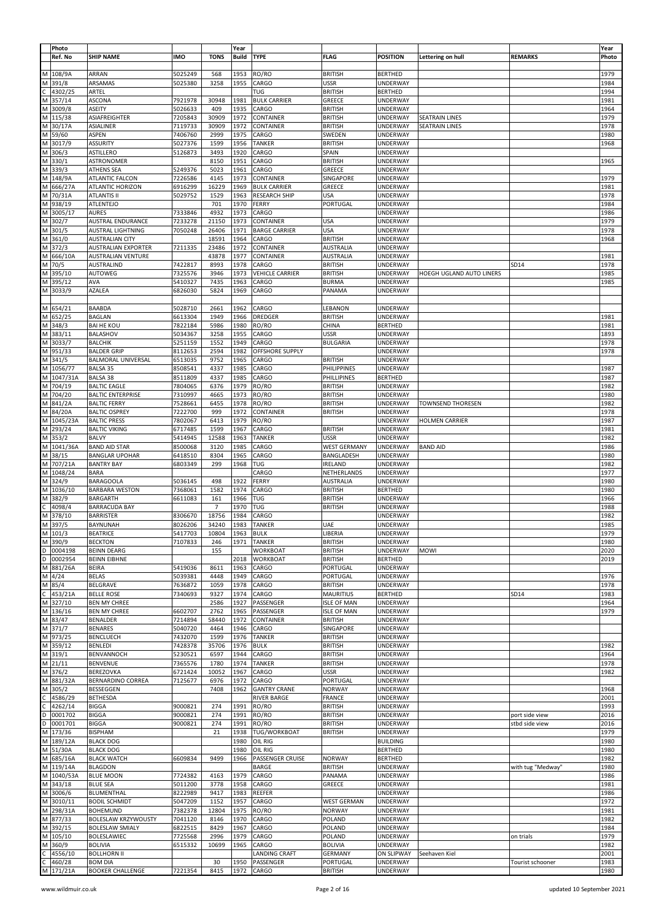|   | Photo     |                            |            |                | Year         |                      |                     |                 |                          |                   | Year  |
|---|-----------|----------------------------|------------|----------------|--------------|----------------------|---------------------|-----------------|--------------------------|-------------------|-------|
|   | Ref. No   | <b>SHIP NAME</b>           | <b>IMO</b> | <b>TONS</b>    | <b>Build</b> | <b>TYPE</b>          | <b>FLAG</b>         | <b>POSITION</b> | Lettering on hull        | <b>REMARKS</b>    | Photo |
|   |           |                            |            |                |              |                      |                     |                 |                          |                   |       |
| M | 108/9A    | ARRAN                      | 5025249    | 568            | 1953         | RO/RO                | <b>BRITISH</b>      | <b>BERTHED</b>  |                          |                   | 1979  |
| M | 391/8     | ARSAMAS                    | 5025380    | 3258           | 1955         | CARGO                | USSR                | UNDERWAY        |                          |                   | 1984  |
|   |           |                            |            |                |              |                      |                     |                 |                          |                   |       |
|   | 4302/25   | ARTEL                      |            |                |              | TUG                  | <b>BRITISH</b>      | <b>BERTHED</b>  |                          |                   | 1994  |
| М | 357/14    | <b>ASCONA</b>              | 7921978    | 30948          | 1981         | <b>BULK CARRIER</b>  | GREECE              | <b>UNDERWAY</b> |                          |                   | 1981  |
| M | 3009/8    | ASEITY                     | 5026633    | 409            | 1935         | CARGO                | <b>BRITISH</b>      | UNDERWAY        |                          |                   | 1964  |
| M | 115/38    | ASIAFREIGHTER              | 7205843    | 30909          | 1972         | CONTAINER            | <b>BRITISH</b>      | UNDERWAY        | <b>SEATRAIN LINES</b>    |                   | 1979  |
| M | 30/17A    | ASIALINER                  | 7119733    | 30909          | 1972         | CONTAINER            | <b>BRITISH</b>      | UNDERWAY        | <b>SEATRAIN LINES</b>    |                   | 1978  |
| M | 59/60     | ASPEN                      | 7406760    | 2999           | 1975         | CARGO                | SWEDEN              | UNDERWAY        |                          |                   | 1980  |
| M | 3017/9    | ASSURITY                   | 5027376    | 1599           | 1956         | <b>TANKER</b>        | <b>BRITISH</b>      | UNDERWAY        |                          |                   | 1968  |
| M | 306/3     | <b>ASTILLERO</b>           | 5126873    | 3493           | 1920         | CARGO                | SPAIN               | UNDERWAY        |                          |                   |       |
| M | 330/1     | ASTRONOMER                 |            | 8150           | 1951         | CARGO                | <b>BRITISH</b>      | UNDERWAY        |                          |                   | 1965  |
| M | 339/3     | <b>ATHENS SEA</b>          | 5249376    | 5023           | 1961         | CARGO                | GREECE              | <b>UNDERWAY</b> |                          |                   |       |
| M | 148/9A    | ATLANTIC FALCON            | 7226586    | 4145           | 1973         | CONTAINER            | SINGAPORE           | UNDERWAY        |                          |                   | 1979  |
|   |           |                            |            |                |              |                      |                     |                 |                          |                   |       |
| M | 666/27A   | ATLANTIC HORIZON           | 6916299    | 16229          | 1969         | <b>BULK CARRIER</b>  | GREECE              | UNDERWAY        |                          |                   | 1981  |
| M | 70/31A    | <b>ATLANTIS II</b>         | 5029752    | 1529           | 1963         | <b>RESEARCH SHIP</b> | <b>USA</b>          | UNDERWAY        |                          |                   | 1978  |
| M | 938/19    | <b>ATLENTEJO</b>           |            | 701            | 1970         | FERRY                | PORTUGAL            | UNDERWAY        |                          |                   | 1984  |
| M | 3005/17   | <b>AURES</b>               | 7333846    | 4932           | 1973         | CARGO                |                     | UNDERWAY        |                          |                   | 1986  |
| M | 302/7     | AUSTRAL ENDURANCE          | 7233278    | 21150          | 1973         | CONTAINER            | <b>USA</b>          | UNDERWAY        |                          |                   | 1979  |
| М | 301/5     | AUSTRAL LIGHTNING          | 7050248    | 26406          | 1971         | <b>BARGE CARRIER</b> | <b>USA</b>          | UNDERWAY        |                          |                   | 1978  |
| М | 361/0     | <b>AUSTRALIAN CITY</b>     |            | 18591          | 1964         | CARGO                | <b>BRITISH</b>      | UNDERWAY        |                          |                   | 1968  |
| M | 372/3     | <b>AUSTRALIAN EXPORTER</b> | 7211335    | 23486          | 1972         | CONTAINER            | AUSTRALIA           | UNDERWAY        |                          |                   |       |
|   | 666/10A   | AUSTRALIAN VENTURE         |            | 43878          | 1977         | CONTAINER            | <b>AUSTRALIA</b>    | UNDERWAY        |                          |                   | 1981  |
| М | 70/5      | AUSTRALIND                 | 7422817    | 8993           | 1978         | CARGO                | <b>BRITISH</b>      | UNDERWAY        |                          | SD14              | 1978  |
| M |           | AUTOWEG                    | 7325576    | 3946           | 1973         |                      | <b>BRITISH</b>      | UNDERWAY        |                          |                   | 1985  |
|   | 395/10    |                            |            |                |              | VEHICLE CARRIER      |                     |                 | HOEGH UGLAND AUTO LINERS |                   |       |
| м | 395/12    | AVA                        | 5410327    | 7435           | 1963         | CARGO                | <b>BURMA</b>        | UNDERWAY        |                          |                   | 1985  |
| M | 3033/9    | AZALEA                     | 6826030    | 5824           | 1969         | CARGO                | PANAMA              | UNDERWAY        |                          |                   |       |
|   |           |                            |            |                |              |                      |                     |                 |                          |                   |       |
|   | M 654/21  | BAABDA                     | 5028710    | 2661           | 1962         | CARGO                | LEBANON             | <b>UNDERWAY</b> |                          |                   |       |
| M | 652/25    | <b>BAGLAN</b>              | 6613304    | 1949           | 1966         | DREDGER              | <b>BRITISH</b>      | UNDERWAY        |                          |                   | 1981  |
| M | 348/3     | <b>BAI HE KOU</b>          | 7822184    | 5986           | 1980         | RO/RO                | CHINA               | <b>BERTHED</b>  |                          |                   | 1981  |
| М | 383/11    | BALASHOV                   | 5034367    | 3258           | 1955         | CARGO                | USSR                | <b>UNDERWAY</b> |                          |                   | 1893  |
| M | 3033/7    | <b>BALCHIK</b>             | 5251159    | 1552           | 1949         | CARGO                | <b>BULGARIA</b>     | UNDERWAY        |                          |                   | 1978  |
| M | 951/33    | <b>BALDER GRIP</b>         | 8112653    | 2594           | 1982         | OFFSHORE SUPPLY      |                     | UNDERWAY        |                          |                   | 1978  |
| M | 341/5     | <b>BALMORAL UNIVERSAL</b>  | 6513035    | 9752           | 1965         | CARGO                | <b>BRITISH</b>      | UNDERWAY        |                          |                   |       |
| M |           | <b>BALSA 35</b>            |            | 4337           | 1985         | CARGO                | <b>PHILIPPINES</b>  | UNDERWAY        |                          |                   | 1987  |
|   | 1056/77   |                            | 8508541    |                |              |                      |                     |                 |                          |                   |       |
| M | 1047/31A  | BALSA 38                   | 8511809    | 4337           | 1985         | CARGO                | PHILLIPINES         | <b>BERTHED</b>  |                          |                   | 1987  |
| M | 704/19    | <b>BALTIC EAGLE</b>        | 7804065    | 6376           | 1979         | RO/RO                | <b>BRITISH</b>      | <b>UNDERWAY</b> |                          |                   | 1982  |
| M | 704/20    | <b>BALTIC ENTERPRISE</b>   | 7310997    | 4665           | 1973         | RO/RO                | <b>BRITISH</b>      | UNDERWAY        |                          |                   | 1980  |
| M | 841/2A    | <b>BALTIC FERRY</b>        | 7528661    | 6455           | 1978         | RO/RO                | <b>BRITISH</b>      | UNDERWAY        | <b>TOWNSEND THORESEN</b> |                   | 1982  |
| M | 84/20A    | <b>BALTIC OSPREY</b>       | 7222700    | 999            | 1972         | CONTAINER            | <b>BRITISH</b>      | UNDERWAY        |                          |                   | 1978  |
| M | 1045/23A  | <b>BALTIC PRESS</b>        | 7802067    | 6413           | 1979         | RO/RO                |                     | UNDERWAY        | <b>HOLMEN CARRIER</b>    |                   | 1987  |
| M | 293/24    | <b>BALTIC VIKING</b>       | 6717485    | 1599           | 1967         | CARGO                | <b>BRITISH</b>      | <b>UNDERWAY</b> |                          |                   | 1981  |
| M | 353/2     | <b>BALVY</b>               | 5414945    | 12588          | 1963         | <b>TANKER</b>        | <b>USSR</b>         | UNDERWAY        |                          |                   | 1982  |
| M | 1041/36A  | <b>BAND AID STAR</b>       | 8500068    | 3120           | 1985         | CARGO                | <b>WEST GERMANY</b> | <b>UNDERWAY</b> | <b>BAND AID</b>          |                   | 1986  |
| M | 38/15     | <b>BANGLAR UPOHAR</b>      | 6418510    | 8304           | 1965         | CARGO                | BANGLADESH          | UNDERWAY        |                          |                   | 1980  |
|   |           |                            |            |                |              |                      |                     |                 |                          |                   |       |
| M | 707/21A   | <b>BANTRY BAY</b>          | 6803349    | 299            | 1968         | TUG                  | <b>IRELAND</b>      | UNDERWAY        |                          |                   | 1982  |
| М | 1048/24   | <b>BARA</b>                |            |                |              | CARGO                | NETHERLANDS         | UNDERWAY        |                          |                   | 1977  |
| M | 324/9     | <b>BARAGOOLA</b>           | 5036145    | 498            | 1922         | FERRY                | AUSTRALIA           | UNDERWAY        |                          |                   | 1980  |
| M | 1036/10   | <b>BARBARA WESTON</b>      | 7368061    | 1582           | 1974         | CARGO                | <b>BRITISH</b>      | <b>BERTHED</b>  |                          |                   | 1980  |
| М | 382/9     | <b>BARGARTH</b>            | 6611083    | 161            | 1966         | TUG                  | <b>BRITISH</b>      | UNDERWAY        |                          |                   | 1966  |
|   | 4098/4    | <b>BARRACUDA BAY</b>       |            | $\overline{7}$ | 1970         | TUG                  | <b>BRITISH</b>      | UNDERWAY        |                          |                   | 1988  |
| M | 378/10    | <b>BARRISTER</b>           | 8306670    | 18756          | 1984         | CARGO                |                     | UNDERWAY        |                          |                   | 1982  |
| M | 397/5     | <b>BAYNUNAH</b>            | 8026206    | 34240          | 1983         | <b>TANKER</b>        | UAE                 | UNDERWAY        |                          |                   | 1985  |
|   | M 101/3   | <b>BEATRICE</b>            | 5417703    | 10804          | 1963         | <b>BULK</b>          | LIBERIA             | UNDERWAY        |                          |                   | 1979  |
|   | M 390/9   | <b>BECKTON</b>             | 7107833    | 246            | 1971         | <b>TANKER</b>        | <b>BRITISH</b>      | UNDERWAY        |                          |                   | 1980  |
| D | 0004198   | <b>BEINN DEARG</b>         |            | 155            |              | <b>WORKBOAT</b>      | <b>BRITISH</b>      | <b>UNDERWAY</b> | <b>MOWI</b>              |                   | 2020  |
| D | 0002954   | <b>BEINN EIBHNE</b>        |            |                | 2018         | <b>WORKBOAT</b>      | <b>BRITISH</b>      | <b>BERTHED</b>  |                          |                   | 2019  |
|   |           |                            |            |                |              |                      |                     |                 |                          |                   |       |
| M | 881/26A   | <b>BEIRA</b>               | 5419036    | 8611           | 1963         | CARGO                | PORTUGAL            | <b>UNDERWAY</b> |                          |                   |       |
|   | M 4/24    | <b>BELAS</b>               | 5039381    | 4448           | 1949         | CARGO                | PORTUGAL            | UNDERWAY        |                          |                   | 1976  |
| M | 85/4      | BELGRAVE                   | 7636872    | 1059           | 1978         | CARGO                | <b>BRITISH</b>      | UNDERWAY        |                          |                   | 1978  |
| C | 453/21A   | <b>BELLE ROSE</b>          | 7340693    | 9327           | 1974         | CARGO                | <b>MAURITIUS</b>    | <b>BERTHED</b>  |                          | SD14              | 1983  |
|   | M 327/10  | <b>BEN MY CHREE</b>        |            | 2586           | 1927         | PASSENGER            | <b>ISLE OF MAN</b>  | UNDERWAY        |                          |                   | 1964  |
|   | M 136/16  | <b>BEN MY CHREE</b>        | 6602707    | 2762           | 1965         | PASSENGER            | <b>ISLE OF MAN</b>  | <b>UNDERWAY</b> |                          |                   | 1979  |
|   | M 83/47   | BENALDER                   | 7214894    | 58440          | 1972         | CONTAINER            | <b>BRITISH</b>      | UNDERWAY        |                          |                   |       |
|   | M 371/7   | <b>BENARES</b>             | 5040720    | 4464           | 1946         | CARGO                | SINGAPORE           | UNDERWAY        |                          |                   |       |
|   | M 973/25  | <b>BENCLUECH</b>           | 7432070    | 1599           | 1976         | TANKER               | <b>BRITISH</b>      | <b>UNDERWAY</b> |                          |                   |       |
|   | M 359/12  | <b>BENLEDI</b>             | 7428378    | 35706          | 1976         | <b>BULK</b>          | <b>BRITISH</b>      | UNDERWAY        |                          |                   | 1982  |
| M | 319/1     | BENVANNOCH                 | 5230521    | 6597           | 1944         | CARGO                | <b>BRITISH</b>      | <b>UNDERWAY</b> |                          |                   | 1964  |
|   | M 21/11   | BENVENUE                   | 7365576    | 1780           | 1974         | TANKER               | <b>BRITISH</b>      | <b>UNDERWAY</b> |                          |                   | 1978  |
|   | M 376/2   | BEREZOVKA                  | 6721424    | 10052          | 1967         | CARGO                | USSR                | UNDERWAY        |                          |                   | 1982  |
| M | 881/32A   | <b>BERNARDINO CORREA</b>   | 7125677    | 6976           | 1972         | CARGO                | PORTUGAL            | UNDERWAY        |                          |                   |       |
| М | 305/2     | <b>BESSEGGEN</b>           |            | 7408           | 1962         | <b>GANTRY CRANE</b>  | <b>NORWAY</b>       | <b>UNDERWAY</b> |                          |                   | 1968  |
|   |           | <b>BETHESDA</b>            |            |                |              |                      |                     |                 |                          |                   | 2001  |
|   | 4586/29   |                            |            |                |              | <b>RIVER BARGE</b>   | <b>FRANCE</b>       | UNDERWAY        |                          |                   |       |
|   | 4262/14   | <b>BIGGA</b>               | 9000821    | 274            | 1991         | RO/RO                | <b>BRITISH</b>      | UNDERWAY        |                          |                   | 1993  |
| D | 0001702   | <b>BIGGA</b>               | 9000821    | 274            | 1991         | RO/RO                | <b>BRITISH</b>      | UNDERWAY        |                          | port side view    | 2016  |
| D | 0001701   | <b>BIGGA</b>               | 9000821    | 274            | 1991         | RO/RO                | <b>BRITISH</b>      | UNDERWAY        |                          | stbd side view    | 2016  |
| M | 173/36    | <b>BISPHAM</b>             |            | 21             | 1938         | TUG/WORKBOAT         | <b>BRITISH</b>      | UNDERWAY        |                          |                   | 1979  |
|   | M 189/12A | <b>BLACK DOG</b>           |            |                | 1980         | OIL RIG              |                     | <b>BUILDING</b> |                          |                   | 1980  |
| M | 51/30A    | <b>BLACK DOG</b>           |            |                | 1980         | OIL RIG              |                     | <b>BERTHED</b>  |                          |                   | 1980  |
| M | 685/16A   | <b>BLACK WATCH</b>         | 6609834    | 9499           | 1966         | PASSENGER CRUISE     | <b>NORWAY</b>       | <b>BERTHED</b>  |                          |                   | 1982  |
|   | M 119/14A | <b>BLAGDON</b>             |            |                |              | BARGE                | <b>BRITISH</b>      | UNDERWAY        |                          | with tug "Medway" | 1980  |
| M | 1040/53A  | <b>BLUE MOON</b>           | 7724382    | 4163           | 1979         | CARGO                | PANAMA              | UNDERWAY        |                          |                   | 1986  |
|   | M 343/18  | <b>BLUE SEA</b>            | 5011200    | 3778           | 1958         | CARGO                | GREECE              | <b>UNDERWAY</b> |                          |                   | 1981  |
|   | M 3006/6  | BLUMENTHAL                 | 8222989    | 9417           | 1983         | REEFER               |                     | <b>UNDERWAY</b> |                          |                   | 1986  |
| M | 3010/11   | <b>BODIL SCHMIDT</b>       | 5047209    | 1152           | 1957         | CARGO                | <b>WEST GERMAN</b>  | UNDERWAY        |                          |                   | 1972  |
| M | 298/31A   | <b>BOHEMUND</b>            | 7382378    | 12804          | 1975         | RO/RO                | <b>NORWAY</b>       | UNDERWAY        |                          |                   | 1981  |
| M |           | BOLESLAW KRZYWOUSTY        |            |                |              |                      | POLAND              |                 |                          |                   |       |
|   | 877/33    |                            | 7041120    | 8146           | 1970         | CARGO                |                     | UNDERWAY        |                          |                   | 1982  |
| M | 392/15    | <b>BOLESLAW SMIALY</b>     | 6822515    | 8429           | 1967         | CARGO                | POLAND              | UNDERWAY        |                          |                   | 1984  |
|   | M 105/10  | <b>BOLESLAWIEC</b>         | 7725568    | 2996           | 1979         | CARGO                | POLAND              | UNDERWAY        |                          | on trials         | 1979  |
| M | 360/9     | <b>BOLIVIA</b>             | 6515332    | 10699          | 1965         | CARGO                | <b>BOLIVIA</b>      | UNDERWAY        |                          |                   | 1982  |
|   | 4556/10   | <b>BOLLHORN II</b>         |            |                |              | <b>LANDING CRAFT</b> | GERMANY             | ON SLIPWAY      | Seehaven Kiel            |                   | 2001  |
|   | 460/28    | <b>BOM DIA</b>             |            | 30             | 1950         | PASSENGER            | PORTUGAL            | <b>UNDERWAY</b> |                          | Tourist schooner  | 1983  |
|   | M 171/21A | <b>BOOKER CHALLENGE</b>    | 7221354    | 8415           | 1972         | CARGO                | <b>BRITISH</b>      | UNDERWAY        |                          |                   | 1980  |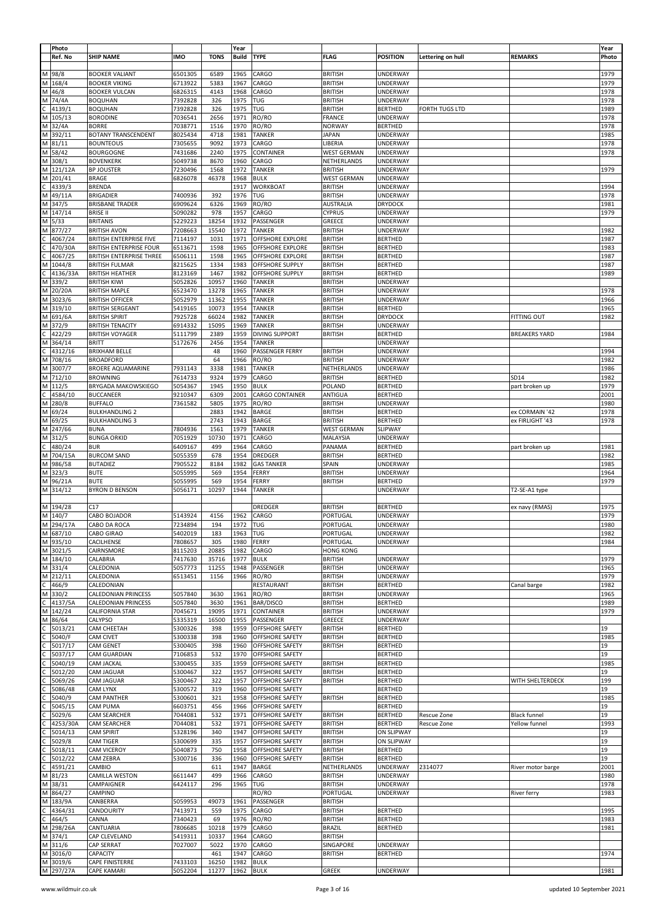|              | Photo     |                                 |            |             | Year      |                        |                      |                 |                   |                      | Year  |
|--------------|-----------|---------------------------------|------------|-------------|-----------|------------------------|----------------------|-----------------|-------------------|----------------------|-------|
|              |           | <b>SHIP NAME</b>                | <b>IMO</b> | <b>TONS</b> | Build     | <b>TYPE</b>            | <b>FLAG</b>          |                 |                   |                      |       |
|              | Ref. No   |                                 |            |             |           |                        |                      | <b>POSITION</b> | Lettering on hull | <b>REMARKS</b>       | Photo |
|              |           |                                 |            |             |           |                        |                      |                 |                   |                      |       |
| Μ            | 98/8      | <b>BOOKER VALIANT</b>           | 6501305    | 6589        | 1965      | CARGO                  | <b>BRITISH</b>       | UNDERWAY        |                   |                      | 1979  |
| M            | 168/4     | <b>BOOKER VIKING</b>            | 6713922    | 5383        | 1967      | CARGO                  | <b>BRITISH</b>       | UNDERWAY        |                   |                      | 1979  |
| М            | 46/8      | <b>BOOKER VULCAN</b>            | 6826315    | 4143        | 1968      | CARGO                  | <b>BRITISH</b>       | UNDERWAY        |                   |                      | 1978  |
| М            | 74/4A     | <b>BOQUHAN</b>                  | 7392828    | 326         | 1975      | TUG                    | <b>BRITISH</b>       | UNDERWAY        |                   |                      | 1978  |
|              |           |                                 |            |             |           |                        |                      |                 |                   |                      |       |
|              | 4139/1    | <b>BOQUHAN</b>                  | 7392828    | 326         | 1975      | TUG                    | <b>BRITISH</b>       | <b>BERTHED</b>  | FORTH TUGS LTD    |                      | 1989  |
| М            | 105/13    | <b>BORODINE</b>                 | 7036541    | 2656        | 1971      | RO/RO                  | FRANCE               | <b>UNDERWAY</b> |                   |                      | 1978  |
| M            | 32/4A     | <b>BORRE</b>                    | 7038771    | 1516        | 1970      | RO/RO                  | NORWAY               | <b>BERTHED</b>  |                   |                      | 1978  |
| M            | 392/11    | <b>BOTANY TRANSCENDENT</b>      | 8025434    | 4718        | 1981      | <b>TANKER</b>          | <b>JAPAN</b>         | UNDERWAY        |                   |                      | 1985  |
|              |           |                                 |            |             |           |                        |                      |                 |                   |                      |       |
|              | M 81/11   | <b>BOUNTEOUS</b>                | 7305655    | 9092        | 1973      | CARGO                  | LIBERIA              | UNDERWAY        |                   |                      | 1978  |
| М            | 58/42     | <b>BOURGOGNE</b>                | 7431686    | 2240        | 1975      | CONTAINER              | <b>WEST GERMAN</b>   | <b>UNDERWAY</b> |                   |                      | 1978  |
| M            | 308/1     | <b>BOVENKERK</b>                | 5049738    | 8670        | 1960      | CARGO                  | NETHERLANDS          | UNDERWAY        |                   |                      |       |
| M            | 121/12A   | <b>BP JOUSTER</b>               | 7230496    | 1568        | 1972      | <b>TANKER</b>          | <b>BRITISH</b>       | <b>UNDERWAY</b> |                   |                      | 1979  |
|              |           |                                 |            |             |           |                        |                      |                 |                   |                      |       |
| M            | 201/41    | <b>BRAGE</b>                    | 6826078    | 46378       | 1968      | <b>BULK</b>            | <b>WEST GERMAN</b>   | <b>UNDERWAY</b> |                   |                      |       |
| C            | 4339/3    | BRENDA                          |            |             | 1917      | WORKBOAT               | <b>BRITISH</b>       | UNDERWAY        |                   |                      | 1994  |
| М            | 49/11A    | <b>BRIGADIER</b>                | 7400936    | 392         | 1976      | TUG                    | <b>BRITISH</b>       | UNDERWAY        |                   |                      | 1978  |
| M            | 347/5     | <b>BRISBANE TRADER</b>          | 6909624    | 6326        | 1969      | RO/RO                  | <b>AUSTRALIA</b>     | <b>DRYDOCK</b>  |                   |                      | 1981  |
|              |           |                                 |            |             |           |                        |                      |                 |                   |                      |       |
| M            | 147/14    | <b>BRISE II</b>                 | 5090282    | 978         | 1957      | CARGO                  | <b>CYPRUS</b>        | <b>UNDERWAY</b> |                   |                      | 1979  |
| М            | 5/33      | <b>BRITANIS</b>                 | 5229223    | 18254       | 1932      | PASSENGER              | GREECE               | <b>UNDERWAY</b> |                   |                      |       |
| М            | 877/27    | <b>BRITISH AVON</b>             | 7208663    | 15540       | 1972      | <b>TANKER</b>          | <b>BRITISH</b>       | UNDERWAY        |                   |                      | 1982  |
|              | 4067/24   | <b>BRITISH ENTERPRISE FIVE</b>  | 7114197    | 1031        | 1971      | OFFSHORE EXPLORE       | <b>BRITISH</b>       | <b>BERTHED</b>  |                   |                      | 1987  |
|              |           |                                 |            |             |           |                        |                      |                 |                   |                      |       |
|              | 470/30A   | <b>BRITISH ENTERPRISE FOUR</b>  | 6513671    | 1598        | 1965      | OFFSHORE EXPLORE       | <b>BRITISH</b>       | <b>BERTHED</b>  |                   |                      | 1983  |
|              | 4067/25   | <b>BRITISH ENTERPRISE THREE</b> | 6506111    | 1598        | 1965      | OFFSHORE EXPLORE       | <b>BRITISH</b>       | <b>BERTHED</b>  |                   |                      | 1987  |
| м            | 1044/8    | <b>BRITISH FULMAR</b>           | 8215625    | 1334        | 1983      | OFFSHORE SUPPLY        | <b>BRITISH</b>       | <b>BERTHED</b>  |                   |                      | 1987  |
|              | 4136/33A  | <b>BRITISH HEATHER</b>          | 8123169    | 1467        | 1982      | OFFSHORE SUPPLY        | <b>BRITISH</b>       | <b>BERTHED</b>  |                   |                      | 1989  |
|              |           |                                 |            | 10957       | 1960      |                        |                      |                 |                   |                      |       |
| M            | 339/2     | <b>BRITISH KIWI</b>             | 5052826    |             |           | TANKER                 | <b>BRITISH</b>       | UNDERWAY        |                   |                      |       |
| M            | 20/20A    | <b>BRITISH MAPLE</b>            | 6523470    | 13278       | 1965      | TANKER                 | <b>BRITISH</b>       | <b>UNDERWAY</b> |                   |                      | 1978  |
| M            | 3023/6    | <b>BRITISH OFFICER</b>          | 5052979    | 11362       | 1955      | TANKER                 | <b>BRITISH</b>       | UNDERWAY        |                   |                      | 1966  |
| M            | 319/10    | <b>BRITISH SERGEANT</b>         | 5419165    | 10073       | 1954      | TANKER                 | <b>BRITISH</b>       | <b>BERTHED</b>  |                   |                      | 1965  |
| М            | 691/6A    | <b>BRITISH SPIRIT</b>           | 7925728    | 66024       | 1982      | TANKER                 | <b>BRITISH</b>       | <b>DRYDOCK</b>  |                   | FITTING OUT          | 1982  |
|              |           |                                 |            |             |           |                        |                      |                 |                   |                      |       |
| M            | 372/9     | <b>BRITISH TENACITY</b>         | 6914332    | 15095       | 1969      | <b>TANKER</b>          | <b>BRITISH</b>       | UNDERWAY        |                   |                      |       |
|              | 422/29    | <b>BRITISH VOYAGER</b>          | 5111799    | 2389        | 1959      | <b>DIVING SUPPORT</b>  | <b>BRITISH</b>       | <b>BERTHED</b>  |                   | <b>BREAKERS YARD</b> | 1984  |
| М            | 364/14    | BRITT                           | 5172676    | 2456        | 1954      | TANKER                 |                      | UNDERWAY        |                   |                      |       |
|              | 4312/16   | <b>BRIXHAM BELLE</b>            |            | 48          | 1960      | PASSENGER FERRY        | <b>BRITISH</b>       | UNDERWAY        |                   |                      | 1994  |
|              |           |                                 |            |             |           |                        |                      |                 |                   |                      |       |
| М            | 708/16    | <b>BROADFORD</b>                |            | 64          | 1966      | RO/RO                  | <b>BRITISH</b>       | UNDERWAY        |                   |                      | 1982  |
| M            | 3007/7    | <b>BROERE AQUAMARINE</b>        | 7931143    | 3338        | 1981      | <b>TANKER</b>          | NETHERLANDS          | UNDERWAY        |                   |                      | 1986  |
| M            | 712/10    | <b>BROWNING</b>                 | 7614733    | 9324        | 1979      | CARGO                  | <b>BRITISH</b>       | <b>BERTHED</b>  |                   | SD14                 | 1982  |
|              | M 112/5   | <b>BRYGADA MAKOWSKIEGO</b>      | 5054367    | 1945        | 1950      | <b>BULK</b>            | POLAND               | <b>BERTHED</b>  |                   | part broken up       | 1979  |
|              |           |                                 |            |             |           |                        |                      |                 |                   |                      |       |
|              | 4584/10   | <b>BUCCANEER</b>                | 9210347    | 6309        | 2001      | CARGO CONTAINER        | ANTIGUA              | <b>BERTHED</b>  |                   |                      | 2001  |
| M            | 280/8     | <b>BUFFALO</b>                  | 7361582    | 5805        | 1975      | RO/RO                  | <b>BRITISH</b>       | UNDERWAY        |                   |                      | 1980  |
| М            | 69/24     | <b>BULKHANDLING 2</b>           |            | 2883        | 1942      | BARGE                  | <b>BRITISH</b>       | <b>BERTHED</b>  |                   | ex CORMAIN '42       | 1978  |
| М            | 69/25     | <b>BULKHANDLING 3</b>           |            | 2743        | 1943      | <b>BARGE</b>           | <b>BRITISH</b>       | <b>BERTHED</b>  |                   | ex FIRLIGHT '43      | 1978  |
|              |           |                                 |            |             |           |                        |                      |                 |                   |                      |       |
| M            | 247/66    | <b>BUNA</b>                     | 7804936    | 1561        | 1979      | TANKER                 | <b>WEST GERMAN</b>   | <b>SLIPWAY</b>  |                   |                      |       |
| M            | 312/5     | <b>BUNGA ORKID</b>              | 7051929    | 10730       | 1971      | CARGO                  | MALAYSIA             | UNDERWAY        |                   |                      |       |
|              | 480/24    | <b>BUR</b>                      | 6409167    | 499         | 1964      | CARGO                  | PANAMA               | <b>BERTHED</b>  |                   | part broken up       | 1981  |
| М            | 704/15A   | <b>BURCOM SAND</b>              | 5055359    | 678         | 1954      | DREDGER                | <b>BRITISH</b>       | <b>BERTHED</b>  |                   |                      | 1982  |
|              |           |                                 |            |             |           |                        |                      |                 |                   |                      |       |
| M            | 986/58    | <b>BUTADIEZ</b>                 | 7905522    | 8184        | 1982      | <b>GAS TANKER</b>      | SPAIN                | <b>UNDERWAY</b> |                   |                      | 1985  |
| M            | 323/3     | <b>BUTE</b>                     | 5055995    | 569         | 1954      | FERRY                  | <b>BRITISH</b>       | UNDERWAY        |                   |                      | 1964  |
|              | M 96/21A  | <b>BUTE</b>                     | 5055995    | 569         | 1954      | FERRY                  | <b>BRITISH</b>       | <b>BERTHED</b>  |                   |                      | 1979  |
| M            | 314/12    | <b>BYRON D BENSON</b>           | 5056171    | 10297       | 1944      | TANKER                 |                      | <b>UNDERWAY</b> |                   | T2-SE-A1 type        |       |
|              |           |                                 |            |             |           |                        |                      |                 |                   |                      |       |
|              |           |                                 |            |             |           |                        |                      |                 |                   |                      |       |
|              | M 194/28  | C17                             |            |             |           | DREDGER                | <b>BRITISH</b>       | <b>BERTHED</b>  |                   | ex navy (RMAS)       | 1975  |
| M            | 140/7     | CABO BOJADOR                    | 5143924    | 4156        | 1962      | CARGO                  | PORTUGAL             | UNDERWAY        |                   |                      | 1979  |
|              | M 294/17A | CABO DA ROCA                    | 7234894    | 194         | 1972      | TUG                    | PORTUGAL             | UNDERWAY        |                   |                      | 1980  |
|              |           | CABO GIRAO                      | 5402019    | 183         | 1963      |                        |                      | UNDERWAY        |                   |                      | 1982  |
|              | M 68//10  |                                 |            |             |           | טיון                   | PORTUGAL<br>PORTUGAL |                 |                   |                      | 1984  |
|              | M 935/10  | CACILHENSE                      | 7808657    | 305         | 1980      | <b>FERRY</b>           |                      | UNDERWAY        |                   |                      |       |
|              | M 3021/5  | CAIRNSMORE                      | 8115203    | 20885       | 1982      | CARGO                  | <b>HONG KONG</b>     |                 |                   |                      |       |
|              | M 184/10  | CALABRIA                        | 7417630    | 35716       | 1977      | <b>BULK</b>            | <b>BRITISH</b>       | <b>UNDERWAY</b> |                   |                      | 1979  |
|              | M 331/4   | CALEDONIA                       | 5057773    | 11255       | 1948      | PASSENGER              | <b>BRITISH</b>       | UNDERWAY        |                   |                      | 1965  |
|              | M 212/11  | CALEDONIA                       | 6513451    | 1156        | 1966      | RO/RO                  | <b>BRITISH</b>       | <b>UNDERWAY</b> |                   |                      | 1979  |
|              |           |                                 |            |             |           |                        |                      |                 |                   |                      |       |
|              | 466/9     | CALEDONIAN                      |            |             |           | RESTAURANT             | <b>BRITISH</b>       | <b>BERTHED</b>  |                   | Canal barge          | 1982  |
|              | M 330/2   | <b>CALEDONIAN PRINCESS</b>      | 5057840    | 3630        | 1961      | RO/RO                  | <b>BRITISH</b>       | UNDERWAY        |                   |                      | 1965  |
|              | 4137/5A   | <b>CALEDONIAN PRINCESS</b>      | 5057840    | 3630        | 1961      | BAR/DISCO              | <b>BRITISH</b>       | <b>BERTHED</b>  |                   |                      | 1989  |
| M            | 142/24    | <b>CALIFORNIA STAR</b>          | 7045671    | 19095       | 1971      | CONTAINER              | <b>BRITISH</b>       | UNDERWAY        |                   |                      | 1979  |
| М            | 86/64     | CALYPSO                         | 5335319    | 16500       | 1955      | PASSENGER              | GREECE               | UNDERWAY        |                   |                      |       |
|              |           |                                 |            |             |           |                        |                      |                 |                   |                      |       |
|              | 5013/21   | CAM CHEETAH                     | 5300326    | 398         | 1959      | OFFSHORE SAFETY        | <b>BRITISH</b>       | <b>BERTHED</b>  |                   |                      | 19    |
|              | 5040/F    | CAM CIVET                       | 5300338    | 398         | 1960      | OFFSHORE SAFETY        | <b>BRITISH</b>       | <b>BERTHED</b>  |                   |                      | 1985  |
|              | 5017/17   | CAM GENET                       | 5300405    | 398         | 1960      | OFFSHORE SAFETY        | <b>BRITISH</b>       | <b>BERTHED</b>  |                   |                      | 19    |
|              | 5037/17   | CAM GUARDIAN                    | 7106853    | 532         | 1970      | OFFSHORE SAFETY        |                      | <b>BERTHED</b>  |                   |                      | 19    |
|              | 5040/19   | <b>CAM JACKAL</b>               | 5300455    | 335         | 1959      | OFFSHORE SAFETY        | <b>BRITISH</b>       | <b>BERTHED</b>  |                   |                      | 1985  |
|              |           |                                 |            |             |           |                        |                      |                 |                   |                      |       |
|              | 5012/20   | CAM JAGUAR                      | 5300467    | 322         | 1957      | OFFSHORE SAFETY        | <b>BRITISH</b>       | <b>BERTHED</b>  |                   |                      | 19    |
|              | 5069/26   | CAM JAGUAR                      | 5300467    | 322         | 1957      | OFFSHORE SAFETY        | <b>BRITISH</b>       | <b>BERTHED</b>  |                   | WITH SHELTERDECK     | 199   |
|              | 5086/48   | CAM LYNX                        | 5300572    | 319         | 1960      | <b>OFFSHORE SAFETY</b> |                      | <b>BERTHED</b>  |                   |                      | 19    |
|              | 5040/9    | CAM PANTHER                     | 5300601    | 321         | 1958      | OFFSHORE SAFETY        | <b>BRITISH</b>       | <b>BERTHED</b>  |                   |                      | 1985  |
|              | 5045/15   | CAM PUMA                        | 6603751    | 456         | 1966      | OFFSHORE SAFETY        |                      | <b>BERTHED</b>  |                   |                      | 19    |
|              |           |                                 |            |             |           |                        |                      |                 |                   |                      |       |
|              | 5029/6    | CAM SEARCHER                    | 7044081    | 532         | 1971      | OFFSHORE SAFETY        | <b>BRITISH</b>       | <b>BERTHED</b>  | Rescue Zone       | <b>Black funnel</b>  | 19    |
|              | 4253/30A  | CAM SEARCHER                    | 7044081    | 532         | 1971      | OFFSHORE SAFETY        | <b>BRITISH</b>       | <b>BERTHED</b>  | Rescue Zone       | Yellow funnel        | 1993  |
|              | 5014/13   | CAM SPIRIT                      | 5328196    | 340         | 1947      | OFFSHORE SAFETY        | <b>BRITISH</b>       | ON SLIPWAY      |                   |                      | 19    |
|              | 5029/8    | CAM TIGER                       | 5300699    | 335         | 1957      | OFFSHORE SAFETY        | <b>BRITISH</b>       | ON SLIPWAY      |                   |                      | 19    |
|              |           |                                 |            |             |           |                        |                      |                 |                   |                      |       |
|              | 5018/11   | CAM VICEROY                     | 5040873    | 750         | 1958      | OFFSHORE SAFETY        | <b>BRITISH</b>       | <b>BERTHED</b>  |                   |                      | 19    |
|              | 5012/22   | CAM ZEBRA                       | 5300716    | 336         | 1960      | OFFSHORE SAFETY        | <b>BRITISH</b>       | <b>BERTHED</b>  |                   |                      | 19    |
|              | 4591/21   | CAMBIO                          |            | 611         | 1947      | BARGE                  | NETHERLANDS          | <b>UNDERWAY</b> | 2314077           | River motor barge    | 2001  |
| м            | 81/23     | CAMILLA WESTON                  | 6611447    | 499         | 1966      | CARGO                  | <b>BRITISH</b>       | UNDERWAY        |                   |                      | 1980  |
| М            | 38/31     | CAMPAIGNER                      | 6424117    | 296         | 1965      | TUG                    | <b>BRITISH</b>       | UNDERWAY        |                   |                      | 1978  |
|              |           |                                 |            |             |           |                        |                      |                 |                   |                      |       |
| М            | 864/27    | CAMPINO                         |            |             |           | RO/RO                  | PORTUGAL             | UNDERWAY        |                   | River ferry          | 1983  |
| M            | 183/9A    | CANBERRA                        | 5059953    | 49073       | 1961      | PASSENGER              | <b>BRITISH</b>       |                 |                   |                      |       |
| C            | 4364/31   | CANDOURITY                      | 7413971    | 559         | 1975      | CARGO                  | <b>BRITISH</b>       | <b>BERTHED</b>  |                   |                      | 1995  |
| $\mathsf{C}$ | 464/5     | CANNA                           | 7340423    | 69          | 1976      | RO/RO                  | <b>BRITISH</b>       | <b>BERTHED</b>  |                   |                      | 1983  |
|              |           |                                 |            |             |           |                        |                      |                 |                   |                      |       |
| M            | 298/26A   | CANTUARIA                       | 7806685    | 10218       | 1979      | CARGO                  | <b>BRAZIL</b>        | <b>BERTHED</b>  |                   |                      | 1981  |
|              | M 374/1   | CAP CLEVELAND                   | 5419311    | 10337       | 1964      | CARGO                  | <b>BRITISH</b>       |                 |                   |                      |       |
|              | M 311/6   | CAP SERRAT                      | 7027007    | 5022        | 1970      | CARGO                  | SINGAPORE            | UNDERWAY        |                   |                      |       |
| M            | 3016/0    | CAPACITY                        |            | 461         | 1947      | CARGO                  | <b>BRITISH</b>       | <b>BERTHED</b>  |                   |                      | 1974  |
|              | M 3019/6  | CAPE FINISTERRE                 | 7433103    | 16250       | 1982      | <b>BULK</b>            |                      |                 |                   |                      |       |
|              | M 297/27A |                                 |            |             |           |                        |                      |                 |                   |                      |       |
|              |           | <b>CAPE KAMARI</b>              | 5052204    | 11277       | 1962 BULK |                        | <b>GREEK</b>         | <b>UNDERWAY</b> |                   |                      | 1981  |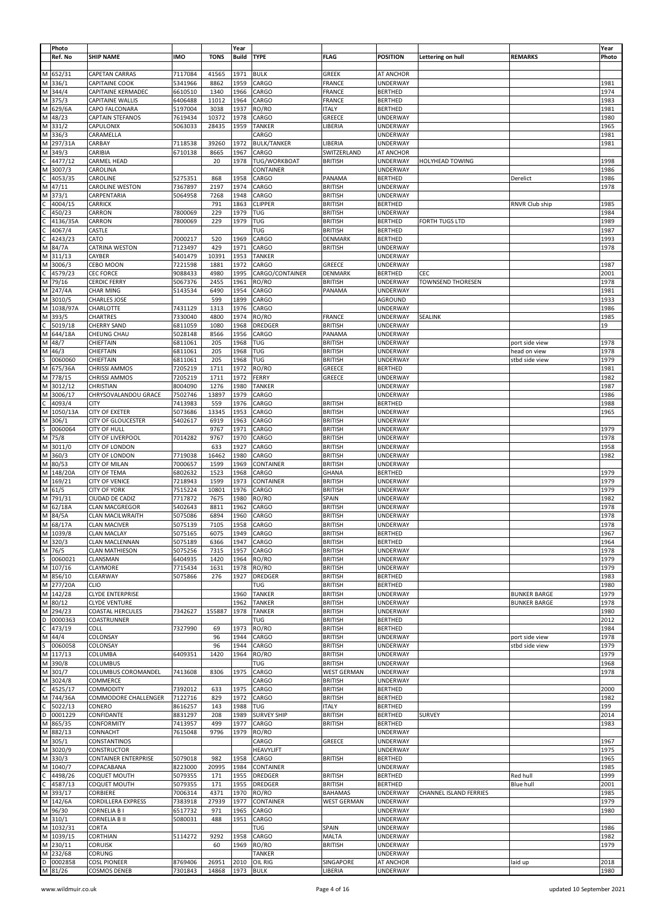|              | Photo<br>Ref. No         | <b>SHIP NAME</b>                        | <b>IMO</b>         | <b>TONS</b>  | Year<br><b>Build</b> | <b>TYPE</b>        | <b>FLAG</b>              | <b>POSITION</b>                    | Lettering on hull             | <b>REMARKS</b>      | Year<br>Photo |
|--------------|--------------------------|-----------------------------------------|--------------------|--------------|----------------------|--------------------|--------------------------|------------------------------------|-------------------------------|---------------------|---------------|
|              |                          |                                         |                    |              |                      |                    |                          |                                    |                               |                     |               |
|              | M 652/31                 | <b>CAPETAN CARRAS</b>                   | 7117084            | 41565        | 1971                 | <b>BULK</b>        | <b>GREEK</b>             | AT ANCHOR                          |                               |                     |               |
|              | M 336/1                  | CAPITAINE COOK                          | 5341966            | 8862         | 1959                 | CARGO              | <b>FRANCE</b>            | <b>UNDERWAY</b>                    |                               |                     | 1981          |
|              | M 344/4                  | CAPITAINE KERMADEC                      | 6610510            | 1340         | 1966                 | CARGO              | <b>FRANCE</b>            | <b>BERTHED</b>                     |                               |                     | 1974          |
|              | M 375/3                  | CAPITAINE WALLIS                        | 6406488            | 11012        | 1964                 | CARGO              | <b>FRANCE</b>            | <b>BERTHED</b>                     |                               |                     | 1983          |
|              | M 629/6A                 | CAPO FALCONARA                          | 5197004            | 3038         | 1937                 | RO/RO              | <b>ITALY</b>             | <b>BERTHED</b>                     |                               |                     | 1981          |
|              | M 48/23                  | CAPTAIN STEFANOS                        | 7619434            | 10372        | 1978                 | CARGO              | GREECE                   | <b>UNDERWAY</b>                    |                               |                     | 1980          |
|              | M 331/2                  | CAPULONIX                               | 5063033            | 28435        | 1959                 | <b>TANKER</b>      | LIBERIA                  | UNDERWAY                           |                               |                     | 1965          |
|              | M 336/3                  | CARAMELLA                               |                    |              |                      | CARGO              |                          | <b>UNDERWAY</b>                    |                               |                     | 1981          |
|              | M 297/31A                | CARBAY                                  | 7118538            | 39260        | 1972                 | <b>BULK/TANKER</b> | LIBERIA                  | UNDERWAY                           |                               |                     | 1981          |
|              | M 349/3                  | CARIBIA                                 | 6710138            | 8665         | 1967                 | CARGO              | SWITZERLAND              | AT ANCHOR                          |                               |                     |               |
| С            | 4477/12                  | CARMEL HEAD                             |                    | 20           | 1978                 | TUG/WORKBOAT       | <b>BRITISH</b>           | <b>UNDERWAY</b>                    | <b>HOLYHEAD TOWING</b>        |                     | 1998          |
|              | M 3007/3                 | CAROLINA                                |                    |              |                      | CONTAINER          |                          | UNDERWAY                           |                               |                     | 1986          |
| $\mathsf{C}$ | 4053/35                  | CAROLINE                                | 5275351            | 868          | 1958                 | CARGO              | PANAMA                   | <b>BERTHED</b>                     |                               | Derelict            | 1986          |
|              | M 47/11                  | CAROLINE WESTON                         | 7367897            | 2197         | 1974                 | CARGO              | <b>BRITISH</b>           | <b>UNDERWAY</b>                    |                               |                     | 1978          |
|              | M 373/1                  | CARPENTARIA                             | 5064958            | 7268         | 1948                 | CARGO              | <b>BRITISH</b>           | UNDERWAY                           |                               |                     |               |
| С            | 4004/15                  | CARRICK                                 |                    | 791          | 1863                 | <b>CLIPPER</b>     | <b>BRITISH</b>           | <b>BERTHED</b>                     |                               | RNVR Club ship      | 1985          |
|              | 450/23                   | CARRON                                  | 7800069            | 229          | 1979                 | TUG                | <b>BRITISH</b>           | <b>UNDERWAY</b>                    |                               |                     | 1984          |
| Ċ            | 4136/35A                 | CARRON                                  | 7800069            | 229          | 1979                 | TUG                | <b>BRITISH</b>           | <b>BERTHED</b>                     | <b>FORTH TUGS LTD</b>         |                     | 1989          |
| C            | 4067/4                   | CASTLE                                  |                    |              |                      | TUG                | <b>BRITISH</b>           | <b>BERTHED</b>                     |                               |                     | 1987          |
| C            | 4243/23                  | CATO                                    | 7000217            | 520          | 1969                 | CARGO              | DENMARK                  | <b>BERTHED</b>                     |                               |                     | 1993          |
|              | M 84/7A                  | CATRINA WESTON                          | 7123497            | 429          | 1971                 | CARGO              | <b>BRITISH</b>           | <b>UNDERWAY</b>                    |                               |                     | 1978          |
|              | M 311/13                 | CAYBER                                  | 5401479            | 10391        | 1953                 | <b>TANKER</b>      |                          | <b>UNDERWAY</b>                    |                               |                     |               |
| C            | M 3006/3                 | CEBO MOON                               | 7221598            | 1881         | 1972                 | CARGO              | GREECE                   | <b>UNDERWAY</b>                    |                               |                     | 1987          |
|              | 4579/23                  | <b>CEC FORCE</b>                        | 9088433            | 4980         | 1995                 | CARGO/CONTAINER    | DENMARK                  | <b>BERTHED</b>                     | CEC                           |                     | 2001          |
|              | M 79/16<br>M 247/4A      | <b>CERDIC FERRY</b><br><b>CHAR MING</b> | 5067376<br>5143534 | 2455<br>6490 | 1961<br>1954         | RO/RO<br>CARGO     | <b>BRITISH</b><br>PANAMA | <b>UNDERWAY</b><br><b>UNDERWAY</b> | <b>TOWNSEND THORESEN</b>      |                     | 1978<br>1981  |
|              | M 3010/5                 | <b>CHARLES JOSE</b>                     |                    | 599          | 1899                 | CARGO              |                          | AGROUND                            |                               |                     | 1933          |
|              | M 1038/97A               |                                         |                    | 1313         | 1976                 |                    |                          |                                    |                               |                     | 1986          |
|              | M 393/5                  | CHARLOTTE<br>CHARTRES                   | 7431129<br>7330040 | 4800         | 1974                 | CARGO<br>RO/RO     | <b>FRANCE</b>            | <b>UNDERWAY</b>                    | <b>SEALINK</b>                |                     | 1985          |
|              |                          | <b>CHERRY SAND</b>                      | 6811059            | 1080         | 1968                 | DREDGER            | <b>BRITISH</b>           | <b>UNDERWAY</b><br><b>UNDERWAY</b> |                               |                     | 19            |
|              | $C$ 5019/18<br>M 644/18A | CHEUNG CHAU                             | 5028148            | 8566         | 1956                 | CARGO              | PANAMA                   | <b>UNDERWAY</b>                    |                               |                     |               |
|              | M 48/7                   | CHIEFTAIN                               | 6811061            | 205          | 1968                 | TUG                | <b>BRITISH</b>           | UNDERWAY                           |                               | port side view      | 1978          |
|              | M 46/3                   | CHIEFTAIN                               | 6811061            | 205          | 1968                 | TUG                | <b>BRITISH</b>           | <b>UNDERWAY</b>                    |                               | head on view        | 1978          |
|              | 0060060                  | CHIEFTAIN                               | 6811061            | 205          | 1968                 | TUG                | <b>BRITISH</b>           | <b>UNDERWAY</b>                    |                               | stbd side view      | 1979          |
|              | M 675/36A                | <b>CHRISSI AMMOS</b>                    | 7205219            | 1711         | 1972                 | RO/RO              | GREECE                   | <b>BERTHED</b>                     |                               |                     | 1981          |
|              | M 778/15                 | CHRISSI AMMOS                           | 7205219            | 1711         | 1972                 | FERRY              | GREECE                   | <b>UNDERWAY</b>                    |                               |                     | 1982          |
|              | M 3012/12                | CHRISTIAN                               | 8004090            | 1276         | 1980                 | TANKER             |                          | UNDERWAY                           |                               |                     | 1987          |
|              | M 3006/17                | CHRYSOVALANDOU GRACE                    | 7502746            | 13897        | 1979                 | CARGO              |                          | UNDERWAY                           |                               |                     | 1986          |
| С            | 4093/4                   | CITY                                    | 7413983            | 559          | 1976                 | CARGO              | <b>BRITISH</b>           | <b>BERTHED</b>                     |                               |                     | 1988          |
|              | M 1050/13A               | CITY OF EXETER                          | 5073686            | 13345        | 1953                 | CARGO              | <b>BRITISH</b>           | <b>UNDERWAY</b>                    |                               |                     | 1965          |
|              | M 306/1                  | <b>CITY OF GLOUCESTER</b>               | 5402617            | 6919         | 1963                 | CARGO              | <b>BRITISH</b>           | <b>UNDERWAY</b>                    |                               |                     |               |
| S            | 0060064                  | <b>CITY OF HULL</b>                     |                    | 9767         | 1971                 | CARGO              | <b>BRITISH</b>           | UNDERWAY                           |                               |                     | 1979          |
|              | M 75/8                   | CITY OF LIVERPOOL                       | 7014282            | 9767         | 1970                 | CARGO              | <b>BRITISH</b>           | UNDERWAY                           |                               |                     | 1978          |
|              | M 3011/0                 | <b>CITY OF LONDON</b>                   |                    | 633          | 1927                 | CARGO              | <b>BRITISH</b>           | UNDERWAY                           |                               |                     | 1958          |
|              | M 360/3                  | <b>CITY OF LONDON</b>                   | 7719038            | 16462        | 1980                 | CARGO              | <b>BRITISH</b>           | UNDERWAY                           |                               |                     | 1982          |
|              | M 80/53                  | <b>CITY OF MILAN</b>                    | 7000657            | 1599         | 1969                 | CONTAINER          | <b>BRITISH</b>           | <b>UNDERWAY</b>                    |                               |                     |               |
|              | M 148/20A                | CITY OF TEMA                            | 6802632            | 1523         | 1968                 | CARGO              | GHANA                    | <b>BERTHED</b>                     |                               |                     | 1979          |
|              | M 169/21                 | <b>CITY OF VENICE</b>                   | 7218943            | 1599         | 1973                 | CONTAINER          | <b>BRITISH</b>           | <b>UNDERWAY</b>                    |                               |                     | 1979          |
|              | M 61/5                   | <b>CITY OF YORK</b>                     | 7515224            | 10801        | 1976                 | CARGO              | <b>BRITISH</b>           | UNDERWAY                           |                               |                     | 1979          |
|              | M 791/31                 | CIUDAD DE CADIZ                         | 7717872            | 7675         | 1980                 | RO/RO              | SPAIN                    | UNDERWAY                           |                               |                     | 1982          |
|              | M 62/18A                 | <b>CLAN MACGREGOR</b>                   | 5402643            | 8811         | 1962                 | CARGO              | <b>BRITISH</b>           | UNDERWAY                           |                               |                     | 1978          |
|              | M 84/5A                  | <b>CLAN MACILWRAITH</b>                 | 5075086            | 6894         | 1960                 | CARGO              | <b>BRITISH</b>           | <b>UNDERWAY</b>                    |                               |                     | 1978          |
|              | M 68/17A                 | <b>CLAN MACIVER</b>                     | 5075139            | 7105         | 1958                 | CARGO              | <b>BRITISH</b>           | <b>UNDERWAY</b>                    |                               |                     | 1978          |
|              | M 1039/8                 | <b>CLAN MACLAY</b>                      | 5075165            | 6075         | 1949                 | CARGO              | BRITISH                  | <b>BERTHED</b>                     |                               |                     | 1967          |
|              | M 320/3                  | <b>CLAN MACLENNAN</b>                   | 5075189            | 6366         | 1947                 | CARGO              | <b>BRITISH</b>           | <b>BERTHED</b>                     |                               |                     | 1964          |
|              | M 76/5                   | <b>CLAN MATHIESON</b>                   | 5075256            | 7315         | 1957                 | CARGO              | <b>BRITISH</b>           | <b>UNDERWAY</b>                    |                               |                     | 1978          |
| S            | 0060021                  | CLANSMAN                                | 6404935            | 1420         | 1964                 | RO/RO              | <b>BRITISH</b>           | <b>UNDERWAY</b>                    |                               |                     | 1979          |
|              | M 107/16                 | CLAYMORE                                | 7715434            | 1631         | 1978                 | RO/RO              | <b>BRITISH</b>           | <b>UNDERWAY</b>                    |                               |                     | 1979          |
|              | M 856/10                 | CLEARWAY                                | 5075866            | 276          | 1927                 | DREDGER            | <b>BRITISH</b>           | <b>BERTHED</b>                     |                               |                     | 1983          |
|              | M 277/20A                | <b>CLIO</b>                             |                    |              |                      | TUG                | <b>BRITISH</b>           | <b>BERTHED</b>                     |                               |                     | 1980          |
|              | M 142/28                 | CLYDE ENTERPRISE                        |                    |              | 1960                 | <b>TANKER</b>      | <b>BRITISH</b>           | <b>UNDERWAY</b>                    |                               | <b>BUNKER BARGE</b> | 1979          |
|              | M 80/12                  | <b>CLYDE VENTURE</b>                    |                    |              | 1962                 | <b>TANKER</b>      | <b>BRITISH</b>           | <b>UNDERWAY</b>                    |                               | <b>BUNKER BARGE</b> | 1978          |
|              | M 294/23                 | <b>COASTAL HERCULES</b>                 | 7342627            | 155887       | 1978                 | <b>TANKER</b>      | <b>BRITISH</b>           | <b>UNDERWAY</b>                    |                               |                     | 1980          |
|              | D 0000363                | COASTRUNNER                             |                    |              |                      | TUG                | <b>BRITISH</b>           | <b>BERTHED</b>                     |                               |                     | 2012          |
| $\mathsf{C}$ | 473/19                   | COLL                                    | 7327990            | 69           | 1973                 | RO/RO              | <b>BRITISH</b>           | <b>BERTHED</b>                     |                               |                     | 1984          |
|              | M 44/4                   | COLONSAY                                |                    | 96           | 1944                 | CARGO              | <b>BRITISH</b>           | <b>UNDERWAY</b>                    |                               | port side view      | 1978          |
| S            | 0060058                  | COLONSAY                                |                    | 96           | 1944                 | CARGO              | <b>BRITISH</b>           | <b>UNDERWAY</b>                    |                               | stbd side view      | 1979          |
|              | M 117/13                 | COLUMBA                                 | 6409351            | 1420         | 1964                 | RO/RO              | <b>BRITISH</b>           | <b>UNDERWAY</b>                    |                               |                     | 1979          |
|              | M 390/8                  | <b>COLUMBUS</b>                         |                    |              |                      | TUG                | <b>BRITISH</b>           | <b>UNDERWAY</b>                    |                               |                     | 1968          |
|              | M 301/7                  | COLUMBUS COROMANDEL                     | 7413608            | 8306         | 1975                 | CARGO              | <b>WEST GERMAN</b>       | <b>UNDERWAY</b>                    |                               |                     | 1978          |
|              | M 3024/8                 | COMMERCE                                |                    |              |                      | CARGO              | <b>BRITISH</b>           | <b>UNDERWAY</b>                    |                               |                     |               |
|              | C 4525/17                | COMMODITY                               | 7392012            | 633          | 1975                 | CARGO              | <b>BRITISH</b>           | <b>BERTHED</b>                     |                               |                     | 2000          |
|              | M 744/36A                | COMMODORE CHALLENGER                    | 7122716            | 829          | 1972                 | CARGO              | <b>BRITISH</b>           | <b>BERTHED</b>                     |                               |                     | 1982          |
| С            | 5022/13                  | CONERO                                  | 8616257            | 143          | 1988                 | TUG                | <b>ITALY</b>             | <b>BERTHED</b>                     |                               |                     | 199           |
|              | D 0001229                | CONFIDANTE                              | 8831297            | 208          | 1989                 | <b>SURVEY SHIP</b> | <b>BRITISH</b>           | <b>BERTHED</b>                     | <b>SURVEY</b>                 |                     | 2014          |
|              | M 865/35                 | <b>CONFORMITY</b>                       | 7413957            | 499          | 1977                 | CARGO              | <b>BRITISH</b>           | <b>BERTHED</b>                     |                               |                     | 1983          |
|              | M 882/13                 | CONNACHT                                | 7615048            | 9796         | 1979                 | RO/RO              |                          | UNDERWAY                           |                               |                     |               |
|              | M 305/1                  | CONSTANTINOS                            |                    |              |                      | CARGO              | GREECE                   | <b>UNDERWAY</b>                    |                               |                     | 1967          |
|              | M 3020/9                 | CONSTRUCTOR                             |                    |              |                      | HEAVYLIFT          |                          | UNDERWAY                           |                               |                     | 1975          |
|              | M 330/3                  | <b>CONTAINER ENTERPRISE</b>             | 5079018            | 982          | 1958                 | CARGO              | <b>BRITISH</b>           | <b>BERTHED</b>                     |                               |                     | 1965          |
|              | M 1040/7                 | COPACABANA                              | 8223000            | 20995        | 1984                 | CONTAINER          |                          | <b>UNDERWAY</b>                    |                               |                     | 1985          |
| C            | 4498/26                  | COQUET MOUTH                            | 5079355            | 171          | 1955                 | DREDGER            | <b>BRITISH</b>           | <b>BERTHED</b>                     |                               | Red hull            | 1999          |
|              | C 4587/13                | COQUET MOUTH                            | 5079355            | 171          | 1955                 | <b>DREDGER</b>     | <b>BRITISH</b>           | <b>BERTHED</b>                     |                               | <b>Blue hull</b>    | 2001          |
|              | M 393/17                 | CORBIERE                                | 7006314            | 4371         | 1970                 | RO/RO              | <b>BAHAMAS</b>           | <b>UNDERWAY</b>                    | <b>CHANNEL ISLAND FERRIES</b> |                     | 1985          |
|              | M 142/6A                 | CORDILLERA EXPRESS                      | 7383918            | 27939        | 1977                 | CONTAINER          | <b>WEST GERMAN</b>       | <b>UNDERWAY</b>                    |                               |                     | 1979          |
|              | M 96/30                  | CORNELIA B I                            | 6517732            | 971          | 1965                 | CARGO              |                          | <b>UNDERWAY</b>                    |                               |                     | 1980          |
|              | M 310/1                  | <b>CORNELIA B II</b>                    | 5080031            | 488          | 1951                 | CARGO              |                          | <b>UNDERWAY</b>                    |                               |                     |               |
|              | M 1032/31                | CORTA                                   |                    |              |                      | TUG                | SPAIN                    | <b>UNDERWAY</b>                    |                               |                     | 1986          |
|              | M 1039/15                | CORTHIAN                                | 5114272            | 9292         | 1958                 | CARGO              | <b>MALTA</b>             | <b>UNDERWAY</b>                    |                               |                     | 1982          |
|              | M 230/11                 | <b>CORUISK</b>                          |                    | 60           | 1969                 | RO/RO              | <b>BRITISH</b>           | <b>UNDERWAY</b>                    |                               |                     | 1979          |
|              | M 232/68                 | CORUNG                                  |                    |              |                      | <b>TANKER</b>      |                          | <b>UNDERWAY</b>                    |                               |                     |               |
|              | D 0002858                | <b>COSL PIONEER</b>                     | 8769406            | 26951        | 2010                 | OIL RIG            | SINGAPORE                | AT ANCHOR                          |                               | laid up             | 2018          |
|              | M 81/26                  | <b>COSMOS DENEB</b>                     | 7301843            | 14868        | 1973                 | <b>BULK</b>        | LIBERIA                  | <b>UNDERWAY</b>                    |                               |                     | 1980          |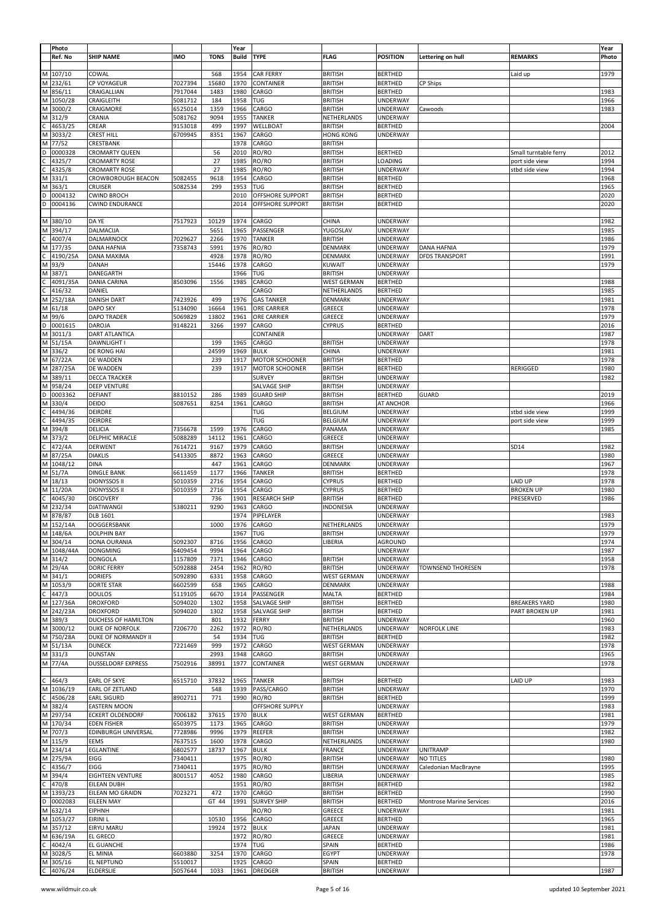|   | Photo                 |                           |            |             | Year       |                      |                    |                 |                                 |                       | Year  |
|---|-----------------------|---------------------------|------------|-------------|------------|----------------------|--------------------|-----------------|---------------------------------|-----------------------|-------|
|   |                       |                           |            |             |            |                      |                    | <b>POSITION</b> |                                 |                       |       |
|   | Ref. No               | <b>SHIP NAME</b>          | <b>IMO</b> | <b>TONS</b> | Build      | <b>TYPE</b>          | <b>FLAG</b>        |                 | Lettering on hull               | <b>REMARKS</b>        | Photo |
|   |                       |                           |            |             |            |                      |                    |                 |                                 |                       |       |
|   | M 107/10              | COWAL                     |            | 568         | 1954       | CAR FERRY            | <b>BRITISH</b>     | <b>BERTHED</b>  |                                 | Laid up               | 1979  |
| M | 232/61                | CP VOYAGEUR               | 7027394    | 15680       | 1970       | CONTAINER            | <b>BRITISH</b>     | <b>BERTHED</b>  | CP Ships                        |                       |       |
| M | 856/11                | CRAIGALLIAN               | 7917044    | 1483        | 1980       | CARGO                | <b>BRITISH</b>     | <b>BERTHED</b>  |                                 |                       | 1983  |
| М | 1050/28               | CRAIGLEITH                | 5081712    | 184         | 1958       | TUG                  | <b>BRITISH</b>     | UNDERWAY        |                                 |                       | 1966  |
|   |                       |                           |            |             |            |                      |                    |                 |                                 |                       |       |
| M | 3000/2                | CRAIGMORE                 | 6525014    | 1359        | 1966       | CARGO                | <b>BRITISH</b>     | UNDERWAY        | Cawoods                         |                       | 1983  |
| М | 312/9                 | CRANIA                    | 5081762    | 9094        | 1955       | <b>TANKER</b>        | NETHERLANDS        | UNDERWAY        |                                 |                       |       |
|   | 4653/25               | CREAR                     | 9153018    | 499         | 1997       | WELLBOAT             | <b>BRITISH</b>     | <b>BERTHED</b>  |                                 |                       | 2004  |
| М | 3033/2                | <b>CREST HILL</b>         | 6709945    | 8351        | 1967       | CARGO                | <b>HONG KONG</b>   | UNDERWAY        |                                 |                       |       |
|   | 77/52                 | CRESTBANK                 |            |             | 1978       | CARGO                | <b>BRITISH</b>     |                 |                                 |                       |       |
|   |                       |                           |            |             |            |                      |                    |                 |                                 |                       |       |
|   | 0000328               | CROMARTY QUEEN            |            | 56          | 2010       | RO/RO                | <b>BRITISH</b>     | <b>BERTHED</b>  |                                 | Small turntable ferry | 2012  |
|   | 4325/7                | <b>CROMARTY ROSE</b>      |            | 27          | 1985       | RO/RO                | <b>BRITISH</b>     | LOADING         |                                 | port side view        | 1994  |
|   | 4325/8                | <b>CROMARTY ROSE</b>      |            | 27          | 1985       | RO/RO                | <b>BRITISH</b>     | UNDERWAY        |                                 | stbd side view        | 1994  |
|   |                       |                           |            | 9618        | 1954       | CARGO                |                    |                 |                                 |                       | 1968  |
| М | 331/1                 | CROWBOROUGH BEACON        | 5082455    |             |            |                      | <b>BRITISH</b>     | <b>BERTHED</b>  |                                 |                       |       |
| М | 363/1                 | CRUISER                   | 5082534    | 299         | 1953       | TUG                  | <b>BRITISH</b>     | <b>BERTHED</b>  |                                 |                       | 1965  |
|   | 0004132               | <b>CWIND BROCH</b>        |            |             | 2010       | OFFSHORE SUPPORT     | <b>BRITISH</b>     | <b>BERTHED</b>  |                                 |                       | 2020  |
|   | 0004136               | <b>CWIND ENDURANCE</b>    |            |             | 2014       | OFFSHORE SUPPORT     | <b>BRITISH</b>     | <b>BERTHED</b>  |                                 |                       | 2020  |
|   |                       |                           |            |             |            |                      |                    |                 |                                 |                       |       |
|   |                       |                           |            |             |            |                      |                    |                 |                                 |                       |       |
| М | 380/10                | DA YE                     | 7517923    | 10129       | 1974       | CARGO                | CHINA              | UNDERWAY        |                                 |                       | 1982  |
| M | 394/17                | <b>DALMACIJA</b>          |            | 5651        | 1965       | PASSENGER            | YUGOSLAV           | UNDERWAY        |                                 |                       | 1985  |
|   | 4007/4                | DALMARNOCK                | 7029627    | 2266        | 1970       | <b>TANKER</b>        | <b>BRITISH</b>     | UNDERWAY        |                                 |                       | 1986  |
| М | 177/35                | DANA HAFNIA               | 7358743    | 5991        | 1976       | RO/RO                | DENMARK            | UNDERWAY        | <b>DANA HAFNIA</b>              |                       | 1979  |
|   |                       |                           |            |             |            |                      |                    |                 |                                 |                       |       |
|   | 4190/25A              | <b>DANA MAXIMA</b>        |            | 4928        | 1978       | RO/RO                | DENMARK            | UNDERWAY        | <b>DFDS TRANSPORT</b>           |                       | 1991  |
| м | 93/9                  | DANAH                     |            | 15446       | 1978       | CARGO                | <b>KUWAIT</b>      | UNDERWAY        |                                 |                       | 1979  |
|   | 387/1                 | DANEGARTH                 |            |             | 1966       | TUG                  | <b>BRITISH</b>     | UNDERWAY        |                                 |                       |       |
|   | 4091/35A              | <b>DANIA CARINA</b>       | 8503096    | 1556        | 1985       | CARGO                | WEST GERMAN        | <b>BERTHED</b>  |                                 |                       | 1988  |
|   |                       |                           |            |             |            | CARGO                |                    |                 |                                 |                       | 1985  |
|   | 416/32                | DANIEL                    |            |             |            |                      | NETHERLANDS        | <b>BERTHED</b>  |                                 |                       |       |
| М | 252/18A               | <b>DANISH DART</b>        | 7423926    | 499         | 1976       | <b>GAS TANKER</b>    | DENMARK            | UNDERWAY        |                                 |                       | 1981  |
| М | 61/18                 | <b>DAPO SKY</b>           | 5134090    | 16664       | 1961       | ORE CARRIER          | GREECE             | UNDERWAY        |                                 |                       | 1978  |
| М | 99/6                  | <b>DAPO TRADER</b>        | 5069829    | 13802       | 1961       | ORE CARRIER          | GREECE             | UNDERWAY        |                                 |                       | 1979  |
| D | 0001615               | <b>DAROJA</b>             | 9148221    | 3266        | 1997       | CARGO                | <b>CYPRUS</b>      | <b>BERTHED</b>  |                                 |                       | 2016  |
|   |                       |                           |            |             |            |                      |                    |                 |                                 |                       |       |
| М | 3011/3                | <b>DART ATLANTICA</b>     |            |             |            | CONTAINER            |                    | <b>UNDERWAY</b> | DART                            |                       | 1987  |
| M | 51/15A                | DAWNLIGHT I               |            | 199         | 1965       | CARGO                | <b>BRITISH</b>     | UNDERWAY        |                                 |                       | 1978  |
| M | 336/2                 | DE RONG HAI               |            | 24599       | 1969       | <b>BULK</b>          | CHINA              | UNDERWAY        |                                 |                       | 1981  |
| м | 67/22A                | DE WADDEN                 |            | 239         | 1917       | MOTOR SCHOONER       | <b>BRITISH</b>     | <b>BERTHED</b>  |                                 |                       | 1978  |
|   |                       |                           |            |             |            |                      |                    |                 |                                 |                       |       |
| М | 287/25A               | DE WADDEN                 |            | 239         | 1917       | MOTOR SCHOONER       | <b>BRITISH</b>     | <b>BERTHED</b>  |                                 | <b>RERIGGED</b>       | 1980  |
| M | 389/11                | DECCA TRACKER             |            |             |            | <b>SURVEY</b>        | <b>BRITISH</b>     | UNDERWAY        |                                 |                       | 1982  |
|   | 958/24                | DEEP VENTURE              |            |             |            | SALVAGE SHIP         | <b>BRITISH</b>     | UNDERWAY        |                                 |                       |       |
|   | 0003362               | <b>DEFIANT</b>            | 8810152    | 286         | 1989       | <b>GUARD SHIP</b>    | <b>BRITISH</b>     | <b>BERTHED</b>  | GUARD                           |                       | 2019  |
|   |                       |                           |            |             |            |                      |                    |                 |                                 |                       |       |
| М | 330/4                 | DEIDO                     | 5087651    | 8254        | 1961       | CARGO                | <b>BRITISH</b>     | AT ANCHOR       |                                 |                       | 1966  |
|   | 4494/36               | DEIRDRE                   |            |             |            | TUG                  | BELGIUM            | UNDERWAY        |                                 | stbd side view        | 1999  |
|   | 4494/35               | <b>DEIRDRE</b>            |            |             |            | <b>TUG</b>           | <b>BELGIUM</b>     | UNDERWAY        |                                 | port side view        | 1999  |
|   |                       | DELICIA                   |            | 1599        | 1976       | CARGO                |                    |                 |                                 |                       | 1985  |
| М | 394/8                 |                           | 7356678    |             |            |                      | PANAMA             | UNDERWAY        |                                 |                       |       |
| М | 373/2                 | DELPHIC MIRACLE           | 5088289    | 14112       | 1961       | CARGO                | GREECE             | UNDERWAY        |                                 |                       |       |
|   | 472/4A                | <b>DERWENT</b>            | 7614721    | 9167        | 1979       | CARGO                | <b>BRITISH</b>     | UNDERWAY        |                                 | SD14                  | 1982  |
|   | 87/25A                | <b>DIAKLIS</b>            | 5413305    | 8872        | 1963       | CARGO                | GREECE             | UNDERWAY        |                                 |                       | 1980  |
|   |                       |                           |            |             |            |                      |                    |                 |                                 |                       |       |
| М |                       |                           |            |             |            |                      |                    |                 |                                 |                       |       |
| М | 1048/12               | DINA                      |            | 447         | 1961       | CARGO                | DENMARK            | UNDERWAY        |                                 |                       | 1967  |
| М | 51/7A                 | <b>DINGLE BANK</b>        | 6611459    | 1177        | 1966       | <b>TANKER</b>        | <b>BRITISH</b>     | <b>BERTHED</b>  |                                 |                       | 1978  |
| М | 18/13                 | <b>DIONYSSOS II</b>       | 5010359    | 2716        | 1954       | CARGO                | <b>CYPRUS</b>      | <b>BERTHED</b>  |                                 | LAID UP               | 1978  |
|   |                       |                           |            |             |            |                      |                    |                 |                                 | <b>BROKEN UP</b>      |       |
| М | 11/20A                | <b>DIONYSSOS II</b>       | 5010359    | 2716        | 1954       | CARGO                | CYPRUS             | <b>BERTHED</b>  |                                 |                       | 1980  |
|   | 4045/30               | <b>DISCOVERY</b>          |            | 736         | 1901       | <b>RESEARCH SHIP</b> | <b>BRITISH</b>     | <b>BERTHED</b>  |                                 | PRESERVED             | 1986  |
| М | 232/34                | <b>DJATIWANGI</b>         | 5380211    | 9290        | 1963       | CARGO                | INDONESIA          | UNDERWAY        |                                 |                       |       |
| М | 878/87                | DLB 1601                  |            |             | 1974       | PIPELAYER            |                    | UNDERWAY        |                                 |                       | 1983  |
|   |                       |                           |            | 1000        |            |                      |                    |                 |                                 |                       |       |
| M | 152/14A               | DOGGERSBANK               |            |             | 1976       | CARGO                | NETHERLANDS        | UNDERWAY        |                                 |                       | 1979  |
|   | M   148/6A            | <b>DOLPHIN BAY</b>        |            |             | 1967   TUG |                      | BRITISH            | UNDERWAY        |                                 |                       | 1979  |
|   | M 304/14              | DONA OURANIA              | 5092307    | 8716        | 1956       | CARGO                | LIBERIA            | AGROUND         |                                 |                       | 1974  |
|   | M 1048/44A            | <b>DONGMING</b>           | 6409454    | 9994        | 1964       | CARGO                |                    | UNDERWAY        |                                 |                       | 1987  |
|   | M 314/2               | <b>DONGOLA</b>            | 1157809    | 7371        | 1946       | CARGO                | <b>BRITISH</b>     | UNDERWAY        |                                 |                       | 1958  |
|   |                       | <b>DORIC FERRY</b>        | 5092888    | 2454        | 1962       | RO/RO                | <b>BRITISH</b>     | UNDERWAY        | <b>TOWNSEND THORESEN</b>        |                       | 1978  |
|   | M 29/4A               |                           |            |             |            |                      |                    |                 |                                 |                       |       |
|   | M 341/1               | <b>DORIEFS</b>            | 5092890    | 6331        | 1958       | CARGO                | <b>WEST GERMAN</b> | UNDERWAY        |                                 |                       |       |
|   | M 1053/9              | <b>DORTE STAR</b>         | 6602599    | 658         | 1965       | CARGO                | DENMARK            | <b>UNDERWAY</b> |                                 |                       | 1988  |
| C | 447/3                 | <b>DOULOS</b>             | 5119105    | 6670        | 1914       | PASSENGER            | MALTA              | <b>BERTHED</b>  |                                 |                       | 1984  |
|   | M 127/36A             | <b>DROXFORD</b>           | 5094020    | 1302        | 1958       | SALVAGE SHIP         | <b>BRITISH</b>     | <b>BERTHED</b>  |                                 | <b>BREAKERS YARD</b>  | 1980  |
|   |                       | <b>DROXFORD</b>           |            |             |            |                      | <b>BRITISH</b>     | <b>BERTHED</b>  |                                 |                       | 1981  |
|   | M 242/23A             |                           | 5094020    | 1302        | 1958       | SALVAGE SHIP         |                    |                 |                                 | PART BROKEN UP        |       |
|   | M 389/3               | DUCHESS OF HAMILTON       |            | 801         | 1932       | FERRY                | <b>BRITISH</b>     | UNDERWAY        |                                 |                       | 1960  |
|   | M 3000/12             | <b>DUKE OF NORFOLK</b>    | 7206770    | 2262        | 1972       | RO/RO                | NETHERLANDS        | UNDERWAY        | <b>NORFOLK LINE</b>             |                       | 1983  |
| M | 750/28A               | DUKE OF NORMANDY II       |            | 54          | 1934       | TUG                  | <b>BRITISH</b>     | <b>BERTHED</b>  |                                 |                       | 1982  |
|   | M 51/13A              | <b>DUNECK</b>             | 7221469    | 999         | 1972       | CARGO                | <b>WEST GERMAN</b> | UNDERWAY        |                                 |                       | 1978  |
|   |                       |                           |            |             |            |                      |                    |                 |                                 |                       |       |
|   | M 331/3               | <b>DUNSTAN</b>            |            | 2993        | 1948       | CARGO                | <b>BRITISH</b>     | <b>UNDERWAY</b> |                                 |                       | 1965  |
| M | 77/4A                 | <b>DUSSELDORF EXPRESS</b> | 7502916    | 38991       | 1977       | CONTAINER            | <b>WEST GERMAN</b> | UNDERWAY        |                                 |                       | 1978  |
|   |                       |                           |            |             |            |                      |                    |                 |                                 |                       |       |
|   | 464/3                 | EARL OF SKYE              | 6515710    | 37832       | 1965       | <b>TANKER</b>        | <b>BRITISH</b>     | <b>BERTHED</b>  |                                 | LAID UP               | 1983  |
| M | 1036/19               | <b>EARL OF ZETLAND</b>    |            | 548         | 1939       | PASS/CARGO           | <b>BRITISH</b>     | UNDERWAY        |                                 |                       | 1970  |
|   |                       |                           |            |             |            |                      |                    |                 |                                 |                       |       |
| C | 4506/28               | <b>EARL SIGURD</b>        | 8902711    | 771         | 1990       | RO/RO                | <b>BRITISH</b>     | <b>BERTHED</b>  |                                 |                       | 1999  |
|   | M 382/4               | <b>EASTERN MOON</b>       |            |             |            | OFFSHORE SUPPLY      |                    | UNDERWAY        |                                 |                       | 1983  |
| M | 297/34                | <b>ECKERT OLDENDORF</b>   | 7006182    | 37615       | 1970       | <b>BULK</b>          | <b>WEST GERMAN</b> | <b>BERTHED</b>  |                                 |                       | 1981  |
|   | M 170/34              | EDEN FISHER               | 6503975    | 1173        | 1965       | CARGO                | <b>BRITISH</b>     | UNDERWAY        |                                 |                       | 1979  |
|   |                       |                           |            |             |            |                      |                    |                 |                                 |                       |       |
| M | 707/3                 | EDINBURGH UNIVERSAL       | 7728986    | 9996        | 1979       | <b>REEFER</b>        | <b>BRITISH</b>     | UNDERWAY        |                                 |                       | 1982  |
|   | M 115/9               | EEMS                      | 7637515    | 1600        | 1978       | CARGO                | NETHERLANDS        | UNDERWAY        |                                 |                       | 1980  |
|   | M 234/14              | EGLANTINE                 | 6802577    | 18737       | 1967       | <b>BULK</b>          | FRANCE             | UNDERWAY        | <b>UNITRAMP</b>                 |                       |       |
| M | 275/9A                | EIGG                      | 7340411    |             | 1975       | RO/RO                | <b>BRITISH</b>     | UNDERWAY        | NO TITLES                       |                       | 1980  |
|   |                       |                           |            |             |            |                      |                    |                 |                                 |                       |       |
|   | 4356/7                | EIGG                      | 7340411    |             | 1975       | RO/RO                | <b>BRITISH</b>     | UNDERWAY        | Caledonian MacBrayne            |                       | 1995  |
| м | 394/4                 | EIGHTEEN VENTURE          | 8001517    | 4052        | 1980       | CARGO                | LIBERIA            | UNDERWAY        |                                 |                       | 1985  |
|   | 470/8                 | <b>EILEAN DUBH</b>        |            |             | 1951       | RO/RO                | <b>BRITISH</b>     | <b>BERTHED</b>  |                                 |                       | 1982  |
| M | 1393/23               | EILEAN MO GRAIDN          | 7023271    | 472         | 1970       | CARGO                | <b>BRITISH</b>     | <b>BERTHED</b>  |                                 |                       | 1990  |
|   |                       |                           |            |             |            |                      |                    |                 |                                 |                       |       |
| D | 0002083               | EILEEN MAY                |            | GT 44       | 1991       | <b>SURVEY SHIP</b>   | <b>BRITISH</b>     | <b>BERTHED</b>  | <b>Montrose Marine Services</b> |                       | 2016  |
| M | 632/14                | <b>EIPHNH</b>             |            |             |            | RO/RO                | GREECE             | UNDERWAY        |                                 |                       | 1981  |
| M | 1053/27               | EIRINI L                  |            | 10530       | 1956       | CARGO                | GREECE             | <b>BERTHED</b>  |                                 |                       | 1965  |
| M | 357/12                | EIRYU MARU                |            | 19924       | 1972       | <b>BULK</b>          | <b>JAPAN</b>       | UNDERWAY        |                                 |                       | 1981  |
|   |                       |                           |            |             |            |                      |                    |                 |                                 |                       |       |
| M | 636/19A               | <b>EL GRECO</b>           |            |             | 1972       | RO/RO                | GREECE             | UNDERWAY        |                                 |                       | 1981  |
|   | 4042/4                | EL GUANCHE                |            |             | 1974       | TUG                  | SPAIN              | <b>BERTHED</b>  |                                 |                       | 1986  |
| M | 3028/5                | EL MINIA                  | 6603880    | 3254        | 1970       | CARGO                | EGYPT              | UNDERWAY        |                                 |                       | 1978  |
|   | M 305/16<br>C 4076/24 | EL NEPTUNO                | 5510017    |             | 1925       | CARGO                | SPAIN              | <b>BERTHED</b>  |                                 |                       |       |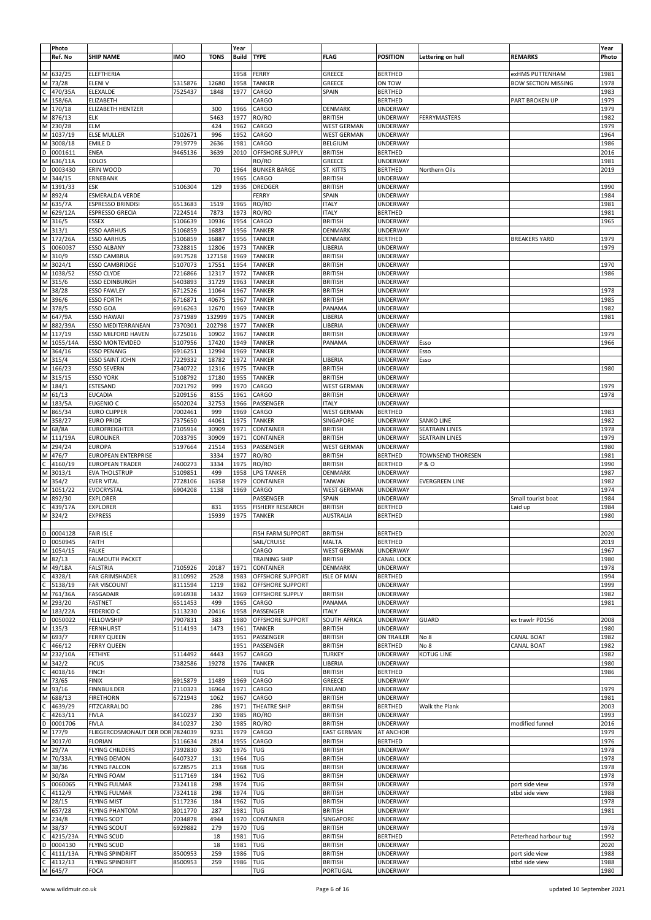|   | Photo       |                                          |                    |             | Year         |                         |                    |                             |                          |                            | Year  |
|---|-------------|------------------------------------------|--------------------|-------------|--------------|-------------------------|--------------------|-----------------------------|--------------------------|----------------------------|-------|
|   | Ref. No     | <b>SHIP NAME</b>                         | <b>IMO</b>         | <b>TONS</b> | <b>Build</b> | <b>TYPE</b>             | <b>FLAG</b>        | <b>POSITION</b>             | Lettering on hull        | <b>REMARKS</b>             | Photo |
|   |             |                                          |                    |             |              |                         |                    |                             |                          |                            |       |
|   | M 632/25    | <b>ELEFTHERIA</b>                        |                    |             | 1958         | FERRY                   | GREECE             | <b>BERTHED</b>              |                          | exHMS PUTTENHAM            | 1981  |
|   | M 73/28     | <b>ELENIV</b>                            | 5315876            | 12680       | 1958         | <b>TANKER</b>           | GREECE             | ON TOW                      |                          | <b>BOW SECTION MISSING</b> | 1978  |
| C | 470/35A     | ELEXALDE                                 | 7525437            | 1848        | 1977         | CARGO                   | SPAIN              | <b>BERTHED</b>              |                          |                            | 1983  |
|   | M 158/6A    | ELIZABETH                                |                    |             |              | CARGO                   |                    | <b>BERTHED</b>              |                          | PART BROKEN UP             | 1979  |
|   | M 170/18    | ELIZABETH HENTZER                        |                    | 300         | 1966         | CARGO                   | DENMARK            | UNDERWAY                    |                          |                            | 1979  |
|   | M 876/13    | ELK                                      |                    | 5463        | 1977         | RO/RO                   | <b>BRITISH</b>     | <b>UNDERWAY</b>             | FERRYMASTERS             |                            | 1982  |
|   | M 230/28    | <b>ELM</b>                               |                    | 424         | 1962         | CARGO                   | <b>WEST GERMAN</b> | UNDERWAY                    |                          |                            | 1979  |
|   | M 1037/19   | <b>ELSE MULLER</b>                       | 5102671            | 996         | 1952         | CARGO                   | <b>WEST GERMAN</b> | UNDERWAY                    |                          |                            | 1964  |
|   | M 3008/18   | EMILE D                                  | 7919779            | 2636        | 1981         | CARGO                   | <b>BELGIUM</b>     | UNDERWAY                    |                          |                            | 1986  |
|   | D 0001611   | ENEA                                     | 9465136            | 3639        | 2010         | OFFSHORE SUPPLY         | <b>BRITISH</b>     | <b>BERTHED</b>              |                          |                            | 2016  |
|   | M 636/11A   | <b>EOLOS</b>                             |                    |             |              | RO/RO                   | GREECE             | <b>UNDERWAY</b>             |                          |                            | 1981  |
| D | 0003430     | ERIN WOOD                                |                    | 70          | 1964         | <b>BUNKER BARGE</b>     | ST. KITTS          | <b>BERTHED</b>              | Northern Oils            |                            | 2019  |
|   | M 344/15    | ERNEBANK                                 |                    |             | 1965         | CARGO                   | <b>BRITISH</b>     | <b>UNDERWAY</b>             |                          |                            |       |
|   | M 1391/33   | ESK                                      | 5106304            | 129         | 1936         | DREDGER                 | <b>BRITISH</b>     | <b>UNDERWAY</b>             |                          |                            | 1990  |
|   | M 892/4     | ESMERALDA VERDE                          |                    |             |              | FERRY                   | SPAIN              | UNDERWAY                    |                          |                            | 1984  |
|   | M 635/7A    | <b>ESPRESSO BRINDISI</b>                 | 6513683            | 1519        | 1965         | RO/RO                   | <b>ITALY</b>       | <b>UNDERWAY</b>             |                          |                            | 1981  |
|   | M 629/12A   | ESPRESSO GRECIA                          | 7224514            | 7873        | 1973         | RO/RO                   | <b>ITALY</b>       | <b>BERTHED</b>              |                          |                            | 1981  |
|   | M 316/5     | ESSEX                                    | 5106639            | 10936       | 1954         | CARGO                   | <b>BRITISH</b>     | <b>UNDERWAY</b>             |                          |                            | 1965  |
|   | M 313/1     | <b>ESSO AARHUS</b>                       | 5106859            | 16887       | 1956         | <b>TANKER</b>           | DENMARK            | <b>UNDERWAY</b>             |                          |                            |       |
|   | M 172/26A   | <b>ESSO AARHUS</b>                       | 5106859            | 16887       | 1956         | TANKER                  | DENMARK            | <b>BERTHED</b>              |                          | <b>BREAKERS YARD</b>       | 1979  |
| S | 0060037     | <b>ESSO ALBANY</b>                       | 7328815            | 12806       | 1973         | <b>TANKER</b>           | LIBERIA            | <b>UNDERWAY</b>             |                          |                            | 1979  |
|   | M 310/9     | <b>ESSO CAMBRIA</b>                      | 6917528            | 127158      | 1969         | <b>TANKER</b>           | <b>BRITISH</b>     | UNDERWAY                    |                          |                            |       |
|   | M 3024/1    | <b>ESSO CAMBRIDGE</b>                    | 5107073            | 17551       | 1954         | <b>TANKER</b>           | <b>BRITISH</b>     | <b>UNDERWAY</b>             |                          |                            | 1970  |
|   | M 1038/52   | <b>ESSO CLYDE</b>                        | 7216866            | 12317       | 1972         | <b>TANKER</b>           | <b>BRITISH</b>     | UNDERWAY                    |                          |                            | 1986  |
|   | M 315/6     | <b>ESSO EDINBURGH</b>                    | 5403893            | 31729       | 1963         | <b>TANKER</b>           | <b>BRITISH</b>     | <b>UNDERWAY</b>             |                          |                            |       |
|   | M 38/28     | <b>ESSO FAWLEY</b>                       | 6712526            | 11064       | 1967         | <b>TANKER</b>           | <b>BRITISH</b>     | UNDERWAY                    |                          |                            | 1978  |
|   | M 396/6     | <b>ESSO FORTH</b>                        | 6716871            | 40675       | 1967         | <b>TANKER</b>           | <b>BRITISH</b>     | <b>UNDERWAY</b>             |                          |                            | 1985  |
|   | M 378/5     | ESSO GOA                                 | 6916263            | 12670       | 1969         | <b>TANKER</b>           | PANAMA             | <b>UNDERWAY</b>             |                          |                            | 1982  |
|   | M 647/9A    |                                          |                    | 132999      | 1975         | <b>TANKER</b>           |                    |                             |                          |                            | 1981  |
|   | M 882/39A   | <b>ESSO HAWAII</b><br>ESSO MEDITERRANEAN | 7371989<br>7370301 | 202798      | 1977         | <b>TANKER</b>           | LIBERIA<br>LIBERIA | UNDERWAY<br><b>UNDERWAY</b> |                          |                            |       |
|   | M 117/19    | ESSO MILFORD HAVEN                       | 6725016            | 10902       | 1967         | <b>TANKER</b>           | <b>BRITISH</b>     | <b>UNDERWAY</b>             |                          |                            | 1979  |
|   | M 1055/14A  | <b>ESSO MONTEVIDEO</b>                   | 5107956            | 17420       | 1949         | <b>TANKER</b>           | PANAMA             | UNDERWAY                    | Esso                     |                            | 1966  |
|   |             |                                          |                    |             |              |                         |                    |                             |                          |                            |       |
|   | M 364/16    | <b>ESSO PENANG</b>                       | 6916251            | 12994       | 1969         | <b>TANKER</b>           |                    | <b>UNDERWAY</b>             | Esso                     |                            |       |
|   | M 315/4     | <b>ESSO SAINT JOHN</b>                   | 7229332            | 18782       | 1972         | <b>TANKER</b>           | LIBERIA            | UNDERWAY                    | Esso                     |                            |       |
|   | M 166/23    | ESSO SEVERN                              | 7340722            | 12316       | 1975         | <b>TANKER</b>           | <b>BRITISH</b>     | UNDERWAY                    |                          |                            | 1980  |
|   | M 315/15    | <b>ESSO YORK</b>                         | 5108792            | 17180       | 1955         | <b>TANKER</b>           | <b>BRITISH</b>     | UNDERWAY                    |                          |                            |       |
|   | M 184/1     | ESTESAND                                 | 7021792            | 999         | 1970         | CARGO                   | <b>WEST GERMAN</b> | UNDERWAY                    |                          |                            | 1979  |
|   | $M$ 61/13   | <b>EUCADIA</b>                           | 5209156            | 8155        | 1961         | CARGO                   | <b>BRITISH</b>     | <b>UNDERWAY</b>             |                          |                            | 1978  |
|   | M 183/5A    | EUGENIO C                                | 6502024            | 32753       | 1966         | PASSENGER               | <b>ITALY</b>       | <b>UNDERWAY</b>             |                          |                            |       |
|   | M 865/34    | <b>EURO CLIPPER</b>                      | 7002461            | 999         | 1969         | CARGO                   | <b>WEST GERMAN</b> | <b>BERTHED</b>              |                          |                            | 1983  |
|   | M 358/27    | <b>EURO PRIDE</b>                        | 7375650            | 44061       | 1975         | <b>TANKER</b>           | SINGAPORE          | <b>UNDERWAY</b>             | <b>SANKO LINE</b>        |                            | 1982  |
|   | M 68/8A     | <b>EUROFREIGHTER</b>                     | 7105914            | 30909       | 1971         | CONTAINER               | <b>BRITISH</b>     | <b>UNDERWAY</b>             | <b>SEATRAIN LINES</b>    |                            | 1978  |
|   | M 111/19A   | <b>EUROLINER</b>                         | 7033795            | 30909       | 1971         | CONTAINER               | <b>BRITISH</b>     | UNDERWAY                    | <b>SEATRAIN LINES</b>    |                            | 1979  |
|   | M 294/24    | <b>EUROPA</b>                            | 5197664            | 21514       | 1953         | PASSENGER               | <b>WEST GERMAN</b> | <b>UNDERWAY</b>             |                          |                            | 1980  |
|   | M 476/7     | <b>EUROPEAN ENTERPRISE</b>               |                    | 3334        | 1977         | RO/RO                   | <b>BRITISH</b>     | <b>BERTHED</b>              | <b>TOWNSEND THORESEN</b> |                            | 1981  |
| C | 4160/19     | <b>EUROPEAN TRADER</b>                   | 7400273            | 3334        | 1975         | RO/RO                   | <b>BRITISH</b>     | <b>BERTHED</b>              | <b>P&amp;O</b>           |                            | 1990  |
|   | M 3013/1    | <b>EVA THOLSTRUP</b>                     | 5109851            | 499         | 1958         | LPG TANKER              | DENMARK            | <b>UNDERWAY</b>             |                          |                            | 1987  |
|   | M 354/2     | <b>EVER VITAL</b>                        | 7728106            | 16358       | 1979         | CONTAINER               | <b>TAIWAN</b>      | UNDERWAY                    | <b>EVERGREEN LINE</b>    |                            | 1982  |
|   | M 1051/22   | EVOCRYSTAL                               | 6904208            | 1138        | 1969         | CARGO                   | <b>WEST GERMAN</b> | UNDERWAY                    |                          |                            | 1974  |
|   | M 892/30    | <b>EXPLORER</b>                          |                    |             |              | PASSENGER               | SPAIN              | <b>UNDERWAY</b>             |                          | Small tourist boat         | 1984  |
|   | 439/17A     | EXPLORER                                 |                    | 831         | 1955         | <b>FISHERY RESEARCH</b> | <b>BRITISH</b>     | <b>BERTHED</b>              |                          | Laid up                    | 1984  |
|   | M 324/2     | <b>EXPRESS</b>                           |                    | 15939       | 1975         | <b>TANKER</b>           | <b>AUSTRALIA</b>   | <b>BERTHED</b>              |                          |                            | 1980  |
|   |             |                                          |                    |             |              |                         |                    |                             |                          |                            |       |
|   | D 0004128   | <b>FAIR ISLE</b>                         |                    |             |              | FISH FARM SUPPORT       | <b>BRITISH</b>     | <b>BERTHED</b>              |                          |                            | 2020  |
|   | D 0050945   | FAITH                                    |                    |             |              | SAIL/CRUISE             | MALTA              | <b>BERTHED</b>              |                          |                            | 2019  |
|   | M 1054/15   | <b>FALKE</b>                             |                    |             |              | CARGO                   | <b>WEST GERMAN</b> | <b>UNDERWAY</b>             |                          |                            | 1967  |
|   | M 82/13     | <b>FALMOUTH PACKET</b>                   |                    |             |              | TRAINING SHIP           | <b>BRITISH</b>     | CANAL LOCK                  |                          |                            | 1980  |
|   | M 49/18A    | <b>FALSTRIA</b>                          | 7105926            | 20187       | 1971         | <b>CONTAINER</b>        | DENMARK            | <b>UNDERWAY</b>             |                          |                            | 1978  |
| C | 4328/1      | <b>FAR GRIMSHADER</b>                    | 8110992            | 2528        | 1983         | <b>OFFSHORE SUPPORT</b> | <b>ISLE OF MAN</b> | <b>BERTHED</b>              |                          |                            | 1994  |
|   | $C$ 5138/19 | <b>FAR VISCOUNT</b>                      | 8111594            | 1219        | 1982         | <b>OFFSHORE SUPPORT</b> |                    | <b>UNDERWAY</b>             |                          |                            | 1999  |
|   | M 761/36A   | <b>FASGADAIR</b>                         | 6916938            | 1432        | 1969         | <b>OFFSHORE SUPPLY</b>  | <b>BRITISH</b>     | <b>UNDERWAY</b>             |                          |                            | 1982  |
|   | M 293/20    | <b>FASTNET</b>                           | 6511453            | 499         | 1965         | CARGO                   | PANAMA             | <b>UNDERWAY</b>             |                          |                            | 1981  |
|   | M 183/22A   | <b>FEDERICO C</b>                        | 5113230            | 20416       | 1958         | PASSENGER               | <b>ITALY</b>       | <b>UNDERWAY</b>             |                          |                            |       |
|   | D 0050022   | <b>FELLOWSHIP</b>                        | 7907831            | 383         | 1980         | <b>OFFSHORE SUPPORT</b> | SOUTH AFRICA       | <b>UNDERWAY</b>             | <b>GUARD</b>             | ex trawlr PD156            | 2008  |
|   | M 135/3     | <b>FERNHURST</b>                         | 5114193            | 1473        | 1961         | <b>TANKER</b>           | <b>BRITISH</b>     | UNDERWAY                    |                          |                            | 1980  |
|   | M 693/7     | <b>FERRY QUEEN</b>                       |                    |             | 1951         | PASSENGER               | <b>BRITISH</b>     | ON TRAILER                  | No 8                     | CANAL BOAT                 | 1982  |
|   | $C$ 466/12  | <b>FERRY QUEEN</b>                       |                    |             | 1951         | PASSENGER               | <b>BRITISH</b>     | <b>BERTHED</b>              | No 8                     | CANAL BOAT                 | 1982  |
|   | M 232/10A   | FETHIYE                                  | 5114492            | 4443        | 1957         | CARGO                   | <b>TURKEY</b>      | <b>UNDERWAY</b>             | <b>KOTUG LINE</b>        |                            | 1982  |
|   | M 342/2     | <b>FICUS</b>                             | 7382586            | 19278       | 1976         | <b>TANKER</b>           | LIBERIA            | <b>UNDERWAY</b>             |                          |                            | 1980  |
|   | $C$ 4018/16 | <b>FINCH</b>                             |                    |             |              | TUG                     | <b>BRITISH</b>     | <b>BERTHED</b>              |                          |                            | 1986  |
|   | M 73/65     | <b>FINIX</b>                             | 6915879            | 11489       | 1969         | CARGO                   | GREECE             | UNDERWAY                    |                          |                            |       |
|   | M 93/16     | <b>FINNBUILDER</b>                       | 7110323            | 16964       | 1971         | CARGO                   | <b>FINLAND</b>     | <b>UNDERWAY</b>             |                          |                            | 1979  |
|   | M 688/13    | <b>FIRETHORN</b>                         | 6721943            | 1062        | 1967         | CARGO                   | <b>BRITISH</b>     | <b>UNDERWAY</b>             |                          |                            | 1981  |
| C | 4639/29     | FITZCARRALDO                             |                    | 286         | 1971         | THEATRE SHIP            | <b>BRITISH</b>     | <b>BERTHED</b>              | Walk the Plank           |                            | 2003  |
| С | 4263/11     | <b>FIVLA</b>                             | 8410237            | 230         | 1985         | RO/RO                   | <b>BRITISH</b>     | <b>UNDERWAY</b>             |                          |                            | 1993  |
| D | 0001706     | <b>FIVLA</b>                             | 8410237            | 230         | 1985         | RO/RO                   | <b>BRITISH</b>     | <b>UNDERWAY</b>             |                          | modified funnel            | 2016  |
|   | M 177/9     | FLIEGERCOSMONAUT DER DDR 7824039         |                    | 9231        | 1979         | CARGO                   | <b>EAST GERMAN</b> | AT ANCHOR                   |                          |                            | 1979  |
|   | M 3017/0    | <b>FLORIAN</b>                           | 5116634            | 2814        | 1955         | CARGO                   | <b>BRITISH</b>     | <b>BERTHED</b>              |                          |                            | 1976  |
|   | M 29/7A     | <b>FLYING CHILDERS</b>                   | 7392830            | 330         | 1976         | TUG                     | <b>BRITISH</b>     | <b>UNDERWAY</b>             |                          |                            | 1978  |
|   | M 70/33A    | <b>FLYING DEMON</b>                      | 6407327            | 131         | 1964         | TUG                     | <b>BRITISH</b>     | <b>UNDERWAY</b>             |                          |                            | 1978  |
|   | M 38/36     | <b>FLYING FALCON</b>                     | 6728575            | 213         | 1968         | TUG                     | <b>BRITISH</b>     | <b>UNDERWAY</b>             |                          |                            | 1978  |
|   | M 30/8A     | <b>FLYING FOAM</b>                       | 5117169            | 184         | 1962         | TUG                     | <b>BRITISH</b>     | <b>UNDERWAY</b>             |                          |                            | 1978  |
| S | 0060065     | <b>FLYING FULMAR</b>                     | 7324118            | 298         | 1974         | TUG                     | <b>BRITISH</b>     | <b>UNDERWAY</b>             |                          | port side view             | 1978  |
| C | 4112/9      | <b>FLYING FULMAR</b>                     | 7324118            | 298         | 1974         | TUG                     | <b>BRITISH</b>     | <b>UNDERWAY</b>             |                          | stbd side view             | 1988  |
|   | M 28/15     | <b>FLYING MIST</b>                       | 5117236            | 184         | 1962         | <b>TUG</b>              | <b>BRITISH</b>     | <b>UNDERWAY</b>             |                          |                            | 1978  |
|   | M 657/28    | <b>FLYING PHANTOM</b>                    | 8011770            | 287         | 1981         | TUG                     | <b>BRITISH</b>     | <b>UNDERWAY</b>             |                          |                            | 1981  |
|   | M 234/8     | <b>FLYING SCOT</b>                       | 7034878            | 4944        | 1970         | CONTAINER               | SINGAPORE          | <b>UNDERWAY</b>             |                          |                            |       |
|   | M 38/37     | <b>FLYING SCOUT</b>                      | 6929882            | 279         | 1970         | <b>TUG</b>              | <b>BRITISH</b>     | <b>UNDERWAY</b>             |                          |                            | 1978  |
| С | 4215/23A    | <b>FLYING SCUD</b>                       |                    | 18          | 1981         | TUG                     | <b>BRITISH</b>     | <b>BERTHED</b>              |                          | Peterhead harbour tug      | 1992  |
| D | 0004130     | <b>FLYING SCUD</b>                       |                    | 18          | 1981         | <b>TUG</b>              | <b>BRITISH</b>     | <b>UNDERWAY</b>             |                          |                            | 2020  |
| С | 4111/13A    | <b>FLYING SPINDRIFT</b>                  | 8500953            | 259         | 1986         | <b>TUG</b>              | <b>BRITISH</b>     | <b>UNDERWAY</b>             |                          | port side view             | 1988  |
| С | 4112/13     | <b>FLYING SPINDRIFT</b>                  | 8500953            | 259         | 1986         | TUG                     | <b>BRITISH</b>     | <b>UNDERWAY</b>             |                          | stbd side view             | 1988  |
|   | M 645/7     | FOCA                                     |                    |             |              | <b>TUG</b>              | PORTUGAL           | <b>UNDERWAY</b>             |                          |                            | 1980  |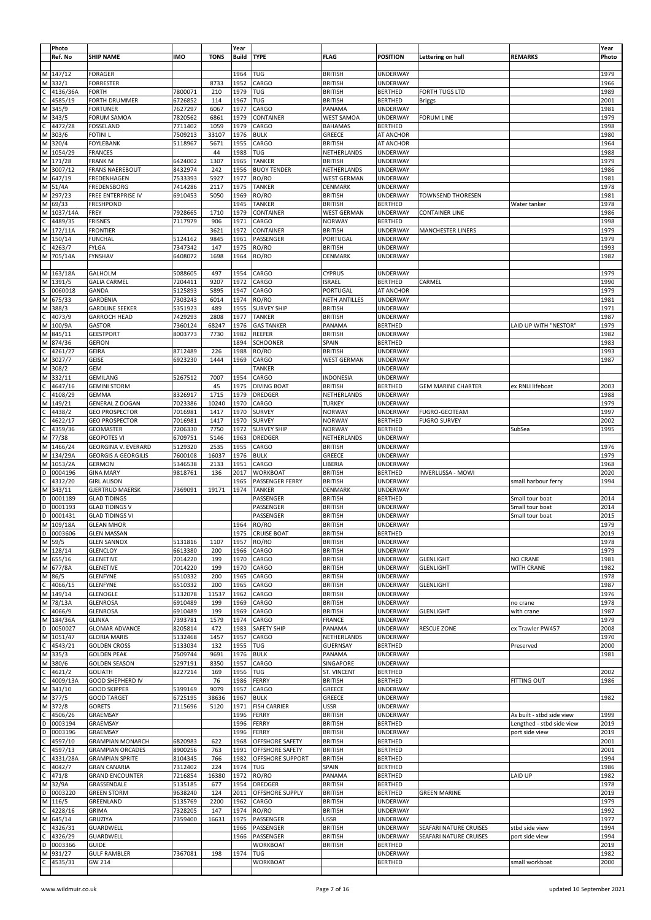|   | Photo       |                            |            |             | Year         |                         |                      |                 |                           |                           | Year  |
|---|-------------|----------------------------|------------|-------------|--------------|-------------------------|----------------------|-----------------|---------------------------|---------------------------|-------|
|   | Ref. No     | <b>SHIP NAME</b>           | <b>IMO</b> | <b>TONS</b> | <b>Build</b> | <b>TYPE</b>             | <b>FLAG</b>          | <b>POSITION</b> | Lettering on hull         | <b>REMARKS</b>            | Photo |
|   |             |                            |            |             |              |                         |                      |                 |                           |                           |       |
|   | M 147/12    | <b>FORAGER</b>             |            |             | 1964         | TUG                     | <b>BRITISH</b>       | <b>UNDERWAY</b> |                           |                           | 1979  |
|   | M 332/1     | <b>FORRESTER</b>           |            | 8733        | 1952         | CARGO                   | <b>BRITISH</b>       | UNDERWAY        |                           |                           | 1966  |
| С | 4136/36A    | FORTH                      | 7800071    | 210         | 1979         | TUG                     | <b>BRITISH</b>       | <b>BERTHED</b>  | FORTH TUGS LTD            |                           | 1989  |
|   |             |                            |            |             |              |                         |                      |                 |                           |                           |       |
|   | 4585/19     | FORTH DRUMMER              | 6726852    | 114         | 1967         | TUG                     | <b>BRITISH</b>       | <b>BERTHED</b>  | <b>Briggs</b>             |                           | 2001  |
|   | M 345/9     | <b>FORTUNER</b>            | 7627297    | 6067        | 1977         | CARGO                   | PANAMA               | UNDERWAY        |                           |                           | 1981  |
|   | M 343/5     | FORUM SAMOA                | 7820562    | 6861        | 1979         | CONTAINER               | <b>WEST SAMOA</b>    | <b>UNDERWAY</b> | <b>FORUM LINE</b>         |                           | 1979  |
|   | 4472/28     | <b>FOSSELAND</b>           | 7711402    | 1059        | 1979         | CARGO                   | <b>BAHAMAS</b>       | <b>BERTHED</b>  |                           |                           | 1998  |
|   | M 303/6     | FOTINI L                   | 7509213    | 33107       | 1976         | <b>BULK</b>             | GREECE               | AT ANCHOR       |                           |                           | 1980  |
|   |             |                            |            |             |              |                         |                      |                 |                           |                           |       |
|   | M 320/4     | <b>FOYLEBANK</b>           | 5118967    | 5671        | 1955         | CARGO                   | <b>BRITISH</b>       | AT ANCHOR       |                           |                           | 1964  |
|   | M 1054/29   | <b>FRANCES</b>             |            | 44          | 1988         | <b>TUG</b>              | NETHERLANDS          | <b>UNDERWAY</b> |                           |                           | 1988  |
|   | M 171/28    | <b>FRANK M</b>             | 6424002    | 1307        | 1965         | <b>TANKER</b>           | <b>BRITISH</b>       | <b>UNDERWAY</b> |                           |                           | 1979  |
|   | M 3007/12   | <b>FRANS NAEREBOUT</b>     | 8432974    | 242         | 1956         | <b>BUOY TENDER</b>      | NETHERLANDS          | <b>UNDERWAY</b> |                           |                           | 1986  |
|   | M 647/19    | FREDENHAGEN                | 7533393    | 5927        | 1977         | RO/RO                   | <b>WEST GERMAN</b>   | UNDERWAY        |                           |                           | 1981  |
|   |             |                            |            |             |              |                         |                      |                 |                           |                           |       |
|   | M 51/4A     | FREDENSBORG                | 7414286    | 2117        | 1975         | <b>TANKER</b>           | DENMARK              | <b>UNDERWAY</b> |                           |                           | 1978  |
|   | M 297/23    | FREE ENTERPRISE IV         | 6910453    | 5050        | 1969         | RO/RO                   | <b>BRITISH</b>       | <b>UNDERWAY</b> | TOWNSEND THORESEN         |                           | 1981  |
|   | M 69/33     | <b>FRESHPOND</b>           |            |             | 1945         | <b>TANKER</b>           | <b>BRITISH</b>       | <b>BERTHED</b>  |                           | Water tanker              | 1978  |
|   | M 1037/14A  | FREY                       | 7928665    | 1710        | 1979         | CONTAINER               | <b>WEST GERMAN</b>   | <b>UNDERWAY</b> | <b>CONTAINER LINE</b>     |                           | 1986  |
|   | 4489/35     | <b>FRISNES</b>             | 7117979    | 906         | 1971         | CARGO                   | <b>NORWAY</b>        | <b>BERTHED</b>  |                           |                           | 1998  |
|   |             |                            |            | 3621        | 1972         |                         |                      |                 |                           |                           | 1979  |
|   | M 172/11A   | <b>FRONTIER</b>            |            |             |              | CONTAINER               | <b>BRITISH</b>       | <b>UNDERWAY</b> | <b>MANCHESTER LINERS</b>  |                           |       |
|   | M 150/14    | <b>FUNCHAL</b>             | 5124162    | 9845        | 1961         | PASSENGER               | PORTUGAL             | UNDERWAY        |                           |                           | 1979  |
|   | 4263/7      | FYLGA                      | 7347342    | 147         | 1975         | RO/RO                   | <b>BRITISH</b>       | <b>UNDERWAY</b> |                           |                           | 1993  |
|   | M 705/14A   | <b>FYNSHAV</b>             | 6408072    | 1698        | 1964         | RO/RO                   | DENMARK              | <b>UNDERWAY</b> |                           |                           | 1982  |
|   |             |                            |            |             |              |                         |                      |                 |                           |                           |       |
|   | M 163/18A   |                            |            | 497         | 1954         |                         |                      |                 |                           |                           |       |
|   |             | GALHOLM                    | 5088605    |             |              | CARGO                   | <b>CYPRUS</b>        | <b>UNDERWAY</b> |                           |                           | 1979  |
|   | M 1391/5    | <b>GALIA CARMEL</b>        | 7204411    | 9207        | 1972         | CARGO                   | <b>ISRAEL</b>        | <b>BERTHED</b>  | CARMEL                    |                           | 1990  |
|   | 0060018     | GANDA                      | 5125893    | 5895        | 1947         | CARGO                   | PORTUGAL             | AT ANCHOR       |                           |                           | 1979  |
|   | M 675/33    | GARDENIA                   | 7303243    | 6014        | 1974         | RO/RO                   | <b>NETH ANTILLES</b> | UNDERWAY        |                           |                           | 1981  |
|   | M 388/3     | <b>GARDLINE SEEKER</b>     | 5351923    | 489         | 1955         | <b>SURVEY SHIP</b>      | <b>BRITISH</b>       | <b>UNDERWAY</b> |                           |                           | 1971  |
|   | 4073/9      | GARROCH HEAD               | 7429293    | 2808        | 1977         | <b>TANKER</b>           | <b>BRITISH</b>       | <b>UNDERWAY</b> |                           |                           | 1987  |
|   |             |                            |            |             |              |                         |                      |                 |                           |                           |       |
|   | M 100/9A    | GASTOR                     | 7360124    | 68247       | 1976         | <b>GAS TANKER</b>       | PANAMA               | <b>BERTHED</b>  |                           | LAID UP WITH "NESTOR"     | 1979  |
|   | M 845/11    | GEESTPORT                  | 8003773    | 7730        | 1982         | REEFER                  | <b>BRITISH</b>       | <b>UNDERWAY</b> |                           |                           | 1982  |
|   | M 874/36    | GEFION                     |            |             | 1894         | <b>SCHOONER</b>         | SPAIN                | <b>BERTHED</b>  |                           |                           | 1983  |
|   | $C$ 4261/27 | <b>GEIRA</b>               | 8712489    | 226         | 1988         | RO/RO                   | <b>BRITISH</b>       | UNDERWAY        |                           |                           | 1993  |
|   | M 3027/7    | GEISE                      | 6923230    | 1444        | 1969         | CARGO                   | <b>WEST GERMAN</b>   | UNDERWAY        |                           |                           | 1987  |
|   | M 308/2     | GEM                        |            |             |              | <b>TANKER</b>           |                      | UNDERWAY        |                           |                           |       |
|   |             |                            |            |             |              |                         |                      |                 |                           |                           |       |
|   | M 332/11    | GEMILANG                   | 5267512    | 7007        | 1954         | CARGO                   | <b>INDONESIA</b>     | <b>UNDERWAY</b> |                           |                           |       |
|   | 4647/16     | <b>GEMINI STORM</b>        |            | 45          | 1975         | <b>DIVING BOAT</b>      | <b>BRITISH</b>       | <b>BERTHED</b>  | <b>GEM MARINE CHARTER</b> | ex RNLI lifeboat          | 2003  |
|   | 4108/29     | <b>GEMMA</b>               | 8326917    | 1715        | 1979         | DREDGER                 | NETHERLANDS          | <b>UNDERWAY</b> |                           |                           | 1988  |
|   | M 149/21    | GENERAL Z DOGAN            | 7023386    | 10240       | 1970         | CARGO                   | TURKEY               | <b>UNDERWAY</b> |                           |                           | 1979  |
|   | 4438/2      | <b>GEO PROSPECTOR</b>      | 7016981    | 1417        | 1970         | <b>SURVEY</b>           | <b>NORWAY</b>        | <b>UNDERWAY</b> | FUGRO-GEOTEAM             |                           | 1997  |
|   | 4622/17     | <b>GEO PROSPECTOR</b>      | 7016981    | 1417        | 1970         | <b>SURVEY</b>           | <b>NORWAY</b>        | <b>BERTHED</b>  | <b>FUGRO SURVEY</b>       |                           | 2002  |
| С | 4359/36     | <b>GEOMASTER</b>           | 7206330    | 7750        | 1972         | <b>SURVEY SHIP</b>      | <b>NORWAY</b>        | <b>BERTHED</b>  |                           | SubSea                    | 1995  |
|   | M 77/38     | <b>GEOPOTES VI</b>         |            | 5146        | 1963         | DREDGER                 |                      |                 |                           |                           |       |
|   |             |                            | 6709751    |             |              |                         | NETHERLANDS          | UNDERWAY        |                           |                           |       |
|   | M 1466/24   | GEORGINA V. EVERARD        | 5129320    | 2535        | 1955         | CARGO                   | <b>BRITISH</b>       | UNDERWAY        |                           |                           | 1976  |
|   | M 134/29A   | <b>GEORGIS A GEORGILIS</b> | 7600108    | 16037       | 1976         | <b>BULK</b>             | GREECE               | UNDERWAY        |                           |                           | 1979  |
|   | M 1053/2A   | <b>GERMON</b>              | 5346538    | 2133        | 1951         | CARGO                   | LIBERIA              | <b>UNDERWAY</b> |                           |                           | 1968  |
| D | 0004196     | <b>GINA MARY</b>           | 9818761    | 136         | 2017         | <b>WORKBOAT</b>         | <b>BRITISH</b>       | <b>BERTHED</b>  | <b>INVERLUSSA - MOWI</b>  |                           | 2020  |
| C | 4312/20     | <b>GIRL ALISON</b>         |            |             | 1965         | PASSENGER FERRY         | <b>BRITISH</b>       | UNDERWAY        |                           | small harbour ferry       | 1994  |
| Μ | 343/11      | <b>GJERTRUD MAERSK</b>     | 7369091    | 19171       | 1974         | <b>TANKER</b>           | DENMARK              | <b>UNDERWAY</b> |                           |                           |       |
| D | 0001189     | <b>GLAD TIDINGS</b>        |            |             |              | PASSENGER               | <b>BRITISH</b>       | <b>BERTHED</b>  |                           | Small tour boat           | 2014  |
|   |             |                            |            |             |              |                         |                      |                 |                           |                           |       |
| D | 0001193     | <b>GLAD TIDINGS V</b>      |            |             |              | PASSENGER               | <b>BRITISH</b>       | UNDERWAY        |                           | Small tour boat           | 2014  |
| D | 0001431     | <b>GLAD TIDINGS VI</b>     |            |             |              | PASSENGER               | <b>BRITISH</b>       | UNDERWAY        |                           | Small tour boat           | 2015  |
|   | M 109/18A   | <b>GLEAN MHOR</b>          |            |             | 1964         | RO/RO                   | <b>BRITISH</b>       | UNDERWAY        |                           |                           | 1979  |
|   | D 0003606   | <b>GLEN MASSAN</b>         |            |             |              | 1975   LRUISE BOAT      | BRITISH              | <b>BERIHED</b>  |                           |                           | 2019  |
|   | M 59/5      | <b>GLEN SANNOX</b>         | 5131816    | 1107        | 1957         | RO/RO                   | <b>BRITISH</b>       | UNDERWAY        |                           |                           | 1978  |
|   | M 128/14    | <b>GLENCLOY</b>            | 6613380    | 200         | 1966         | CARGO                   | <b>BRITISH</b>       | <b>UNDERWAY</b> |                           |                           | 1979  |
|   | M 655/16    | <b>GLENETIVE</b>           | 7014220    | 199         | 1970         | CARGO                   | <b>BRITISH</b>       | <b>UNDERWAY</b> | <b>GLENLIGHT</b>          | NO CRANE                  | 1981  |
|   |             |                            |            |             |              |                         |                      |                 |                           |                           |       |
|   | M 677/8A    | <b>GLENETIVE</b>           | 7014220    | 199         | 1970         | CARGO                   | <b>BRITISH</b>       | <b>UNDERWAY</b> | <b>GLENLIGHT</b>          | <b>WITH CRANE</b>         | 1982  |
|   | M 86/5      | <b>GLENFYNE</b>            | 6510332    | 200         | 1965         | CARGO                   | <b>BRITISH</b>       | <b>UNDERWAY</b> |                           |                           | 1978  |
| C | 4066/15     | GLENFYNE                   | 6510332    | 200         | 1965         | CARGO                   | <b>BRITISH</b>       | <b>UNDERWAY</b> | <b>GLENLIGHT</b>          |                           | 1987  |
|   | M 149/14    | GLENOGLE                   | 5132078    | 11537       | 1962         | CARGO                   | <b>BRITISH</b>       | <b>UNDERWAY</b> |                           |                           | 1976  |
|   | M 78/13A    | <b>GLENROSA</b>            | 6910489    | 199         | 1969         | CARGO                   | <b>BRITISH</b>       | <b>UNDERWAY</b> |                           | no crane                  | 1978  |
|   |             |                            |            |             |              |                         |                      |                 |                           |                           |       |
| C | 4066/9      | <b>GLENROSA</b>            | 6910489    | 199         | 1969         | CARGO                   | <b>BRITISH</b>       | <b>UNDERWAY</b> | <b>GLENLIGHT</b>          | with crane                | 1987  |
|   | M 184/36A   | <b>GLINKA</b>              | 7393781    | 1579        | 1974         | CARGO                   | <b>FRANCE</b>        | <b>UNDERWAY</b> |                           |                           | 1979  |
|   | D 0050027   | <b>GLOMAR ADVANCE</b>      | 8205814    | 472         | 1983         | SAFETY SHIP             | PANAMA               | <b>UNDERWAY</b> | <b>RESCUE ZONE</b>        | ex Trawler PW457          | 2008  |
|   | M 1051/47   | <b>GLORIA MARIS</b>        | 5132468    | 1457        | 1957         | CARGO                   | NETHERLANDS          | <b>UNDERWAY</b> |                           |                           | 1970  |
| C | 4543/21     | <b>GOLDEN CROSS</b>        | 5133034    | 132         | 1955         | TUG                     | <b>GUERNSAY</b>      | <b>BERTHED</b>  |                           | Preserved                 | 2000  |
|   | M 335/3     | <b>GOLDEN PEAK</b>         | 7509744    | 9691        | 1976         | <b>BULK</b>             | PANAMA               | <b>UNDERWAY</b> |                           |                           | 1981  |
|   | M 380/6     | <b>GOLDEN SEASON</b>       | 5297191    | 8350        | 1957         | CARGO                   | SINGAPORE            | <b>UNDERWAY</b> |                           |                           |       |
| С | 4621/2      | <b>GOLIATH</b>             | 8227214    | 169         | 1956         | TUG                     | ST. VINCENT          | <b>BERTHED</b>  |                           |                           | 2002  |
|   |             |                            |            |             |              |                         |                      |                 |                           |                           |       |
|   | 4009/13A    | GOOD SHEPHERD IV           |            | 76          | 1986         | FERRY                   | <b>BRITISH</b>       | <b>BERTHED</b>  |                           | FITTING OUT               | 1986  |
|   | M 341/10    | <b>GOOD SKIPPER</b>        | 5399169    | 9079        | 1957         | CARGO                   | GREECE               | <b>UNDERWAY</b> |                           |                           |       |
|   | M 377/5     | <b>GOOD TARGET</b>         | 6725195    | 38636       | 1967         | <b>BULK</b>             | GREECE               | <b>UNDERWAY</b> |                           |                           | 1982  |
|   | M 372/8     | <b>GORETS</b>              | 7115696    | 5120        | 1971         | <b>FISH CARRIER</b>     | <b>USSR</b>          | <b>UNDERWAY</b> |                           |                           |       |
| С | 4506/26     | GRAEMSAY                   |            |             | 1996         | FERRY                   | <b>BRITISH</b>       | UNDERWAY        |                           | As built - stbd side view | 1999  |
| D | 0003194     | GRAEMSAY                   |            |             | 1996         | FERRY                   | <b>BRITISH</b>       | <b>BERTHED</b>  |                           | Lengthed - stbd side view | 2019  |
| D | 0003196     | GRAEMSAY                   |            |             | 1996         | FERRY                   | <b>BRITISH</b>       | <b>UNDERWAY</b> |                           | port side view            | 2019  |
| C | 4597/10     | <b>GRAMPIAN MONARCH</b>    | 6820983    | 622         | 1968         | OFFSHORE SAFETY         | <b>BRITISH</b>       | <b>BERTHED</b>  |                           |                           | 2001  |
|   |             |                            |            |             |              | OFFSHORE SAFETY         |                      |                 |                           |                           | 2001  |
| C | 4597/13     | <b>GRAMPIAN ORCADES</b>    | 8900256    | 763         | 1991         |                         | <b>BRITISH</b>       | <b>BERTHED</b>  |                           |                           |       |
| С | 4331/28A    | <b>GRAMPIAN SPRITE</b>     | 8104345    | 766         | 1982         | <b>OFFSHORE SUPPORT</b> | <b>BRITISH</b>       | <b>BERTHED</b>  |                           |                           | 1994  |
| С | 4042/7      | <b>GRAN CANARIA</b>        | 7312402    | 224         | 1974         | TUG                     | SPAIN                | <b>BERTHED</b>  |                           |                           | 1986  |
| C | 471/8       | <b>GRAND ENCOUNTER</b>     | 7216854    | 16380       | 1972         | RO/RO                   | PANAMA               | <b>BERTHED</b>  |                           | LAID UP                   | 1982  |
|   | M 32/9A     | GRASSENDALE                | 5135185    | 677         | 1954         | DREDGER                 | <b>BRITISH</b>       | <b>BERTHED</b>  |                           |                           | 1978  |
|   | D 0003220   | <b>GREEN STORM</b>         | 9638240    | 124         | 2011         | <b>OFFSHORE SUPPLY</b>  | <b>BRITISH</b>       | <b>BERTHED</b>  | <b>GREEN MARINE</b>       |                           | 2019  |
|   | M 116/5     | GREENLAND                  | 5135769    | 2200        | 1962         | CARGO                   | <b>BRITISH</b>       | <b>UNDERWAY</b> |                           |                           | 1979  |
|   | C 4228/16   | GRIMA                      | 7328205    | 147         | 1974         | RO/RO                   | <b>BRITISH</b>       | <b>UNDERWAY</b> |                           |                           | 1992  |
|   |             |                            |            |             |              |                         |                      |                 |                           |                           |       |
|   | M 645/14    | GRUZIYA                    | 7359400    | 16631       | 1975         | PASSENGER               | <b>USSR</b>          | <b>UNDERWAY</b> |                           |                           | 1977  |
| С | 4326/31     | GUARDWELL                  |            |             | 1966         | PASSENGER               | <b>BRITISH</b>       | <b>UNDERWAY</b> | SEAFARI NATURE CRUISES    | stbd side view            | 1994  |
| C | 4326/29     | GUARDWELL                  |            |             | 1966         | PASSENGER               | <b>BRITISH</b>       | <b>UNDERWAY</b> | SEAFARI NATURE CRUISES    | port side view            | 1994  |
| D | 0003366     | <b>GUIDE</b>               |            |             |              | <b>WORKBOAT</b>         | <b>BRITISH</b>       | <b>BERTHED</b>  |                           |                           | 2019  |
|   | M 931/27    | <b>GULF RAMBLER</b>        | 7367081    | 198         | 1974         | TUG                     |                      | <b>UNDERWAY</b> |                           |                           | 1982  |
| C | 4535/31     | GW 214                     |            |             |              | <b>WORKBOAT</b>         |                      | <b>BERTHED</b>  |                           | small workboat            | 2000  |
|   |             |                            |            |             |              |                         |                      |                 |                           |                           |       |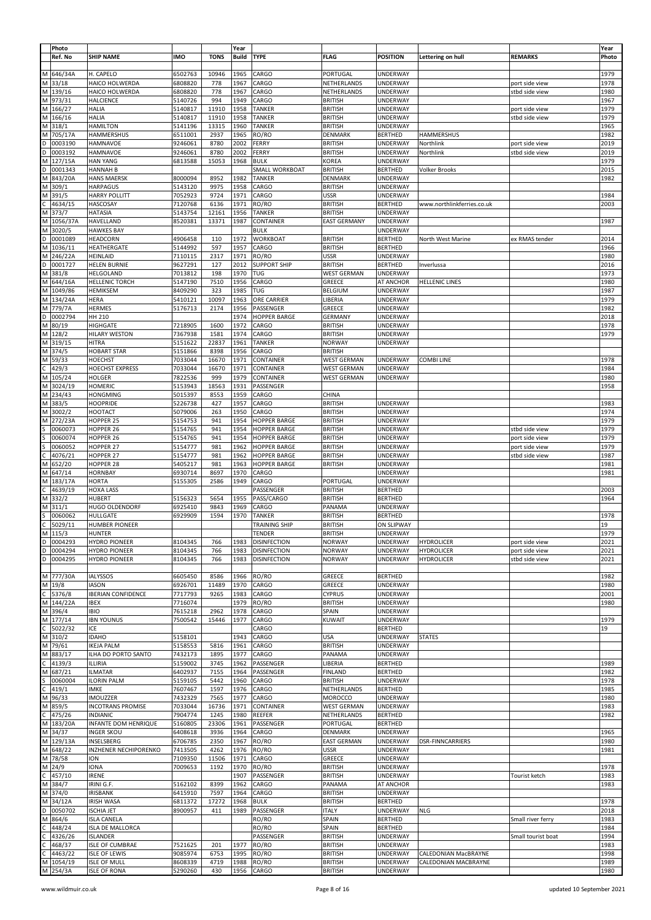| Photo         |                           |            |             | Year         |                      |                     |                 |                            |                    | Year  |
|---------------|---------------------------|------------|-------------|--------------|----------------------|---------------------|-----------------|----------------------------|--------------------|-------|
|               |                           |            |             |              |                      |                     |                 |                            |                    |       |
| Ref. No       | <b>SHIP NAME</b>          | <b>IMO</b> | <b>TONS</b> | <b>Build</b> | <b>TYPE</b>          | <b>FLAG</b>         | <b>POSITION</b> | Lettering on hull          | <b>REMARKS</b>     | Photo |
|               |                           |            |             |              |                      |                     |                 |                            |                    |       |
| 646/34A<br>м  | H. CAPELO                 | 6502763    | 10946       | 1965         | CARGO                | PORTUGAL            | UNDERWAY        |                            |                    | 1979  |
| M 33/18       | HAICO HOLWERDA            | 6808820    | 778         | 1967         | CARGO                | NETHERLANDS         | <b>UNDERWAY</b> |                            | port side view     | 1978  |
| M 139/16      | HAICO HOLWERDA            | 6808820    | 778         | 1967         | CARGO                | NETHERLANDS         | <b>UNDERWAY</b> |                            | stbd side view     | 1980  |
| 973/31<br>М   | <b>HALCIENCE</b>          | 5140726    | 994         | 1949         | CARGO                | <b>BRITISH</b>      | <b>UNDERWAY</b> |                            |                    | 1967  |
|               |                           |            |             |              |                      |                     |                 |                            |                    |       |
| 166/27<br>М   | <b>HALIA</b>              | 5140817    | 11910       | 1958         | <b>TANKER</b>        | <b>BRITISH</b>      | <b>UNDERWAY</b> |                            | port side view     | 1979  |
| 166/16<br>М   | <b>HALIA</b>              | 5140817    | 11910       | 1958         | <b>TANKER</b>        | <b>BRITISH</b>      | <b>UNDERWAY</b> |                            | stbd side view     | 1979  |
| 318/1<br>М    | <b>HAMILTON</b>           | 5141196    | 13315       | 1960         | <b>TANKER</b>        | <b>BRITISH</b>      | UNDERWAY        |                            |                    | 1965  |
| М<br>705/17A  | HAMMERSHUS                | 6511001    | 2937        | 1965         | RO/RO                | DENMARK             | <b>BERTHED</b>  | <b>HAMMERSHUS</b>          |                    | 1982  |
| 0003190<br>D  | HAMNAVOE                  | 9246061    | 8780        | 2002         | FERRY                | <b>BRITISH</b>      | <b>UNDERWAY</b> | Northlink                  | port side view     | 2019  |
| 0003192<br>D  | HAMNAVOE                  | 9246061    | 8780        | 2002         | FERRY                | <b>BRITISH</b>      | UNDERWAY        | Northlink                  | stbd side view     | 2019  |
|               |                           |            |             |              |                      |                     |                 |                            |                    |       |
| 127/15A<br>М  | <b>HAN YANG</b>           | 6813588    | 15053       | 1968         | <b>BULK</b>          | KOREA               | UNDERWAY        |                            |                    | 1979  |
| D<br>0001343  | <b>HANNAH B</b>           |            |             |              | SMALL WORKBOAT       | <b>BRITISH</b>      | <b>BERTHED</b>  | <b>Volker Brooks</b>       |                    | 2015  |
| 843/20A<br>M  | <b>HANS MAERSK</b>        | 8000094    | 8952        | 1982         | <b>TANKER</b>        | DENMARK             | UNDERWAY        |                            |                    | 1982  |
| М<br>309/1    | <b>HARPAGUS</b>           | 5143120    | 9975        | 1958         | CARGO                | <b>BRITISH</b>      | UNDERWAY        |                            |                    |       |
| 391/5<br>М    | HARRY POLLITT             | 7052923    | 9724        | 1971         | CARGO                | <b>USSR</b>         | UNDERWAY        |                            |                    | 1984  |
| 4634/15       | <b>HASCOSAY</b>           | 7120768    | 6136        | 1971         | RO/RO                | <b>BRITISH</b>      | <b>BERTHED</b>  | www.northlinkferries.co.uk |                    | 2003  |
|               |                           |            |             |              |                      |                     |                 |                            |                    |       |
| 373/7<br>М    | <b>HATASIA</b>            | 5143754    | 12161       | 1956         | <b>TANKER</b>        | <b>BRITISH</b>      | UNDERWAY        |                            |                    |       |
| 1056/37A<br>М | HAVELLAND                 | 8520381    | 13371       | 1987         | CONTAINER            | <b>EAST GERMANY</b> | UNDERWAY        |                            |                    | 1987  |
| 3020/5<br>М   | <b>HAWKES BAY</b>         |            |             |              | <b>BULK</b>          |                     | <b>UNDERWAY</b> |                            |                    |       |
| 0001089<br>D  | HEADCORN                  | 4906458    | 110         | 1972         | <b>WORKBOAT</b>      | <b>BRITISH</b>      | <b>BERTHED</b>  | North West Marine          | ex RMAS tender     | 2014  |
| M<br>1036/11  | HEATHERGATE               | 5144992    | 597         | 1957         | CARGO                | <b>BRITISH</b>      | <b>BERTHED</b>  |                            |                    | 1966  |
|               |                           |            |             |              |                      |                     |                 |                            |                    |       |
| М<br>246/22A  | <b>HEINLAID</b>           | 7110115    | 2317        | 1971         | RO/RO                | <b>USSR</b>         | <b>UNDERWAY</b> |                            |                    | 1980  |
| D<br>0001727  | <b>HELEN BURNIE</b>       | 9627291    | 127         | 2012         | <b>SUPPORT SHIP</b>  | <b>BRITISH</b>      | <b>BERTHED</b>  | Inverlussa                 |                    | 2016  |
| M<br>381/8    | HELGOLAND                 | 7013812    | 198         | 1970         | TUG                  | <b>WEST GERMAN</b>  | UNDERWAY        |                            |                    | 1973  |
| М<br>644/16A  | <b>HELLENIC TORCH</b>     | 5147190    | 7510        | 1956         | CARGO                | GREECE              | AT ANCHOR       | <b>HELLENIC LINES</b>      |                    | 1980  |
| 1049/86<br>М  | <b>HEMIKSEM</b>           | 8409290    | 323         | 1985         | TUG                  | <b>BELGIUM</b>      | <b>UNDERWAY</b> |                            |                    | 1987  |
| M 134/24A     |                           | 5410121    | 10097       | 1963         |                      | LIBERIA             |                 |                            |                    | 1979  |
|               | HERA                      |            |             |              | ORE CARRIER          |                     | <b>UNDERWAY</b> |                            |                    |       |
| 779/7A<br>м   | <b>HERMES</b>             | 5176713    | 2174        | 1956         | PASSENGER            | GREECE              | <b>UNDERWAY</b> |                            |                    | 1982  |
| D<br>0002794  | HH 210                    |            |             | 1974         | <b>HOPPER BARGE</b>  | <b>GERMANY</b>      | UNDERWAY        |                            |                    | 2018  |
| 80/19<br>М    | <b>HIGHGATE</b>           | 7218905    | 1600        | 1972         | CARGO                | <b>BRITISH</b>      | <b>UNDERWAY</b> |                            |                    | 1978  |
| 128/2<br>М    | <b>HILARY WESTON</b>      | 7367938    | 1581        | 1974         | CARGO                | <b>BRITISH</b>      | <b>UNDERWAY</b> |                            |                    | 1979  |
| 319/15<br>М   | <b>HITRA</b>              | 5151622    | 22837       | 1961         | <b>TANKER</b>        | <b>NORWAY</b>       | UNDERWAY        |                            |                    |       |
|               | <b>HOBART STAR</b>        |            |             |              |                      |                     |                 |                            |                    |       |
| M 374/5       |                           | 5151866    | 8398        | 1956         | CARGO                | <b>BRITISH</b>      |                 |                            |                    |       |
| 59/33<br>М    | <b>HOECHST</b>            | 7033044    | 16670       | 1971         | CONTAINER            | <b>WEST GERMAN</b>  | <b>UNDERWAY</b> | <b>COMBI LINE</b>          |                    | 1978  |
| 429/3         | <b>HOECHST EXPRESS</b>    | 7033044    | 16670       | 1971         | CONTAINER            | <b>WEST GERMAN</b>  | <b>UNDERWAY</b> |                            |                    | 1984  |
| 105/24<br>М   | <b>HOLGER</b>             | 7822536    | 999         | 1979         | CONTAINER            | <b>WEST GERMAN</b>  | <b>UNDERWAY</b> |                            |                    | 1980  |
| 3024/19<br>М  | <b>HOMERIC</b>            | 5153943    | 18563       | 1931         | PASSENGER            |                     |                 |                            |                    | 1958  |
|               |                           |            |             |              |                      |                     |                 |                            |                    |       |
| 234/43<br>M   | <b>HONGMING</b>           | 5015397    | 8553        | 1959         | CARGO                | CHINA               |                 |                            |                    |       |
| М<br>383/5    | <b>HOOPRIDE</b>           | 5226738    | 427         | 1957         | CARGO                | <b>BRITISH</b>      | <b>UNDERWAY</b> |                            |                    | 1983  |
| M<br>3002/2   | <b>HOOTACT</b>            | 5079006    | 263         | 1950         | CARGO                | <b>BRITISH</b>      | <b>UNDERWAY</b> |                            |                    | 1974  |
| 272/23A<br>M  | HOPPER 25                 | 5154753    | 941         | 1954         | <b>HOPPER BARGE</b>  | <b>BRITISH</b>      | UNDERWAY        |                            |                    | 1979  |
| 0060073       | HOPPER 26                 | 5154765    | 941         | 1954         | <b>HOPPER BARGE</b>  | <b>BRITISH</b>      | <b>UNDERWAY</b> |                            | stbd side view     | 1979  |
| 0060074       | HOPPER 26                 | 5154765    | 941         | 1954         | <b>HOPPER BARGE</b>  | <b>BRITISH</b>      | UNDERWAY        |                            | port side view     | 1979  |
|               |                           |            |             |              |                      |                     |                 |                            |                    |       |
| 0060052       | HOPPER 27                 | 5154777    | 981         | 1962         | <b>HOPPER BARGE</b>  | <b>BRITISH</b>      | UNDERWAY        |                            | port side view     | 1979  |
| 4076/21       | HOPPER 27                 | 5154777    | 981         | 1962         | <b>HOPPER BARGE</b>  | <b>BRITISH</b>      | UNDERWAY        |                            | stbd side view     | 1987  |
| 652/20<br>M   | HOPPER 28                 | 5405217    | 981         | 1963         | <b>HOPPER BARGE</b>  | <b>BRITISH</b>      | UNDERWAY        |                            |                    | 1981  |
| 647/14<br>М   | <b>HORNBAY</b>            | 6930714    | 8697        | 1970         | CARGO                |                     | UNDERWAY        |                            |                    | 1981  |
| 183/17A<br>Μ  | <b>HORTA</b>              | 5155305    | 2586        | 1949         | CARGO                | PORTUGAL            | <b>UNDERWAY</b> |                            |                    |       |
| 4639/19       |                           |            |             |              |                      | <b>BRITISH</b>      |                 |                            |                    | 2003  |
|               | <b>HOXA LASS</b>          |            |             |              | PASSENGER            |                     | <b>BERTHED</b>  |                            |                    |       |
| 332/2<br>М    | <b>HUBERT</b>             | 5156323    | 5654        | 1955         | PASS/CARGO           | <b>BRITISH</b>      | <b>BERTHED</b>  |                            |                    | 1964  |
| 311/1<br>М    | <b>HUGO OLDENDORF</b>     | 6925410    | 9843        | 1969         | CARGO                | PANAMA              | <b>UNDERWAY</b> |                            |                    |       |
| 0060062       | <b>HULLGATE</b>           | 6929909    | 1594        | 1970         | <b>TANKER</b>        | <b>BRITISH</b>      | <b>BERTHED</b>  |                            |                    | 1978  |
| C<br>5029/11  | <b>HUMBER PIONEER</b>     |            |             |              | <b>TRAINING SHIP</b> | <b>BRITISH</b>      | ON SLIPWAY      |                            |                    | 19    |
| M   115/3     | HUNTER                    |            |             |              | TENDER               | BRITISH             | UNDERWAY        |                            |                    | 1979  |
| D 0004293     | <b>HYDRO PIONEER</b>      | 8104345    | 766         | 1983         |                      | <b>NORWAY</b>       | UNDERWAY        | <b>HYDROLICER</b>          | port side view     | 2021  |
|               |                           |            |             |              | <b>DISINFECTION</b>  |                     |                 |                            |                    |       |
| D<br>0004294  | <b>HYDRO PIONEER</b>      | 8104345    | 766         | 1983         | <b>DISINFECTION</b>  | <b>NORWAY</b>       | <b>UNDERWAY</b> | <b>HYDROLICER</b>          | port side view     | 2021  |
| D<br>0004295  | <b>HYDRO PIONEER</b>      | 8104345    | 766         | 1983         | <b>DISINFECTION</b>  | <b>NORWAY</b>       | <b>UNDERWAY</b> | <b>HYDROLICER</b>          | stbd side view     | 2021  |
|               |                           |            |             |              |                      |                     |                 |                            |                    |       |
| M 777/30A     | <b>IALYSSOS</b>           | 6605450    | 8586        | 1966         | RO/RO                | GREECE              | <b>BERTHED</b>  |                            |                    | 1982  |
| M 19/8        | <b>IASON</b>              | 6926701    | 11489       | 1970         | CARGO                | GREECE              | UNDERWAY        |                            |                    | 1980  |
|               |                           |            |             |              |                      |                     |                 |                            |                    |       |
| C 5376/8      | <b>IBERIAN CONFIDENCE</b> | 7717793    | 9265        | 1983         | CARGO                | <b>CYPRUS</b>       | <b>UNDERWAY</b> |                            |                    | 2001  |
| M 144/22A     | <b>IBEX</b>               | 7716074    |             | 1979         | RO/RO                | <b>BRITISH</b>      | <b>UNDERWAY</b> |                            |                    | 1980  |
| M 396/4       | <b>IBIO</b>               | 7615218    | 2962        | 1978         | CARGO                | SPAIN               | UNDERWAY        |                            |                    |       |
| M 177/14      | <b>IBN YOUNUS</b>         | 7500542    | 15446       | 1977         | CARGO                | <b>KUWAIT</b>       | <b>UNDERWAY</b> |                            |                    | 1979  |
| C<br>5022/32  | ICE                       |            |             |              | CARGO                |                     | <b>BERTHED</b>  |                            |                    | 19    |
| M 310/2       | <b>IDAHO</b>              | 5158101    |             | 1943         | CARGO                | <b>USA</b>          | UNDERWAY        | <b>STATES</b>              |                    |       |
|               |                           |            |             |              |                      |                     |                 |                            |                    |       |
| M 79/61       | <b>IKEJA PALM</b>         | 5158553    | 5816        | 1961         | CARGO                | <b>BRITISH</b>      | <b>UNDERWAY</b> |                            |                    |       |
| M<br>883/17   | ILHA DO PORTO SANTO       | 7432173    | 1895        | 1977         | CARGO                | PANAMA              | <b>UNDERWAY</b> |                            |                    |       |
| С<br>4139/3   | <b>ILLIRIA</b>            | 5159002    | 3745        | 1962         | PASSENGER            | LIBERIA             | <b>BERTHED</b>  |                            |                    | 1989  |
| 687/21<br>М   | <b>ILMATAR</b>            | 6402937    | 7155        | 1964         | PASSENGER            | <b>FINLAND</b>      | <b>BERTHED</b>  |                            |                    | 1982  |
| 0060004       | <b>ILORIN PALM</b>        | 5159105    | 5442        | 1960         | CARGO                | <b>BRITISH</b>      | <b>UNDERWAY</b> |                            |                    | 1978  |
| C<br>419/1    | <b>IMKE</b>               | 7607467    | 1597        | 1976         | CARGO                | NETHERLANDS         | <b>BERTHED</b>  |                            |                    | 1985  |
|               |                           |            |             |              |                      |                     |                 |                            |                    |       |
| M 96/33       | <b>IMOUZZER</b>           | 7432329    | 7565        | 1977         | CARGO                | MOROCCO             | <b>UNDERWAY</b> |                            |                    | 1980  |
| 859/5<br>M    | <b>INCOTRANS PROMISE</b>  | 7033044    | 16736       | 1971         | CONTAINER            | <b>WEST GERMAN</b>  | <b>UNDERWAY</b> |                            |                    | 1983  |
| С<br>475/26   | <b>INDIANIC</b>           | 7904774    | 1245        | 1980         | REEFER               | NETHERLANDS         | <b>BERTHED</b>  |                            |                    | 1982  |
| M 183/20A     | INFANTE DOM HENRIQUE      | 5160805    | 23306       | 1961         | PASSENGER            | PORTUGAL            | <b>BERTHED</b>  |                            |                    |       |
| M 34/37       | <b>INGER SKOU</b>         | 6408618    | 3936        | 1964         | CARGO                | DENMARK             | UNDERWAY        |                            |                    | 1965  |
| M 129/13A     | INSELSBERG                | 6706785    | 2350        | 1967         | RO/RO                | <b>EAST GERMAN</b>  | <b>UNDERWAY</b> | <b>DSR-FINNCARRIERS</b>    |                    | 1980  |
|               |                           |            |             |              |                      |                     |                 |                            |                    |       |
| M 648/22      | INZHENER NECHIPORENKO     | 7413505    | 4262        | 1976         | RO/RO                | <b>USSR</b>         | <b>UNDERWAY</b> |                            |                    | 1981  |
| M 78/58       | <b>ION</b>                | 7109350    | 11506       | 1971         | CARGO                | GREECE              | <b>UNDERWAY</b> |                            |                    |       |
| M 24/9        | <b>IONA</b>               | 7009653    | 1192        | 1970         | RO/RO                | <b>BRITISH</b>      | <b>UNDERWAY</b> |                            |                    | 1978  |
| 457/10        | <b>IRENE</b>              |            |             | 1907         | PASSENGER            | <b>BRITISH</b>      | <b>UNDERWAY</b> |                            | Tourist ketch      | 1983  |
| M<br>384/7    | IRINI G.F.                | 5162102    | 8399        | 1962         | CARGO                | PANAMA              | AT ANCHOR       |                            |                    | 1983  |
|               |                           |            |             |              |                      |                     |                 |                            |                    |       |
| M 374/0       | <b>IRISBANK</b>           | 6415910    | 7597        | 1964         | CARGO                | <b>BRITISH</b>      | <b>UNDERWAY</b> |                            |                    |       |
| 34/12A<br>М   | <b>IRISH WASA</b>         | 6811372    | 17272       | 1968         | <b>BULK</b>          | <b>BRITISH</b>      | <b>BERTHED</b>  |                            |                    | 1978  |
| D<br>0050702  | <b>ISCHIA JET</b>         | 8900957    | 411         | 1989         | PASSENGER            | <b>ITALY</b>        | UNDERWAY        | <b>NLG</b>                 |                    | 2018  |
| M 864/6       | <b>ISLA CANELA</b>        |            |             |              | RO/RO                | SPAIN               | <b>BERTHED</b>  |                            | Small river ferry  | 1983  |
| 448/24<br>C   | <b>ISLA DE MALLORCA</b>   |            |             |              | RO/RO                | SPAIN               | <b>BERTHED</b>  |                            |                    | 1984  |
| C<br>4326/26  | <b>ISLANDER</b>           |            |             |              | PASSENGER            | <b>BRITISH</b>      | <b>UNDERWAY</b> |                            | Small tourist boat | 1994  |
|               |                           |            |             |              |                      |                     |                 |                            |                    |       |
| C<br>468/37   | <b>ISLE OF CUMBRAE</b>    | 7521625    | 201         | 1977         | RO/RO                | <b>BRITISH</b>      | <b>UNDERWAY</b> |                            |                    | 1983  |
| 4463/22       | <b>ISLE OF LEWIS</b>      | 9085974    | 6753        | 1995         | RO/RO                | <b>BRITISH</b>      | <b>UNDERWAY</b> | CALEDONIAN MacBRAYNE       |                    | 1998  |
|               |                           |            |             |              |                      |                     |                 |                            |                    |       |
| M 1054/19     | <b>ISLE OF MULL</b>       | 8608339    | 4719        | 1988         | RO/RO                | <b>BRITISH</b>      | <b>UNDERWAY</b> | CALEDONIAN MACBRAYNE       |                    | 1989  |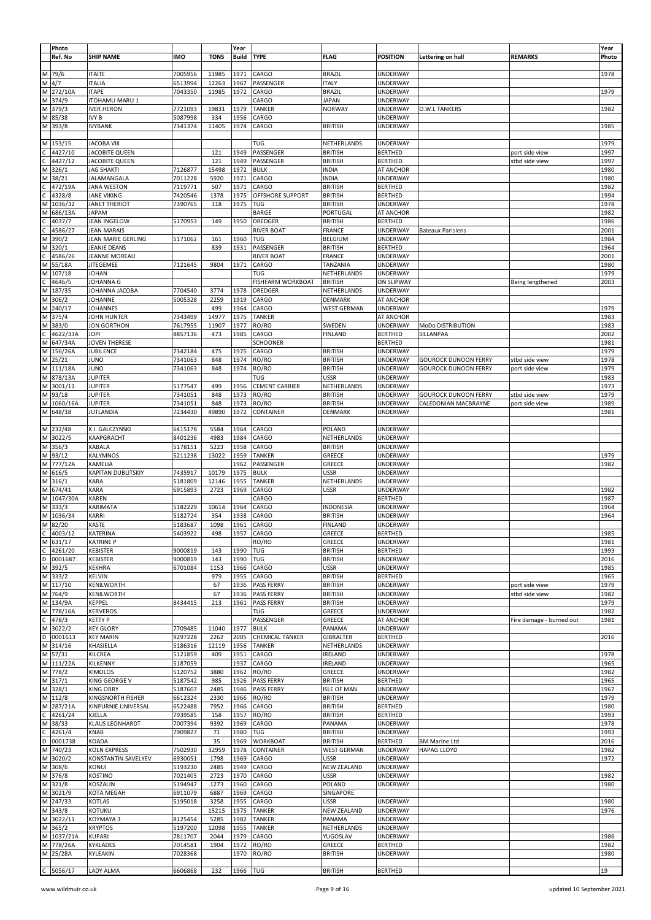|   | Photo       |                        |            |             | Year         |                        |                    |                   |                             |                          | Year  |
|---|-------------|------------------------|------------|-------------|--------------|------------------------|--------------------|-------------------|-----------------------------|--------------------------|-------|
|   | Ref. No     | <b>SHIP NAME</b>       | <b>IMO</b> | <b>TONS</b> | <b>Build</b> | <b>TYPE</b>            | <b>FLAG</b>        | <b>POSITION</b>   | Lettering on hull           | <b>REMARKS</b>           | Photo |
|   |             |                        |            |             |              |                        |                    |                   |                             |                          |       |
|   |             | <b>ITAITE</b>          | 7005956    | 11985       | 1971         | CARGO                  | <b>BRAZIL</b>      | <b>UNDERWAY</b>   |                             |                          | 1978  |
|   | M 79/6      |                        |            |             |              |                        |                    |                   |                             |                          |       |
|   | $M$ 4/7     | <b>ITALIA</b>          | 6513994    | 12263       | 1967         | PASSENGER              | <b>ITALY</b>       | <b>UNDERWAY</b>   |                             |                          |       |
|   | M 272/10A   | <b>ITAPE</b>           | 7043350    | 11985       | 1972         | CARGO                  | <b>BRAZIL</b>      | UNDERWAY          |                             |                          | 1979  |
|   | M 374/9     | ITOHAMU MARU 1         |            |             |              | CARGO                  | <b>JAPAN</b>       | UNDERWAY          |                             |                          |       |
|   |             |                        |            |             |              |                        |                    |                   |                             |                          |       |
|   | M 379/3     | <b>IVER HERON</b>      | 7721093    | 19831       | 1979         | <b>TANKER</b>          | <b>NORWAY</b>      | UNDERWAY          | O.W.L TANKERS               |                          | 1982  |
|   | M 85/38     | IVY B                  | 5087998    | 334         | 1956         | CARGO                  |                    | <b>UNDERWAY</b>   |                             |                          |       |
|   |             |                        |            |             | 1974         |                        |                    |                   |                             |                          | 1985  |
|   | M 393/8     | <b>IVYBANK</b>         | 7341374    | 11405       |              | CARGO                  | <b>BRITISH</b>     | <b>UNDERWAY</b>   |                             |                          |       |
|   |             |                        |            |             |              |                        |                    |                   |                             |                          |       |
|   | M 153/15    | <b>JACOBA VIII</b>     |            |             |              | TUG                    | NETHERLANDS        | <b>UNDERWAY</b>   |                             |                          | 1979  |
|   | 4427/10     | <b>JACOBITE QUEEN</b>  |            | 121         | 1949         | PASSENGER              |                    |                   |                             |                          | 1997  |
|   |             |                        |            |             |              |                        | <b>BRITISH</b>     | <b>BERTHED</b>    |                             | port side view           |       |
| С | 4427/12     | <b>JACOBITE QUEEN</b>  |            | 121         | 1949         | PASSENGER              | <b>BRITISH</b>     | <b>BERTHED</b>    |                             | stbd side view           | 1997  |
|   | M 326/1     | <b>JAG SHAKTI</b>      | 7126877    | 15498       | 1972         | <b>BULK</b>            | <b>INDIA</b>       | AT ANCHOR         |                             |                          | 1980  |
|   |             |                        |            |             |              |                        |                    |                   |                             |                          |       |
|   | M 38/21     | JALAMANGALA            | 7011228    | 5920        | 1971         | CARGO                  | <b>INDIA</b>       | UNDERWAY          |                             |                          | 1980  |
| С | 472/19A     | <b>JANA WESTON</b>     | 7119771    | 507         | 1971         | CARGO                  | <b>BRITISH</b>     | <b>BERTHED</b>    |                             |                          | 1982  |
|   | 4328/8      | JANE VIKING            | 7420546    | 1378        | 1975         | OFFSHORE SUPPORT       | <b>BRITISH</b>     | <b>BERTHED</b>    |                             |                          | 1994  |
|   |             |                        |            |             |              |                        |                    |                   |                             |                          |       |
|   | M 1036/32   | <b>JANET THERIOT</b>   | 7390765    | 118         | 1975         | TUG                    | <b>BRITISH</b>     | UNDERWAY          |                             |                          | 1978  |
|   | M 686/13A   | JAPAM                  |            |             |              | BARGE                  | PORTUGAL           | AT ANCHOR         |                             |                          | 1982  |
|   | 4037/7      | JEAN INGELOW           | 5170953    | 149         | 1950         | DREDGER                | <b>BRITISH</b>     | <b>BERTHED</b>    |                             |                          | 1986  |
|   |             |                        |            |             |              |                        |                    |                   |                             |                          |       |
| C | 4586/27     | <b>JEAN MARAIS</b>     |            |             |              | <b>RIVER BOAT</b>      | <b>FRANCE</b>      | UNDERWAY          | <b>Bateaux Parisiens</b>    |                          | 2001  |
|   | M 390/2     | JEAN MARIE GERLING     | 5171062    | 161         | 1960         | TUG                    | <b>BELGIUM</b>     | <b>UNDERWAY</b>   |                             |                          | 1984  |
|   |             |                        |            |             |              |                        |                    |                   |                             |                          | 1964  |
|   | M 320/1     | JEANIE DEANS           |            | 839         | 1931         | PASSENGER              | <b>BRITISH</b>     | <b>BERTHED</b>    |                             |                          |       |
| С | 4586/26     | JEANNE MOREAU          |            |             |              | <b>RIVER BOAT</b>      | <b>FRANCE</b>      | UNDERWAY          |                             |                          | 2001  |
|   | M 55/18A    | <b>JITEGEMEE</b>       | 7121645    | 9804        | 1971         | CARGO                  | TANZANIA           | <b>UNDERWAY</b>   |                             |                          | 1980  |
|   |             |                        |            |             |              |                        |                    |                   |                             |                          |       |
|   | M 107/18    | <b>JOHAN</b>           |            |             |              | <b>TUG</b>             | NETHERLANDS        | UNDERWAY          |                             |                          | 1979  |
| C | 4646/5      | JOHANNA G              |            |             |              | FISHFARM WORKBOAT      | <b>BRITISH</b>     | <b>ON SLIPWAY</b> |                             | Being lengthened         | 2003  |
|   | M 187/35    | JOHANNA JACOBA         | 7704540    | 3774        | 1978         | <b>DREDGER</b>         | NETHERLANDS        | <b>UNDERWAY</b>   |                             |                          |       |
|   |             |                        |            |             |              |                        |                    |                   |                             |                          |       |
|   | M 306/2     | JOHANNE                | 5005328    | 2259        | 1919         | CARGO                  | DENMARK            | AT ANCHOR         |                             |                          |       |
|   | M 240/17    | <b>JOHANNES</b>        |            | 499         | 1964         | CARGO                  | <b>WEST GERMAN</b> | <b>UNDERWAY</b>   |                             |                          | 1979  |
|   | M 375/4     | JOHN HUNTER            | 7343499    | 14977       | 1975         | <b>TANKER</b>          |                    | AT ANCHOR         |                             |                          | 1983  |
|   |             |                        |            |             |              |                        |                    |                   |                             |                          |       |
|   | M 383/0     | JON GORTHON            | 7617955    | 11907       | 1977         | RO/RO                  | SWEDEN             | <b>UNDERWAY</b>   | <b>MoDo DISTRIBUTION</b>    |                          | 1983  |
| С | 4622/33A    | JOPI                   | 8857136    | 473         | 1985         | CARGO                  | <b>FINLAND</b>     | <b>BERTHED</b>    | SILLANPAA                   |                          | 2002  |
|   | M 647/34A   | JOVEN THERESE          |            |             |              |                        |                    |                   |                             |                          | 1981  |
|   |             |                        |            |             |              | SCHOONER               |                    | <b>BERTHED</b>    |                             |                          |       |
|   | M 156/26A   | JUBILENCE              | 7342184    | 475         | 1975         | CARGO                  | <b>BRITISH</b>     | <b>UNDERWAY</b>   |                             |                          | 1979  |
|   | M 25/21     | <b>JUNO</b>            | 7341063    | 848         | 1974         | RO/RO                  | <b>BRITISH</b>     | <b>UNDERWAY</b>   | <b>GOUROCK DUNOON FERRY</b> | stbd side view           | 1978  |
|   |             |                        |            |             |              |                        |                    |                   |                             |                          |       |
|   | M 111/18A   | JUNO                   | 7341063    | 848         | 1974         | RO/RO                  | <b>BRITISH</b>     | UNDERWAY          | <b>GOUROCK DUNOON FERRY</b> | port side view           | 1979  |
|   | M 878/13A   | <b>JUPITER</b>         |            |             |              | TUG                    | <b>USSR</b>        | <b>UNDERWAY</b>   |                             |                          | 1983  |
|   | M 3001/11   | <b>JUPITER</b>         | 5177547    | 499         | 1956         | <b>CEMENT CARRIER</b>  | NETHERLANDS        | <b>UNDERWAY</b>   |                             |                          | 1973  |
|   |             |                        |            |             |              |                        |                    |                   |                             |                          |       |
|   | M 93/18     | <b>JUPITER</b>         | 7341051    | 848         | 1973         | RO/RO                  | <b>BRITISH</b>     | UNDERWAY          | <b>GOUROCK DUNOON FERRY</b> | stbd side view           | 1979  |
|   | M 1060/16A  | <b>JUPITER</b>         | 7341051    | 848         | 1973         | RO/RO                  | <b>BRITISH</b>     | <b>UNDERWAY</b>   | CALEDONIAN MACBRAYNE        | port side view           | 1989  |
|   | M 648/38    | JUTLANDIA              | 7234430    | 49890       | 1972         | CONTAINER              | DENMARK            | <b>UNDERWAY</b>   |                             |                          | 1981  |
|   |             |                        |            |             |              |                        |                    |                   |                             |                          |       |
|   |             |                        |            |             |              |                        |                    |                   |                             |                          |       |
|   | M 232/48    | K.I. GALCZYNSKI        | 6415178    | 5584        | 1964         | CARGO                  | POLAND             | <b>UNDERWAY</b>   |                             |                          |       |
|   | M 3022/5    | KAAPGRACHT             | 8401236    | 4983        | 1984         | CARGO                  | NETHERLANDS        | UNDERWAY          |                             |                          |       |
|   |             |                        |            |             |              |                        |                    |                   |                             |                          |       |
|   | M 356/3     | KABALA                 | 5178151    | 5223        | 1958         | CARGO                  | <b>BRITISH</b>     | UNDERWAY          |                             |                          |       |
|   | M 93/12     | KALYMNOS               | 5211238    | 13022       | 1959         | <b>TANKER</b>          | GREECE             | UNDERWAY          |                             |                          | 1979  |
|   | M 777/12A   | KAMELIA                |            |             | 1962         | PASSENGER              | GREECE             | <b>UNDERWAY</b>   |                             |                          | 1982  |
|   |             |                        |            |             |              |                        |                    |                   |                             |                          |       |
|   | M 616/5     | KAPITAN DUBLITSKIY     | 7435917    | 10179       | 1975         | <b>BULK</b>            | <b>USSR</b>        | UNDERWAY          |                             |                          |       |
|   | M 316/1     | KARA                   | 5181809    | 12146       | 1955         | <b>TANKER</b>          | NETHERLANDS        | <b>UNDERWAY</b>   |                             |                          |       |
|   | M 674/41    | <b>KARA</b>            | 6915893    | 2723        | 1969         | CARGO                  | <b>USSR</b>        | UNDERWAY          |                             |                          | 1982  |
|   |             |                        |            |             |              |                        |                    |                   |                             |                          |       |
|   | M 1047/30A  | KAREN                  |            |             |              | CARGO                  |                    | <b>BERTHED</b>    |                             |                          | 1987  |
|   | M 333/3     | KARIMATA               | 5182229    | 10614       | 1964         | CARGO                  | <b>INDONESIA</b>   | UNDERWAY          |                             |                          | 1964  |
|   | M 1036/34   |                        |            | 354         | 1938         |                        |                    |                   |                             |                          | 1964  |
|   |             | KARRI                  | 5182724    |             |              | CARGO                  | <b>BRITISH</b>     | UNDERWAY          |                             |                          |       |
|   | M 82/20     | <b>KASTE</b>           | 5183687    | 1098        | 1961         | CARGO                  | <b>FINLAND</b>     | UNDERWAY          |                             |                          |       |
|   | $C$ 4003/12 | KATERINA               | 5403922    | 498         |              | 1957 CARGO             | GREECE             | <b>BERIHED</b>    |                             |                          | 1985  |
|   |             |                        |            |             |              |                        |                    | <b>UNDERWAY</b>   |                             |                          |       |
|   | M 631/17    | <b>KATRINE P</b>       |            |             |              | RO/RO                  | GREECE             |                   |                             |                          | 1981  |
|   | $C$ 4261/20 | <b>KEBISTER</b>        | 9000819    | 143         | 1990         | TUG                    | <b>BRITISH</b>     | <b>BERTHED</b>    |                             |                          | 1993  |
|   | D 0001687   | <b>KEBISTER</b>        | 9000819    | 143         | 1990         | TUG                    | <b>BRITISH</b>     | <b>UNDERWAY</b>   |                             |                          | 2016  |
|   |             |                        |            |             |              |                        |                    |                   |                             |                          |       |
|   | M 392/5     | <b>KEKHRA</b>          | 6701084    | 1153        | 1966         | CARGO                  | <b>USSR</b>        | <b>UNDERWAY</b>   |                             |                          | 1985  |
|   | M 333/2     | KELVIN                 |            | 979         | 1955         | CARGO                  | <b>BRITISH</b>     | <b>BERTHED</b>    |                             |                          | 1965  |
|   | M 117/10    | KENILWORTH             |            | 67          | 1936         | PASS FERRY             | <b>BRITISH</b>     | <b>UNDERWAY</b>   |                             | port side view           | 1979  |
|   |             |                        |            |             |              |                        |                    |                   |                             |                          |       |
|   | M 764/9     | KENILWORTH             |            | 67          | 1936         | <b>PASS FERRY</b>      | <b>BRITISH</b>     | <b>UNDERWAY</b>   |                             | stbd side view           | 1982  |
|   | M 134/9A    | <b>KEPPEL</b>          | 8434415    | 213         | 1961         | PASS FERRY             | <b>BRITISH</b>     | <b>UNDERWAY</b>   |                             |                          | 1979  |
|   | M 778/16A   | <b>KERVEROS</b>        |            |             |              | TUG                    | GREECE             | <b>UNDERWAY</b>   |                             |                          | 1982  |
|   |             |                        |            |             |              |                        |                    |                   |                             |                          |       |
|   | $C$ 478/3   | <b>KETTY P</b>         |            |             |              | PASSENGER              | GREECE             | AT ANCHOR         |                             | Fire damage - burned out | 1981  |
|   | M 3022/2    | <b>KEY GLORY</b>       | 7709485    | 11040       | 1977         | <b>BULK</b>            | PANAMA             | <b>UNDERWAY</b>   |                             |                          |       |
|   | D 0001613   | <b>KEY MARIN</b>       | 9297228    | 2262        | 2005         | <b>CHEMICAL TANKER</b> | <b>GIBRALTER</b>   | <b>BERTHED</b>    |                             |                          | 2016  |
|   |             |                        |            |             |              |                        |                    |                   |                             |                          |       |
|   | M 314/16    | KHASIELLA              | 5186316    | 12119       | 1956         | <b>TANKER</b>          | NETHERLANDS        | <b>UNDERWAY</b>   |                             |                          |       |
|   | M 57/31     | KILCREA                | 5121859    | 409         | 1951         | CARGO                  | <b>IRELAND</b>     | <b>UNDERWAY</b>   |                             |                          | 1978  |
|   | M 111/22A   | <b>KILKENNY</b>        | 5187059    |             | 1937         | CARGO                  | <b>IRELAND</b>     | <b>UNDERWAY</b>   |                             |                          | 1965  |
|   |             |                        |            |             |              |                        |                    |                   |                             |                          |       |
|   | M 778/2     | <b>KIMOLOS</b>         | 5120752    | 3880        | 1962         | RO/RO                  | GREECE             | <b>UNDERWAY</b>   |                             |                          | 1982  |
|   | M 317/1     | KING GEORGE V          | 5187542    | 985         | 1926         | PASS FERRY             | <b>BRITISH</b>     | <b>BERTHED</b>    |                             |                          | 1965  |
|   | M 328/1     | <b>KING ORRY</b>       | 5187607    | 2485        | 1946         | PASS FERRY             | <b>ISLE OF MAN</b> | <b>UNDERWAY</b>   |                             |                          | 1967  |
|   | M 112/8     | KINGSNORTH FISHER      | 6612324    | 2330        | 1966         |                        | <b>BRITISH</b>     | <b>UNDERWAY</b>   |                             |                          | 1979  |
|   |             |                        |            |             |              | RO/RO                  |                    |                   |                             |                          |       |
|   | M 287/21A   | KINPURNIE UNIVERSAL    | 6522488    | 7952        | 1966         | CARGO                  | <b>BRITISH</b>     | <b>BERTHED</b>    |                             |                          | 1980  |
|   | $C$ 4261/24 | KJELLA                 | 7939585    | 158         | 1957         | RO/RO                  | <b>BRITISH</b>     | <b>BERTHED</b>    |                             |                          | 1993  |
|   |             |                        |            |             |              |                        |                    |                   |                             |                          |       |
|   | M 38/33     | <b>KLAUS LEONHARDT</b> | 7007394    | 9392        | 1969         | CARGO                  | PANAMA             | <b>UNDERWAY</b>   |                             |                          | 1978  |
|   | $C$ 4261/4  | <b>KNAB</b>            | 7909827    | 71          | 1980         | TUG                    | <b>BRITISH</b>     | <b>UNDERWAY</b>   |                             |                          | 1993  |
|   | D 0001738   | KOADA                  |            | 35          | 1969         | <b>WORKBOAT</b>        | <b>BRITISH</b>     | <b>BERTHED</b>    | <b>BM Marine Ltd</b>        |                          | 2016  |
|   | M 740/23    | KOLN EXPRESS           | 7502930    | 32959       | 1978         | CONTAINER              | <b>WEST GERMAN</b> | <b>UNDERWAY</b>   | <b>HAPAG LLOYD</b>          |                          | 1982  |
|   |             |                        |            |             |              |                        |                    |                   |                             |                          |       |
|   | M 3020/2    | KONSTANTIN SAVELYEV    | 6930051    | 1798        | 1969         | CARGO                  | <b>USSR</b>        | <b>UNDERWAY</b>   |                             |                          | 1972  |
|   | M 308/6     | KONUI                  | 5193230    | 2485        | 1949         | CARGO                  | <b>NEW ZEALAND</b> | <b>UNDERWAY</b>   |                             |                          |       |
|   |             |                        |            |             |              |                        |                    |                   |                             |                          |       |
|   | M 376/8     | KOSTINO                | 7021405    | 2723        | 1970         | CARGO                  | USSR               | <b>UNDERWAY</b>   |                             |                          | 1982  |
|   | M 321/8     | KOSZALIN               | 5194947    | 1273        | 1960         | CARGO                  | POLAND             | <b>UNDERWAY</b>   |                             |                          | 1980  |
|   | M 3021/9    | KOTA MEGAH             | 6911079    | 6887        | 1969         | CARGO                  | SINGAPORE          |                   |                             |                          |       |
|   | M 247/33    | KOTLAS                 |            |             |              |                        | <b>USSR</b>        |                   |                             |                          | 1980  |
|   |             |                        | 5195018    | 3258        | 1955         | CARGO                  |                    | <b>UNDERWAY</b>   |                             |                          |       |
|   | M 343/8     | KOTUKU                 |            | 15215       | 1975         | <b>TANKER</b>          | <b>NEW ZEALAND</b> | <b>UNDERWAY</b>   |                             |                          | 1976  |
|   | M 3022/11   | KOYMAYA 3              | 8125454    | 5285        | 1982         | <b>TANKER</b>          | PANAMA             | <b>UNDERWAY</b>   |                             |                          |       |
|   | M 365/2     | <b>KRYPTOS</b>         | 5197200    | 12098       | 1955         | <b>TANKER</b>          | NETHERLANDS        | <b>UNDERWAY</b>   |                             |                          |       |
|   |             |                        |            |             |              |                        |                    |                   |                             |                          |       |
|   | M 1037/21A  | <b>KUPARI</b>          | 7811707    | 2044        | 1979         | CARGO                  | YUGOSLAV           | <b>UNDERWAY</b>   |                             |                          | 1986  |
|   | M 778/26A   | <b>KYKLADES</b>        | 7014581    | 1904        | 1972         | RO/RO                  | GREECE             | <b>BERTHED</b>    |                             |                          | 1982  |
|   | M 25/28A    | KYLEAKIN               | 7028368    |             | 1970         | RO/RO                  | <b>BRITISH</b>     | <b>UNDERWAY</b>   |                             |                          | 1980  |
|   |             |                        |            |             |              |                        |                    |                   |                             |                          |       |
|   |             |                        |            |             |              |                        |                    |                   |                             |                          |       |
|   | $C$ 5056/17 | LADY ALMA              | 6606868    | 232         | 1966   TUG   |                        | <b>BRITISH</b>     | <b>BERTHED</b>    |                             |                          | 19    |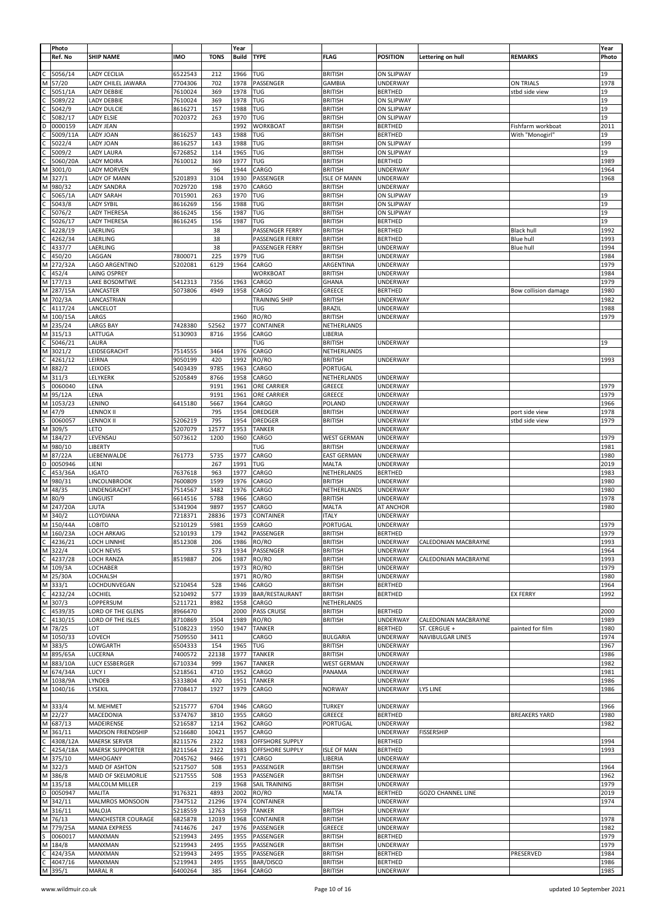|                               | Photo                                                     |                           |                    |             | Year  |                         |                                  |                            |                          |                      | Year         |
|-------------------------------|-----------------------------------------------------------|---------------------------|--------------------|-------------|-------|-------------------------|----------------------------------|----------------------------|--------------------------|----------------------|--------------|
|                               | Ref. No                                                   | <b>SHIP NAME</b>          | <b>IMO</b>         | <b>TONS</b> | Build | <b>TYPE</b>             | <b>FLAG</b>                      | <b>POSITION</b>            | Lettering on hull        | <b>REMARKS</b>       | Photo        |
|                               |                                                           |                           |                    |             |       |                         |                                  |                            |                          |                      |              |
| C                             | 5056/14                                                   | <b>LADY CECILIA</b>       | 6522543            | 212         | 1966  | TUG                     | <b>BRITISH</b>                   | <b>ON SLIPWAY</b>          |                          |                      | 19           |
| $\overline{\mathsf{M}}$       | 57/20                                                     | LADY CHILEL JAWARA        | 7704306            | 702         | 1978  | PASSENGER               | <b>GAMBIA</b>                    | UNDERWAY                   |                          | ON TRIALS            | 1978         |
|                               | 5051/1A                                                   | LADY DEBBIE               | 7610024            | 369         | 1978  | TUG                     | <b>BRITISH</b>                   | <b>BERTHED</b>             |                          | stbd side view       | 19           |
|                               | 5089/22                                                   | LADY DEBBIE               | 7610024            | 369         | 1978  | TUG                     | <b>BRITISH</b>                   | ON SLIPWAY                 |                          |                      | 19           |
|                               |                                                           |                           |                    |             |       |                         |                                  |                            |                          |                      |              |
|                               | 5042/9                                                    | <b>LADY DULCIE</b>        | 8616271            | 157         | 1988  | TUG                     | <b>BRITISH</b>                   | <b>ON SLIPWAY</b>          |                          |                      | 19           |
| o<br>o                        | 5082/17                                                   | <b>LADY ELSIE</b>         | 7020372            | 263         | 1970  | TUG                     | <b>BRITISH</b>                   | ON SLIPWAY                 |                          |                      | 19           |
|                               | 0000159                                                   | LADY JEAN                 |                    |             | 1992  | WORKBOAT                | <b>BRITISH</b>                   | <b>BERTHED</b>             |                          | Fishfarm workboat    | 2011         |
|                               | 5009/11A                                                  | <b>LADY JOAN</b>          | 8616257            | 143         | 1988  | TUG                     | <b>BRITISH</b>                   | <b>BERTHED</b>             |                          | With "Monogirl'      | 19           |
|                               | 5022/4                                                    | LADY JOAN                 | 8616257            | 143         | 1988  | TUG                     | <b>BRITISH</b>                   | ON SLIPWAY                 |                          |                      | 199          |
| $\frac{c}{c}$                 |                                                           |                           |                    |             |       |                         |                                  |                            |                          |                      |              |
|                               | 5009/2                                                    | LADY LAURA                | 6726852            | 114         | 1965  | TUG                     | <b>BRITISH</b>                   | ON SLIPWAY                 |                          |                      | 19           |
| $\overline{c}$                | 5060/20A                                                  | <b>LADY MOIRA</b>         | 7610012            | 369         | 1977  | TUG                     | <b>BRITISH</b>                   | <b>BERTHED</b>             |                          |                      | 1989         |
| M                             | 3001/0                                                    | <b>LADY MORVEN</b>        |                    | 96          | 1944  | CARGO                   | <b>BRITISH</b>                   | UNDERWAY                   |                          |                      | 1964         |
| M                             | 327/1                                                     | LADY OF MANN              | 5201893            | 3104        | 1930  | PASSENGER               | <b>ISLE OF MANN</b>              | UNDERWAY                   |                          |                      | 1968         |
|                               |                                                           |                           |                    |             | 1970  |                         |                                  | <b>UNDERWAY</b>            |                          |                      |              |
| M                             | 980/32                                                    | <b>LADY SANDRA</b>        | 7029720            | 198         |       | CARGO                   | <b>BRITISH</b>                   |                            |                          |                      |              |
| $\mathsf{C}$                  | 5065/1A                                                   | <b>LADY SARAH</b>         | 7015901            | 263         | 1970  | TUG                     | <b>BRITISH</b>                   | ON SLIPWAY                 |                          |                      | 19           |
|                               | 5043/8                                                    | <b>LADY SYBIL</b>         | 8616269            | 156         | 1988  | TUG                     | <b>BRITISH</b>                   | ON SLIPWAY                 |                          |                      | 19           |
| c                             | 5076/2                                                    | <b>LADY THERESA</b>       | 8616245            | 156         | 1987  | TUG                     | <b>BRITISH</b>                   | ON SLIPWAY                 |                          |                      | 19           |
| $\overline{\mathsf{c}}$       | 5026/17                                                   | <b>LADY THERESA</b>       | 8616245            | 156         | 1987  | TUG                     | <b>BRITISH</b>                   | <b>BERTHED</b>             |                          |                      | 19           |
|                               |                                                           |                           |                    |             |       |                         |                                  |                            |                          |                      |              |
| $\overline{c}$                | 4228/19                                                   | LAERLING                  |                    | 38          |       | PASSENGER FERRY         | <b>BRITISH</b>                   | <b>BERTHED</b>             |                          | <b>Black hull</b>    | 1992         |
| $\frac{1}{2}$                 | 4262/34                                                   | LAERLING                  |                    | 38          |       | PASSENGER FERRY         | <b>BRITISH</b>                   | <b>BERTHED</b>             |                          | <b>Blue hull</b>     | 1993         |
|                               | 4337/7                                                    | LAERLING                  |                    | 38          |       | PASSENGER FERRY         | <b>BRITISH</b>                   | UNDERWAY                   |                          | <b>Blue hull</b>     | 1994         |
|                               | 450/20                                                    | LAGGAN                    | 7800071            | 225         | 1979  | TUG                     | <b>BRITISH</b>                   | UNDERWAY                   |                          |                      | 1984         |
| M                             | 272/32A                                                   |                           |                    | 6129        |       |                         |                                  |                            |                          |                      | 1979         |
|                               |                                                           | LAGO ARGENTINO            | 5202081            |             | 1964  | CARGO                   | ARGENTINA                        | UNDERWAY                   |                          |                      |              |
| $\frac{1}{2}$                 | 452/4                                                     | LAING OSPREY              |                    |             |       | WORKBOAT                | <b>BRITISH</b>                   | UNDERWAY                   |                          |                      | 1984         |
|                               | 177/13                                                    | LAKE BOSOMTWE             | 5412313            | 7356        | 1963  | CARGO                   | GHANA                            | UNDERWAY                   |                          |                      | 1979         |
| M                             | 287/15A                                                   | LANCASTER                 | 5073806            | 4949        | 1958  | CARGO                   | GREECE                           | <b>BERTHED</b>             |                          | Bow collision damage | 1980         |
| M                             | 702/3A                                                    | LANCASTRIAN               |                    |             |       | TRAINING SHIP           | <b>BRITISH</b>                   | UNDERWAY                   |                          |                      | 1982         |
|                               |                                                           |                           |                    |             |       |                         |                                  |                            |                          |                      |              |
| $\frac{1}{2}$                 | 4117/24                                                   | LANCELOT                  |                    |             |       | TUG                     | <b>BRAZIL</b>                    | UNDERWAY                   |                          |                      | 1988         |
|                               | 100/15A                                                   | LARGS                     |                    |             | 1960  | RO/RO                   | <b>BRITISH</b>                   | UNDERWAY                   |                          |                      | 1979         |
| M                             | 235/24                                                    | <b>LARGS BAY</b>          | 7428380            | 52562       | 1977  | CONTAINER               | NETHERLANDS                      |                            |                          |                      |              |
|                               | 315/13                                                    | LATTUGA                   | 5130903            | 8716        | 1956  | CARGO                   | LIBERIA                          |                            |                          |                      |              |
| $\mathbf{z}$ $\mathbf{u}$     | 5046/21                                                   | LAURA                     |                    |             |       | TUG                     | <b>BRITISH</b>                   | UNDERWAY                   |                          |                      | 19           |
|                               |                                                           |                           |                    |             |       |                         |                                  |                            |                          |                      |              |
| $\geq$ $\cup$ $\geq$          | 3021/2                                                    | LEIDSEGRACHT              | 7514555            | 3464        | 1976  | CARGO                   | NETHERLANDS                      |                            |                          |                      |              |
|                               | 4261/12                                                   | LEIRNA                    | 9050199            | 420         | 1992  | RO/RO                   | <b>BRITISH</b>                   | UNDERWAY                   |                          |                      | 1993         |
|                               | 882/2                                                     | LEIXOES                   | 5403439            | 9785        | 1963  | CARGO                   | PORTUGAL                         |                            |                          |                      |              |
|                               | 311/3                                                     | LELYKERK                  | 5205849            | 8766        | 1958  | CARGO                   | NETHERLANDS                      | UNDERWAY                   |                          |                      |              |
| $\frac{5}{5}$                 |                                                           |                           |                    | 9191        |       |                         |                                  |                            |                          |                      |              |
|                               | 0060040                                                   | LENA                      |                    |             | 1961  | ORE CARRIER             | GREECE                           | UNDERWAY                   |                          |                      | 1979         |
|                               | 95/12A                                                    | LENA                      |                    | 9191        | 1961  | ORE CARRIER             | GREECE                           | UNDERWAY                   |                          |                      | 1979         |
| M                             | 1053/23                                                   | LENINO                    | 6415180            | 5667        | 1964  | CARGO                   | POLAND                           | UNDERWAY                   |                          |                      | 1966         |
| M                             | 47/9                                                      | <b>LENNOX II</b>          |                    | 795         | 1954  | DREDGER                 | <b>BRITISH</b>                   | UNDERWAY                   |                          | port side view       | 1978         |
|                               | 0060057                                                   | <b>LENNOX II</b>          | 5206219            | 795         | 1954  | DREDGER                 | <b>BRITISH</b>                   | UNDERWAY                   |                          | stbd side view       | 1979         |
| $\frac{s}{s}$                 |                                                           |                           |                    |             |       |                         |                                  |                            |                          |                      |              |
|                               | 309/5                                                     | LETO                      | 5207079            | 12577       | 1953  | TANKER                  |                                  | UNDERWAY                   |                          |                      |              |
| $\overline{M}$                | 184/27                                                    | LEVENSAU                  | 5073612            | 1200        | 1960  | CARGO                   | <b>WEST GERMAN</b>               | <b>UNDERWAY</b>            |                          |                      | 1979         |
| M                             | 980/10                                                    | LIBERTY                   |                    |             |       | TUG                     | <b>BRITISH</b>                   | UNDERWAY                   |                          |                      | 1981         |
|                               | 87/22A                                                    | LIEBENWALDE               | 761773             | 5735        | 1977  | CARGO                   | <b>EAST GERMAN</b>               | <b>UNDERWAY</b>            |                          |                      | 1980         |
|                               | 0050946                                                   | LIENI                     |                    |             |       | TUG                     |                                  |                            |                          |                      |              |
|                               |                                                           |                           |                    |             |       |                         |                                  |                            |                          |                      |              |
|                               |                                                           |                           |                    | 267         | 1991  |                         | <b>MALTA</b>                     | UNDERWAY                   |                          |                      | 2019         |
|                               | 453/36A                                                   | <b>LIGATO</b>             | 7637618            | 963         | 1977  | CARGO                   | NETHERLANDS                      | <b>BERTHED</b>             |                          |                      | 1983         |
| $\frac{1}{2}$ o $\frac{1}{2}$ | 980/31                                                    | LINCOLNBROOK              | 7600809            | 1599        | 1976  | CARGO                   | <b>BRITISH</b>                   | <b>UNDERWAY</b>            |                          |                      | 1980         |
| M                             | 48/35                                                     | LINDENGRACHT              | 7514567            | 3482        | 1976  | CARGO                   | NETHERLANDS                      | <b>UNDERWAY</b>            |                          |                      | 1980         |
|                               |                                                           |                           |                    |             |       |                         |                                  |                            |                          |                      |              |
| M                             | 80/9                                                      | LINGUIST                  | 6614516            | 5788        | 1966  | CARGO                   | <b>BRITISH</b>                   | UNDERWAY                   |                          |                      | 1978         |
| M                             | 247/20A                                                   | LJUTA                     | 5341904            | 9897        | 1957  | CARGO                   | <b>MALTA</b>                     | AT ANCHOR                  |                          |                      | 1980         |
| M                             | 340/2                                                     | LLOYDIANA                 | 7218371            | 28836       | 1973  | CONTAINER               | <b>ITALY</b>                     | UNDERWAY                   |                          |                      |              |
|                               |                                                           | LOBITO                    | 5210129            | 5981        | 1959  | CARGO                   | PORTUGAL                         | UNDERWAY                   |                          |                      | 1979         |
|                               |                                                           | LOCH ARKAIG               | 5210193            | 179         | 1942  |                         |                                  | BERTHED                    |                          |                      | 1979         |
|                               |                                                           |                           |                    |             |       | PASSENGER               | <b>BRITISH</b>                   |                            |                          |                      |              |
|                               |                                                           | LOCH LINNHE               | 8512308            | 206         | 1986  | RO/RO                   | <b>BRITISH</b>                   | UNDERWAY                   | CALEDONIAN MACBRAYNE     |                      | 1993         |
|                               | M 340/2<br>M 150/44A<br>M 160/23A<br>C 4236/21<br>M 322/4 | LOCH NEVIS                |                    | 573         | 1934  | PASSENGER               | <b>BRITISH</b>                   | UNDERWAY                   |                          |                      | 1964         |
| c                             | 4237/28                                                   | LOCH RANZA                | 8519887            | 206         | 1987  | RO/RO                   | <b>BRITISH</b>                   | <b>UNDERWAY</b>            | CALEDONIAN MACBRAYNE     |                      | 1993         |
| $\overline{\mathsf{M}}$       | 109/3A                                                    | LOCHABER                  |                    |             | 1973  | RO/RO                   | <b>BRITISH</b>                   | UNDERWAY                   |                          |                      | 1979         |
|                               |                                                           | LOCHALSH                  |                    |             | 1971  | RO/RO                   | <b>BRITISH</b>                   | UNDERWAY                   |                          |                      | 1980         |
|                               | M 25/30A                                                  |                           |                    |             |       |                         |                                  |                            |                          |                      |              |
|                               | M 333/1                                                   | LOCHDUNVEGAN              | 5210454            | 528         | 1946  | CARGO                   | <b>BRITISH</b>                   | <b>BERTHED</b>             |                          |                      | 1964         |
|                               | 4232/24                                                   | LOCHIEL                   | 5210492            | 577         | 1939  | BAR/RESTAURANT          | <b>BRITISH</b>                   | <b>BERTHED</b>             |                          | <b>EX FERRY</b>      | 1992         |
| $\frac{c}{M}$                 | 307/3                                                     | LOPPERSUM                 | 5211721            | 8982        | 1958  | CARGO                   | NETHERLANDS                      |                            |                          |                      |              |
|                               | 4539/35                                                   | LORD OF THE GLENS         | 8966470            |             | 2000  | PASS CRUISE             | <b>BRITISH</b>                   | <b>BERTHED</b>             |                          |                      | 2000         |
|                               | 4130/15                                                   | LORD OF THE ISLES         | 8710869            | 3504        | 1989  | RO/RO                   | <b>BRITISH</b>                   | UNDERWAY                   | CALEDONIAN MACBRAYNE     |                      | 1989         |
|                               |                                                           | LOT                       | 5108223            | 1950        | 1947  | <b>TANKER</b>           |                                  | <b>BERTHED</b>             | ST. CERGUE +             | painted for film     | 1980         |
|                               | $\frac{C}{C}$ 4539/3<br>C 4130/1<br>M 78/25               |                           |                    |             |       |                         |                                  |                            |                          |                      |              |
| M                             | 1050/33                                                   | LOVECH                    | 7509550            | 3411        |       | CARGO                   | <b>BULGARIA</b>                  | UNDERWAY                   | NAVIBULGAR LINES         |                      | 1974         |
| $\overline{M}$                | 383/5                                                     | LOWGARTH                  | 6504333            | 154         | 1965  | TUG                     | <b>BRITISH</b>                   | <b>UNDERWAY</b>            |                          |                      | 1967         |
|                               | M 895/65A                                                 | LUCERNA                   | 7400572            | 22138       | 1977  | <b>TANKER</b>           | <b>BRITISH</b>                   | <b>UNDERWAY</b>            |                          |                      | 1986         |
| M                             | 883/10A                                                   | <b>LUCY ESSBERGER</b>     | 6710334            | 999         | 1967  | <b>TANKER</b>           | <b>WEST GERMAN</b>               | <b>UNDERWAY</b>            |                          |                      | 1982         |
|                               | M 674/34A                                                 | <b>LUCY I</b>             | 5218561            | 4710        | 1952  | CARGO                   | PANAMA                           | <b>UNDERWAY</b>            |                          |                      | 1981         |
|                               |                                                           |                           |                    |             |       |                         |                                  |                            |                          |                      |              |
|                               | M 1038/9A                                                 | LYNDEB                    | 5333804            | 470         | 1951  | <b>TANKER</b>           |                                  | <b>UNDERWAY</b>            |                          |                      | 1986         |
|                               | M 1040/16                                                 | LYSEKIL                   | 7708417            | 1927        | 1979  | CARGO                   | <b>NORWAY</b>                    | UNDERWAY                   | <b>LYS LINE</b>          |                      | 1986         |
|                               |                                                           |                           |                    |             |       |                         |                                  |                            |                          |                      |              |
|                               | M 333/4                                                   | M. MEHMET                 | 5215777            | 6704        | 1946  | CARGO                   | <b>TURKEY</b>                    | <b>UNDERWAY</b>            |                          |                      | 1966         |
|                               | $M$ 22/27                                                 | MACEDONIA                 | 5374767            | 3810        | 1955  | CARGO                   | GREECE                           | <b>BERTHED</b>             |                          | <b>BREAKERS YARD</b> | 1980         |
|                               |                                                           |                           |                    |             |       |                         |                                  |                            |                          |                      |              |
|                               | M 687/13                                                  | MADEIRENSE                | 5216587            | 1214        | 1962  | CARGO                   | PORTUGAL                         | <b>UNDERWAY</b>            |                          |                      | 1982         |
| M                             | 361/11                                                    | MADISON FRIENDSHIP        | 5216680            | 10421       | 1957  | CARGO                   |                                  | UNDERWAY                   | <b>FISSERSHIP</b>        |                      |              |
|                               | 4308/12A                                                  | <b>MAERSK SERVER</b>      | 8211576            | 2322        | 1983  | OFFSHORE SUPPLY         |                                  | <b>BERTHED</b>             |                          |                      | 1994         |
| $\frac{1}{2}$                 | 4254/18A                                                  | <b>MAERSK SUPPORTER</b>   | 8211564            | 2322        | 1983  | OFFSHORE SUPPLY         | <b>ISLE OF MAN</b>               | <b>BERTHED</b>             |                          |                      | 1993         |
| $\overline{M}$                | 375/10                                                    | <b>MAHOGANY</b>           | 7045762            | 9466        | 1971  | CARGO                   | LIBERIA                          | <b>UNDERWAY</b>            |                          |                      |              |
|                               |                                                           |                           |                    |             |       |                         |                                  |                            |                          |                      |              |
|                               | M 322/3                                                   | MAID OF ASHTON            | 5217507            | 508         | 1953  | PASSENGER               | <b>BRITISH</b>                   | <b>UNDERWAY</b>            |                          |                      | 1964         |
|                               | M 386/8                                                   | MAID OF SKELMORLIE        | 5217555            | 508         | 1953  | PASSENGER               | <b>BRITISH</b>                   | UNDERWAY                   |                          |                      | 1962         |
| M                             | 135/18                                                    | MALCOLM MILLER            |                    | 219         | 1968  | SAIL TRAINING           | <b>BRITISH</b>                   | UNDERWAY                   |                          |                      | 1979         |
|                               | 0050947                                                   | MALITA                    | 9176321            | 4893        | 2002  | RO/RO                   | MALTA                            | <b>BERTHED</b>             | <b>GOZO CHANNEL LINE</b> |                      | 2019         |
|                               | 342/11                                                    | MALMROS MONSOON           | 7347512            | 21296       | 1974  | CONTAINER               |                                  | UNDERWAY                   |                          |                      | 1974         |
| $\frac{1}{2}$                 |                                                           |                           |                    |             |       |                         |                                  |                            |                          |                      |              |
| M                             | 316/11                                                    | MALOJA                    | 5218559            | 12763       | 1959  | <b>TANKER</b>           | <b>BRITISH</b>                   | UNDERWAY                   |                          |                      |              |
|                               | M 76/13                                                   | MANCHESTER COURAGE        | 6825878            | 12039       | 1968  | CONTAINER               | <b>BRITISH</b>                   | UNDERWAY                   |                          |                      | 1978         |
| M                             | 779/25A                                                   | <b>MANIA EXPRESS</b>      | 7414676            | 247         | 1976  | PASSENGER               | GREECE                           | UNDERWAY                   |                          |                      | 1982         |
| s                             | 0060017                                                   | MANXMAN                   | 5219943            | 2495        | 1955  | PASSENGER               | <b>BRITISH</b>                   | <b>BERTHED</b>             |                          |                      | 1979         |
|                               |                                                           |                           |                    |             | 1955  |                         |                                  |                            |                          |                      | 1979         |
| $\overline{\mathsf{M}}$       | 184/8                                                     | MANXMAN                   | 5219943            | 2495        |       | PASSENGER               | <b>BRITISH</b>                   | UNDERWAY                   |                          |                      |              |
|                               | 424/35A                                                   | MANXMAN                   | 5219943            | 2495        | 1955  | PASSENGER               | <b>BRITISH</b>                   | <b>BERTHED</b>             |                          | PRESERVED            | 1984         |
|                               | $\frac{124}{35}$<br>C 4047/1<br>M 395/1<br>4047/16        | MANXMAN<br><b>MARAL R</b> | 5219943<br>6400264 | 2495<br>385 | 1955  | BAR/DISCO<br>1964 CARGO | <b>BRITISH</b><br><b>BRITISH</b> | <b>BERTHED</b><br>UNDERWAY |                          |                      | 1986<br>1985 |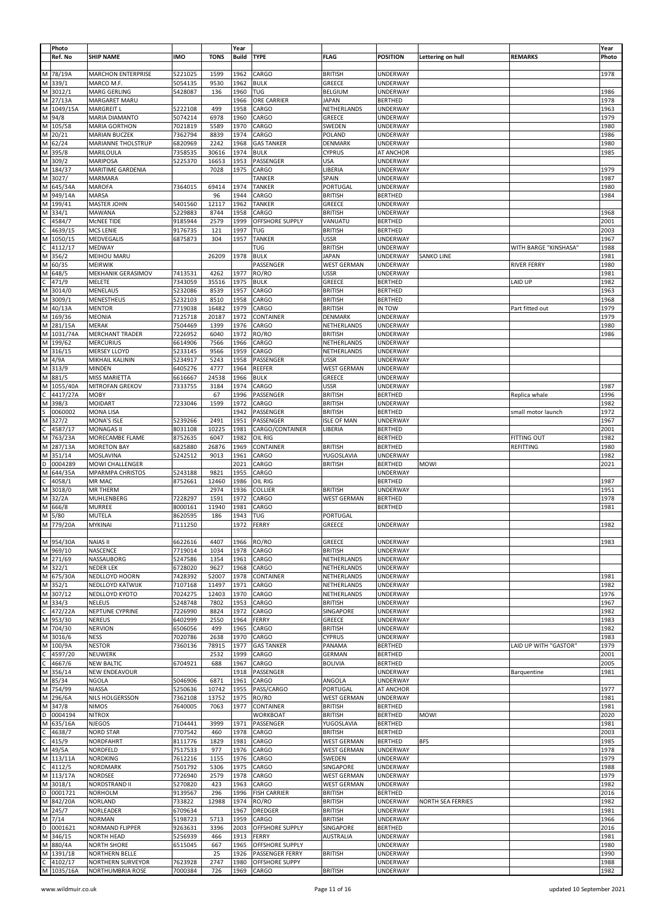|   | Photo      |                           |            |             | Year         |                       |                    |                 |                          |                       | Year  |
|---|------------|---------------------------|------------|-------------|--------------|-----------------------|--------------------|-----------------|--------------------------|-----------------------|-------|
|   | Ref. No    | <b>SHIP NAME</b>          | <b>IMO</b> | <b>TONS</b> | <b>Build</b> | <b>TYPE</b>           | <b>FLAG</b>        | <b>POSITION</b> | Lettering on hull        | <b>REMARKS</b>        | Photo |
|   |            |                           |            |             |              |                       |                    |                 |                          |                       |       |
|   |            |                           |            |             |              |                       |                    |                 |                          |                       |       |
|   | M 78/19A   | <b>MARCHON ENTERPRISE</b> | 5221025    | 1599        | 1962         | CARGO                 | <b>BRITISH</b>     | <b>UNDERWAY</b> |                          |                       | 1978  |
|   | M 339/1    | MARCO M.F.                | 5054135    | 9530        | 1962         | <b>BULK</b>           | GREECE             | UNDERWAY        |                          |                       |       |
|   | M 3012/1   | MARG GERLING              | 5428087    | 136         | 1960         | TUG                   | <b>BELGIUM</b>     | <b>UNDERWAY</b> |                          |                       | 1986  |
|   |            |                           |            |             | 1966         | ORE CARRIER           |                    |                 |                          |                       | 1978  |
|   | M 27/13A   | MARGARET MARU             |            |             |              |                       | <b>JAPAN</b>       | <b>BERTHED</b>  |                          |                       |       |
|   | M 1049/15A | <b>MARGREIT L</b>         | 5222108    | 499         | 1958         | CARGO                 | NETHERLANDS        | <b>UNDERWAY</b> |                          |                       | 1963  |
|   | M 94/8     | MARIA DIAMANTO            | 5074214    | 6978        | 1960         | CARGO                 | GREECE             | UNDERWAY        |                          |                       | 1979  |
|   |            |                           |            |             |              |                       |                    |                 |                          |                       |       |
|   | M 105/58   | <b>MARIA GORTHON</b>      | 7021819    | 5589        | 1970         | CARGO                 | SWEDEN             | <b>UNDERWAY</b> |                          |                       | 1980  |
|   | M 20/21    | <b>MARIAN BUCZEK</b>      | 7362794    | 8839        | 1974         | CARGO                 | POLAND             | UNDERWAY        |                          |                       | 1986  |
|   |            |                           |            |             |              |                       |                    |                 |                          |                       | 1980  |
|   | M 62/24    | MARIANNE THOLSTRUP        | 6820969    | 2242        | 1968         | <b>GAS TANKER</b>     | DENMARK            | <b>UNDERWAY</b> |                          |                       |       |
|   | M 395/8    | MARILOULA                 | 7358535    | 30616       | 1974         | <b>BULK</b>           | <b>CYPRUS</b>      | AT ANCHOR       |                          |                       | 1985  |
|   | M 309/2    | <b>MARIPOSA</b>           | 5225370    | 16653       | 1953         | PASSENGER             | <b>USA</b>         | UNDERWAY        |                          |                       |       |
|   |            |                           |            |             |              |                       |                    |                 |                          |                       |       |
|   | M 184/37   | <b>MARITIME GARDENIA</b>  |            | 7028        | 1975         | CARGO                 | LIBERIA            | <b>UNDERWAY</b> |                          |                       | 1979  |
|   | M 3027/    | MARMARA                   |            |             |              | <b>TANKER</b>         | SPAIN              | UNDERWAY        |                          |                       | 1987  |
|   |            | <b>MAROFA</b>             | 7364015    | 69414       | 1974         | <b>TANKER</b>         | PORTUGAL           |                 |                          |                       | 1980  |
|   | M 645/34A  |                           |            |             |              |                       |                    | <b>UNDERWAY</b> |                          |                       |       |
|   | M 949/14A  | <b>MARSA</b>              |            | 96          | 1944         | CARGO                 | <b>BRITISH</b>     | <b>BERTHED</b>  |                          |                       | 1984  |
|   | M 199/41   | MASTER JOHN               | 5401560    | 12117       | 1962         | <b>TANKER</b>         | GREECE             | UNDERWAY        |                          |                       |       |
|   |            |                           |            |             |              |                       |                    |                 |                          |                       |       |
|   | M 334/1    | MAWANA                    | 5229883    | 8744        | 1958         | CARGO                 | <b>BRITISH</b>     | <b>UNDERWAY</b> |                          |                       | 1968  |
|   | 4584/7     | MCNEE TIDE                | 9185944    | 2579        | 1999         | OFFSHORE SUPPLY       | VANUATU            | <b>BERTHED</b>  |                          |                       | 2001  |
| С | 4639/15    | <b>MCS LENIE</b>          | 9176735    | 121         | 1997         | TUG                   | <b>BRITISH</b>     | <b>BERTHED</b>  |                          |                       | 2003  |
|   |            |                           |            |             |              |                       |                    |                 |                          |                       |       |
|   | M 1050/15  | MEDVEGALIS                | 6875873    | 304         | 1957         | <b>TANKER</b>         | <b>USSR</b>        | UNDERWAY        |                          |                       | 1967  |
|   | 4112/17    | MEDWAY                    |            |             |              | <b>TUG</b>            | <b>BRITISH</b>     | <b>UNDERWAY</b> |                          | WITH BARGE "KINSHASA" | 1988  |
|   | M 356/2    | MEIHOU MARU               |            | 26209       | 1978         | <b>BULK</b>           | <b>JAPAN</b>       | UNDERWAY        | <b>SANKO LINE</b>        |                       | 1981  |
|   |            |                           |            |             |              |                       |                    |                 |                          |                       |       |
|   | M 60/35    | <b>MEIRWIK</b>            |            |             |              | PASSENGER             | <b>WEST GERMAN</b> | <b>UNDERWAY</b> |                          | RIVER FERRY           | 1980  |
|   | M 648/5    | MEKHANIK GERASIMOV        | 7413531    | 4262        | 1977         | RO/RO                 | <b>USSR</b>        | <b>UNDERWAY</b> |                          |                       | 1981  |
| С | 471/9      | MELETE                    | 7343059    | 35516       | 1975         | <b>BULK</b>           | GREECE             | <b>BERTHED</b>  |                          | LAID UP               | 1982  |
|   |            |                           |            |             |              |                       |                    |                 |                          |                       |       |
|   | M 3014/0   | <b>MENELAUS</b>           | 5232086    | 8539        | 1957         | CARGO                 | <b>BRITISH</b>     | <b>BERTHED</b>  |                          |                       | 1963  |
|   | M 3009/1   | MENESTHEUS                | 5232103    | 8510        | 1958         | CARGO                 | <b>BRITISH</b>     | <b>BERTHED</b>  |                          |                       | 1968  |
|   | M 40/13A   | <b>MENTOR</b>             | 7719038    | 16482       | 1979         | CARGO                 | <b>BRITISH</b>     | IN TOW          |                          | Part fitted out       | 1979  |
|   |            |                           |            |             |              |                       |                    |                 |                          |                       |       |
|   | M 169/36   | MEONIA                    | 7125718    | 20187       | 1972         | CONTAINER             | DENMARK            | <b>UNDERWAY</b> |                          |                       | 1979  |
|   | M 281/15A  | <b>MERAK</b>              | 7504469    | 1399        | 1976         | CARGO                 | NETHERLANDS        | UNDERWAY        |                          |                       | 1980  |
|   | M 1031/74A | <b>MERCHANT TRADER</b>    | 7226952    | 6040        | 1972         | RO/RO                 | <b>BRITISH</b>     | UNDERWAY        |                          |                       | 1986  |
|   |            |                           |            |             |              |                       |                    |                 |                          |                       |       |
|   | M 199/62   | <b>MERCURIUS</b>          | 6614906    | 7566        | 1966         | CARGO                 | NETHERLANDS        | <b>UNDERWAY</b> |                          |                       |       |
|   | M 316/15   | <b>MERSEY LLOYD</b>       | 5233145    | 9566        | 1959         | CARGO                 | NETHERLANDS        | UNDERWAY        |                          |                       |       |
|   |            |                           |            |             |              |                       |                    |                 |                          |                       |       |
|   | M 4/9A     | MIKHAIL KALININ           | 5234917    | 5243        | 1958         | PASSENGER             | <b>USSR</b>        | UNDERWAY        |                          |                       |       |
|   | M 313/9    | MINDEN                    | 6405276    | 4777        | 1964         | REEFER                | <b>WEST GERMAN</b> | UNDERWAY        |                          |                       |       |
|   | M 881/5    | <b>MISS MARIETTA</b>      | 6616667    | 24538       | 1966         | <b>BULK</b>           | GREECE             | UNDERWAY        |                          |                       |       |
|   |            |                           |            |             |              |                       |                    |                 |                          |                       |       |
|   | M 1055/40A | MITROFAN GREKOV           | 7333755    | 3184        | 1974         | CARGO                 | <b>USSR</b>        | <b>UNDERWAY</b> |                          |                       | 1987  |
|   | 4417/27A   | <b>MOBY</b>               |            | 67          | 1996         | PASSENGER             | <b>BRITISH</b>     | <b>BERTHED</b>  |                          | Replica whale         | 1996  |
|   | M 398/3    | MOIDART                   | 7233046    | 1599        | 1972         | CARGO                 | <b>BRITISH</b>     | <b>UNDERWAY</b> |                          |                       | 1982  |
|   |            |                           |            |             |              |                       |                    |                 |                          |                       |       |
|   | 0060002    | <b>MONA LISA</b>          |            |             | 1942         | PASSENGER             | <b>BRITISH</b>     | <b>BERTHED</b>  |                          | small motor launch    | 1972  |
|   | M 327/2    | <b>MONA'S ISLE</b>        | 5239266    | 2491        | 1951         | PASSENGER             | <b>ISLE OF MAN</b> | UNDERWAY        |                          |                       | 1967  |
| С | 4587/17    | <b>MONAGAS II</b>         | 8031108    | 10225       | 1981         | CARGO/CONTAINER       | LIBERIA            | <b>BERTHED</b>  |                          |                       | 2001  |
|   |            |                           |            |             |              |                       |                    |                 |                          |                       |       |
|   | M 763/23A  | MORECAMBE FLAME           | 8752635    | 6047        | 1982         | OIL RIG               |                    | <b>BERTHED</b>  |                          | FITTING OUT           | 1982  |
|   | M 287/13A  | <b>MORETON BAY</b>        | 6825880    | 26876       | 1969         | CONTAINER             | <b>BRITISH</b>     | <b>BERTHED</b>  |                          | REFITTING             | 1980  |
|   | M 351/14   | MOSLAVINA                 | 5242512    | 9013        | 1961         | CARGO                 | YUGOSLAVIA         | <b>UNDERWAY</b> |                          |                       | 1982  |
|   |            |                           |            |             |              |                       |                    |                 |                          |                       |       |
| D | 0004289    | MOWI CHALLENGER           |            |             | 2021         | CARGO                 | <b>BRITISH</b>     | <b>BERTHED</b>  | <b>MOWI</b>              |                       | 2021  |
|   | M 644/35A  | <b>MPARMPA CHRISTOS</b>   | 5243188    | 9821        | 1955         | CARGO                 |                    | UNDERWAY        |                          |                       |       |
| C | 4058/1     | MR MAC                    | 8752661    | 12460       | 1986         | OIL RIG               |                    | <b>BERTHED</b>  |                          |                       | 1987  |
|   |            |                           |            |             |              |                       |                    |                 |                          |                       |       |
|   | M 3018/0   | MR THERM                  |            | 2974        | 1936         | COLLIER               | <b>BRITISH</b>     | UNDERWAY        |                          |                       | 1951  |
|   | M 32/2A    | MUHLENBERG                | 7228297    | 1591        | 1972         | CARGO                 | <b>WEST GERMAN</b> | <b>BERTHED</b>  |                          |                       | 1978  |
|   |            |                           |            |             |              |                       |                    |                 |                          |                       |       |
|   | M 666/8    | MURREE                    | 8000161    | 11940       | 1981         | CARGO                 |                    | <b>BERTHED</b>  |                          |                       | 1981  |
|   | M 5/80     | MUTELA                    | 8620595    | 186         | 1943         | TUG                   | PORTUGAL           |                 |                          |                       |       |
|   | M 779/20A  | <b>MYKINAI</b>            | 7111250    |             | 1972         | FERRY                 | GREECE             | <b>UNDERWAY</b> |                          |                       | 1982  |
|   |            |                           |            |             |              |                       |                    |                 |                          |                       |       |
|   |            |                           |            |             |              |                       |                    |                 |                          |                       |       |
|   | M 954/30A  | <b>NAIAS II</b>           | 6622616    | 4407        | 1966         | RO/RO                 | GREECE             | UNDERWAY        |                          |                       | 1983  |
|   | M 969/10   | NASCENCE                  | 7719014    | 1034        | 1978         | CARGO                 | <b>BRITISH</b>     | <b>UNDERWAY</b> |                          |                       |       |
|   |            |                           |            |             |              |                       |                    |                 |                          |                       |       |
|   | M 271/69   | NASSAUBORG                | 5247586    | 1354        | 1961         | CARGO                 | NETHERLANDS        | <b>UNDERWAY</b> |                          |                       |       |
|   | M 322/1    | NEDER LEK                 | 6728020    | 9627        | 1968         | CARGO                 | NETHERLANDS        | <b>UNDERWAY</b> |                          |                       |       |
|   | M 675/30A  | NEDLLOYD HOORN            | 7428392    | 52007       | 1978         | CONTAINER             | NETHERLANDS        | <b>UNDERWAY</b> |                          |                       | 1981  |
|   |            |                           |            |             |              |                       |                    |                 |                          |                       |       |
|   | M 352/1    | NEDLLOYD KATWIJK          | 7107168    | 11497       | 1971         | CARGO                 | NETHERLANDS        | <b>UNDERWAY</b> |                          |                       | 1982  |
|   | M 307/12   | NEDLLOYD KYOTO            | 7024275    | 12403       | 1970         | CARGO                 | NETHERLANDS        | <b>UNDERWAY</b> |                          |                       | 1976  |
|   | M 334/3    | <b>NELEUS</b>             | 5248748    | 7802        | 1953         | CARGO                 | <b>BRITISH</b>     | <b>UNDERWAY</b> |                          |                       | 1967  |
|   |            |                           |            |             |              |                       |                    |                 |                          |                       |       |
| С | 472/22A    | NEPTUNE CYPRINE           | 7226990    | 8824        | 1972         | CARGO                 | SINGAPORE          | <b>UNDERWAY</b> |                          |                       | 1982  |
|   | M 953/30   | <b>NEREUS</b>             | 6402999    | 2550        | 1964         | FERRY                 | GREECE             | <b>UNDERWAY</b> |                          |                       | 1983  |
|   | M 704/30   | <b>NERVION</b>            | 6506056    | 499         | 1965         | CARGO                 | <b>BRITISH</b>     | <b>UNDERWAY</b> |                          |                       | 1982  |
|   |            |                           | 7020786    |             |              |                       |                    |                 |                          |                       |       |
|   | M 3016/6   | <b>NESS</b>               |            | 2638        | 1970         | CARGO                 | <b>CYPRUS</b>      | <b>UNDERWAY</b> |                          |                       | 1983  |
|   | M 100/9A   | <b>NESTOR</b>             | 7360136    | 78915       | 1977         | <b>GAS TANKER</b>     | PANAMA             | <b>BERTHED</b>  |                          | LAID UP WITH "GASTOR" | 1979  |
| Ċ | 4597/20    | NEUWERK                   |            | 2532        | 1999         | CARGO                 | <b>GERMAN</b>      | <b>BERTHED</b>  |                          |                       | 2001  |
|   |            |                           |            |             |              |                       |                    |                 |                          |                       |       |
| C | 4667/6     | <b>NEW BALTIC</b>         | 6704921    | 688         | 1967         | CARGO                 | <b>BOLIVIA</b>     | <b>BERTHED</b>  |                          |                       | 2005  |
|   | M 356/14   | NEW ENDEAVOUR             |            |             | 1918         | PASSENGER             |                    | <b>UNDERWAY</b> |                          | Barquentine           | 1981  |
|   | M 85/34    |                           |            |             |              | CARGO                 |                    |                 |                          |                       |       |
|   |            |                           |            |             |              |                       |                    |                 |                          |                       |       |
|   |            | <b>NGOLA</b>              | 5046906    | 6871        | 1961         |                       | ANGOLA             | <b>UNDERWAY</b> |                          |                       |       |
|   | M 754/99   | <b>NIASSA</b>             | 5250636    | 10742       | 1955         | PASS/CARGO            | PORTUGAL           | AT ANCHOR       |                          |                       | 1977  |
|   | M 296/6A   | NILS HOLGERSSON           | 7362108    | 13752       | 1975         | RO/RO                 | <b>WEST GERMAN</b> | <b>UNDERWAY</b> |                          |                       | 1981  |
|   |            |                           |            |             |              |                       |                    |                 |                          |                       |       |
|   | M 347/8    | <b>NIMOS</b>              | 7640005    | 7063        | 1977         | CONTAINER             | <b>BRITISH</b>     | <b>BERTHED</b>  |                          |                       | 1981  |
|   | D 0004194  | <b>NITROX</b>             |            |             |              | <b>WORKBOAT</b>       | <b>BRITISH</b>     | <b>BERTHED</b>  | <b>MOWI</b>              |                       | 2020  |
|   | M 635/16A  | <b>NJEGOS</b>             | 7104441    | 3999        | 1971         | PASSENGER             | YUGOSLAVIA         | <b>BERTHED</b>  |                          |                       | 1981  |
| C |            |                           |            | 460         | 1978         |                       |                    |                 |                          |                       | 2003  |
|   | 4638/7     | <b>NORD STAR</b>          | 7707542    |             |              | CARGO                 | <b>BRITISH</b>     | <b>BERTHED</b>  |                          |                       |       |
|   | $C$ 415/9  | NORDFAHRT                 | 8111776    | 1829        | 1981         | CARGO                 | <b>WEST GERMAN</b> | <b>BERTHED</b>  | <b>BFS</b>               |                       | 1985  |
|   | M 49/5A    | NORDFELD                  | 7517533    | 977         | 1976         | CARGO                 | <b>WEST GERMAN</b> | <b>UNDERWAY</b> |                          |                       | 1978  |
|   |            |                           |            |             |              |                       |                    |                 |                          |                       |       |
|   | M 113/11A  | <b>NORDKING</b>           | 7612216    | 1155        | 1976         | CARGO                 | SWEDEN             | UNDERWAY        |                          |                       | 1979  |
|   | $C$ 4112/5 | NORDMARK                  | 7501792    | 5306        | 1975         | CARGO                 | SINGAPORE          | <b>UNDERWAY</b> |                          |                       | 1988  |
|   | M 113/17A  | NORDSEE                   | 7726940    | 2579        | 1978         | CARGO                 | <b>WEST GERMAN</b> | <b>UNDERWAY</b> |                          |                       | 1979  |
|   |            |                           |            |             |              |                       |                    |                 |                          |                       |       |
|   | M 3018/1   | NORDSTRAND II             | 5270820    | 423         | 1963         | CARGO                 | <b>WEST GERMAN</b> | <b>UNDERWAY</b> |                          |                       | 1982  |
|   | D 0001721  | <b>NORHOLM</b>            | 9139567    | 296         | 1996         | <b>FISH CARRIER</b>   | <b>BRITISH</b>     | <b>BERTHED</b>  |                          |                       | 2016  |
|   | M 842/20A  | <b>NORLAND</b>            | 733822     | 12988       | 1974         | RO/RO                 | <b>BRITISH</b>     | <b>UNDERWAY</b> | <b>NORTH SEA FERRIES</b> |                       | 1982  |
|   |            |                           |            |             | 1967         |                       |                    |                 |                          |                       |       |
|   | M 245/7    | NORLEADER                 | 6709634    |             |              | DREDGER               | <b>BRITISH</b>     | <b>UNDERWAY</b> |                          |                       | 1981  |
|   | M 7/14     | <b>NORMAN</b>             | 5198723    | 5713        | 1959         | CARGO                 | <b>BRITISH</b>     | <b>UNDERWAY</b> |                          |                       | 1966  |
|   | D 0001621  | NORMAND FLIPPER           | 9263631    | 3396        | 2003         | OFFSHORE SUPPLY       | SINGAPORE          | <b>BERTHED</b>  |                          |                       | 2016  |
|   |            | <b>NORTH HEAD</b>         |            |             | 1913         | FERRY                 | <b>AUSTRALIA</b>   |                 |                          |                       |       |
|   | M 346/15   |                           | 5256939    | 466         |              |                       |                    | <b>UNDERWAY</b> |                          |                       | 1981  |
|   | M 880/4A   | <b>NORTH SHORE</b>        | 6515045    | 667         | 1965         | OFFSHORE SUPPLY       |                    | <b>UNDERWAY</b> |                          |                       | 1980  |
|   | M 1391/18  | NORTHERN BELLE            |            | 25          | 1926         | PASSENGER FERRY       | <b>BRITISH</b>     | <b>UNDERWAY</b> |                          |                       | 1990  |
|   | C 4102/17  | <b>NORTHERN SURVEYOR</b>  | 7623928    | 2747        | 1980         | <b>OFFSHORE SUPPY</b> |                    | <b>UNDERWAY</b> |                          |                       | 1988  |
|   | M 1035/16A | <b>NORTHUMBRIA ROSE</b>   | 7000384    | 726         | 1969         | CARGO                 | <b>BRITISH</b>     | <b>UNDERWAY</b> |                          |                       | 1982  |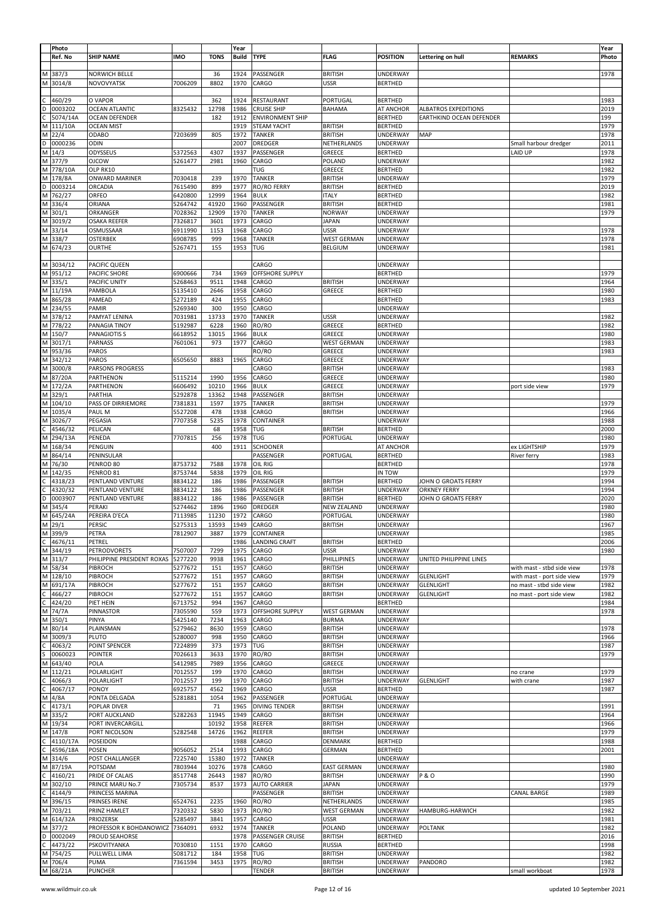|    | Photo<br>Ref. No       | <b>SHIP NAME</b>                        | <b>IMO</b>         | <b>TONS</b>   | Year<br><b>Build</b> | <b>TYPE</b>                                   | <b>FLAG</b>                        | <b>POSITION</b>                    | Lettering on hull                                       | <b>REMARKS</b>                     | Year<br>Photo |
|----|------------------------|-----------------------------------------|--------------------|---------------|----------------------|-----------------------------------------------|------------------------------------|------------------------------------|---------------------------------------------------------|------------------------------------|---------------|
|    | M 387/3                | <b>NORWICH BELLE</b>                    |                    | 36            | 1924                 | PASSENGER                                     | <b>BRITISH</b>                     | UNDERWAY                           |                                                         |                                    | 1978          |
|    | M 3014/8               | <b>NOVOVYATSK</b>                       | 7006209            | 8802          | 1970                 | CARGO                                         | <b>USSR</b>                        | <b>BERTHED</b>                     |                                                         |                                    |               |
|    |                        |                                         |                    |               |                      |                                               |                                    |                                    |                                                         |                                    |               |
|    | 460/29<br>D 0003202    | O VAPOR                                 |                    | 362           | 1924                 | RESTAURANT                                    | PORTUGAL                           | <b>BERTHED</b>                     |                                                         |                                    | 1983          |
| C. | 5074/14A               | <b>OCEAN ATLANTIC</b><br>OCEAN DEFENDER | 8325432            | 12798<br>182  | 1986<br>1912         | <b>CRUISE SHIP</b><br><b>ENVIRONMENT SHIP</b> | <b>BAHAMA</b>                      | AT ANCHOR<br><b>BERTHED</b>        | <b>ALBATROS EXPEDITIONS</b><br>EARTHKIND OCEAN DEFENDER |                                    | 2019<br>199   |
|    | M 111/10A              | <b>OCEAN MIST</b>                       |                    |               | 1919                 | <b>STEAM YACHT</b>                            | <b>BRITISH</b>                     | <b>BERTHED</b>                     |                                                         |                                    | 1979          |
|    | M 22/4                 | ODABO                                   | 7203699            | 805           | 1972                 | TANKER                                        | <b>BRITISH</b>                     | UNDERWAY                           | MAP                                                     |                                    | 1978          |
|    | D 0000236              | ODIN                                    |                    |               | 2007                 | DREDGER                                       | NETHERLANDS                        | UNDERWAY                           |                                                         | Small harbour dredger              | 2011          |
|    | M 14/3                 | ODYSSEUS                                | 5372563            | 4307          | 1937                 | PASSENGER                                     | GREECE                             | <b>BERTHED</b>                     |                                                         | <b>LAID UP</b>                     | 1978          |
|    | M 377/9                | <b>OJCOW</b>                            | 5261477            | 2981          | 1960                 | CARGO                                         | POLAND                             | UNDERWAY                           |                                                         |                                    | 1982          |
|    | M 778/10A              | OLP RK10                                |                    |               |                      | TUG                                           | GREECE                             | <b>BERTHED</b>                     |                                                         |                                    | 1982          |
|    | M 178/8A<br>D 0003214  | ONWARD MARINER<br>ORCADIA               | 7030418<br>7615490 | 239<br>899    | 1970<br>1977         | <b>TANKER</b><br><b>RO/RO FERRY</b>           | <b>BRITISH</b><br><b>BRITISH</b>   | UNDERWAY                           |                                                         |                                    | 1979<br>2019  |
|    | M 762/27               | ORFEO                                   | 6420800            | 12999         | 1964                 | <b>BULK</b>                                   | <b>ITALY</b>                       | <b>BERTHED</b><br><b>BERTHED</b>   |                                                         |                                    | 1982          |
|    | M 336/4                | ORIANA                                  | 5264742            | 41920         | 1960                 | PASSENGER                                     | <b>BRITISH</b>                     | <b>BERTHED</b>                     |                                                         |                                    | 1981          |
|    | M 301/1                | ORKANGER                                | 7028362            | 12909         | 1970                 | <b>TANKER</b>                                 | <b>NORWAY</b>                      | UNDERWAY                           |                                                         |                                    | 1979          |
|    | M 3019/2               | <b>OSAKA REEFER</b>                     | 7326817            | 3601          | 1973                 | CARGO                                         | <b>JAPAN</b>                       | <b>UNDERWAY</b>                    |                                                         |                                    |               |
|    | M 33/14                | OSMUSSAAR                               | 6911990            | 1153          | 1968                 | CARGO                                         | <b>USSR</b>                        | UNDERWAY                           |                                                         |                                    | 1978          |
|    | M 338/7                | OSTERBEK                                | 6908785            | 999           | 1968                 | <b>TANKER</b>                                 | <b>WEST GERMAN</b>                 | UNDERWAY                           |                                                         |                                    | 1978          |
|    | M 674/23               | <b>OURTHE</b>                           | 5267471            | 155           | 1953                 | TUG                                           | <b>BELGIUM</b>                     | UNDERWAY                           |                                                         |                                    | 1981          |
|    |                        |                                         |                    |               |                      |                                               |                                    |                                    |                                                         |                                    |               |
|    | M 3034/12<br>M 951/12  | PACIFIC QUEEN<br>PACIFIC SHORE          | 6900666            | 734           | 1969                 | CARGO<br>OFFSHORE SUPPLY                      |                                    | UNDERWAY<br><b>BERTHED</b>         |                                                         |                                    | 1979          |
|    | M 335/1                | PACIFIC UNITY                           | 5268463            | 9511          | 1948                 | CARGO                                         | <b>BRITISH</b>                     | UNDERWAY                           |                                                         |                                    | 1964          |
|    | M 11/19A               | PAMBOLA                                 | 5135410            | 2646          | 1958                 | CARGO                                         | GREECE                             | <b>BERTHED</b>                     |                                                         |                                    | 1980          |
|    | M 865/28               | PAMEAD                                  | 5272189            | 424           | 1955                 | CARGO                                         |                                    | <b>BERTHED</b>                     |                                                         |                                    | 1983          |
|    | M 234/55               | PAMIR                                   | 5269340            | 300           | 1950                 | CARGO                                         |                                    | UNDERWAY                           |                                                         |                                    |               |
|    | M 378/12               | PAMYAT LENINA                           | 7031981            | 13733         | 1970                 | <b>TANKER</b>                                 | USSR                               | UNDERWAY                           |                                                         |                                    | 1982          |
|    | M 778/22               | PANAGIA TINOY                           | 5192987            | 6228          | 1960                 | RO/RO                                         | GREECE                             | <b>BERTHED</b>                     |                                                         |                                    | 1982          |
|    | M 150/7                | <b>PANAGIOTIS S</b>                     | 6618952            | 13015         | 1966                 | <b>BULK</b>                                   | GREECE                             | UNDERWAY                           |                                                         |                                    | 1980          |
|    | M 3017/1               | <b>PARNASS</b>                          | 7601061            | 973           | 1977                 | CARGO                                         | <b>WEST GERMAN</b>                 | UNDERWAY                           |                                                         |                                    | 1983          |
|    | M 953/36<br>M 342/12   | PAROS<br>PAROS                          | 6505650            | 8883          | 1965                 | RO/RO<br>CARGO                                | GREECE<br>GREECE                   | <b>UNDERWAY</b><br><b>UNDERWAY</b> |                                                         |                                    | 1983          |
|    | M 3000/8               | <b>PARSONS PROGRESS</b>                 |                    |               |                      | CARGO                                         | <b>BRITISH</b>                     | UNDERWAY                           |                                                         |                                    | 1983          |
|    | M 87/20A               | PARTHENON                               | 5115214            | 1990          | 1956                 | CARGO                                         | GREECE                             | UNDERWAY                           |                                                         |                                    | 1980          |
|    | M 172/2A               | PARTHENON                               | 6606492            | 10210         | 1966                 | <b>BULK</b>                                   | GREECE                             | UNDERWAY                           |                                                         | port side view                     | 1979          |
|    | M 329/1                | PARTHIA                                 | 5292878            | 13362         | 1948                 | PASSENGER                                     | BRITISH                            | UNDERWAY                           |                                                         |                                    |               |
|    | M 104/10               | PASS OF DIRRIEMORE                      | 7381831            | 1597          | 1975                 | <b>TANKER</b>                                 | <b>BRITISH</b>                     | UNDERWAY                           |                                                         |                                    | 1979          |
|    | M 1035/4               | PAUL M                                  | 5527208            | 478           | 1938                 | CARGO                                         | <b>BRITISH</b>                     | UNDERWAY                           |                                                         |                                    | 1966          |
|    | M 3026/7               | PEGASIA                                 | 7707358            | 5235          | 1978                 | CONTAINER                                     |                                    | UNDERWAY                           |                                                         |                                    | 1988          |
| С  | 4546/32                | PELICAN                                 |                    | 68            | 1958                 | TUG                                           | <b>BRITISH</b>                     | <b>BERTHED</b>                     |                                                         |                                    | 2000          |
|    | M 294/13A              | PENEDA                                  | 7707815            | 256           | 1978                 | TUG                                           | PORTUGAL                           | UNDERWAY                           |                                                         |                                    | 1980          |
|    | M 168/34<br>M 864/14   | PENGUIN<br>PENINSULAR                   |                    | 400           | 1911                 | <b>SCHOONER</b><br>PASSENGER                  | PORTUGAL                           | AT ANCHOR<br><b>BERTHED</b>        |                                                         | ex LIGHTSHIP<br><b>River ferry</b> | 1979<br>1983  |
|    | M 76/30                | PENROD 80                               | 8753732            | 7588          | 1978                 | OIL RIG                                       |                                    | <b>BERTHED</b>                     |                                                         |                                    | 1978          |
|    | M 142/35               | PENROD 81                               | 8753744            | 5838          | 1979                 | OIL RIG                                       |                                    | IN TOW                             |                                                         |                                    | 1979          |
| C  | 4318/23                | PENTLAND VENTURE                        | 8834122            | 186           | 1986                 | PASSENGER                                     | <b>BRITISH</b>                     | <b>BERTHED</b>                     | JOHN O GROATS FERRY                                     |                                    | 1994          |
| С  | 4320/32                | PENTLAND VENTURE                        | 8834122            | 186           | 1986                 | PASSENGER                                     | <b>BRITISH</b>                     | UNDERWAY                           | <b>ORKNEY FERRY</b>                                     |                                    | 1994          |
| D  | 0003907                | PENTLAND VENTURE                        | 8834122            | 186           | 1986                 | PASSENGER                                     | <b>BRITISH</b>                     | <b>BERTHED</b>                     | JOHN O GROATS FERRY                                     |                                    | 2020          |
|    | M 345/4                | PERAKI                                  | 5274462            | 1896          | 1960                 | DREDGER                                       | <b>NEW ZEALAND</b>                 | UNDERWAY                           |                                                         |                                    | 1980          |
|    | M 645/24A              | PEREIRA D'ECA                           | 7113985            | 11230         | 1972                 | CARGO                                         | PORTUGAL                           | UNDERWAY                           |                                                         |                                    | 1980          |
|    | M 29/1                 | PERSIC                                  | 5275313            | 13593<br>3887 | 1949                 | CARGO                                         | <b>BRITISH</b>                     | UNDERWAY                           |                                                         |                                    | 1967<br>1985  |
|    | M 399/9<br>$C$ 4676/11 | PETRA<br>PETREL                         | 7812907            |               | 1979<br>1986         | CONTAINER<br><b>LANDING CRAFT</b>             | <b>BRITISH</b>                     | UNDERWAY<br><b>BERTHED</b>         |                                                         |                                    | 2006          |
|    | M 344/19               | PETRODVORETS                            | 7507007            | 7299          | 1975                 | CARGO                                         | <b>USSR</b>                        | <b>UNDERWAY</b>                    |                                                         |                                    | 1980          |
|    | M 313/7                | PHILIPPINE PRESIDENT ROXAS              | 5277220            | 9938          | 1961                 | CARGO                                         | PHILLIPINES                        | UNDERWAY                           | UNITED PHILIPPINE LINES                                 |                                    |               |
|    | M 58/34                | PIBROCH                                 | 5277672            | 151           | 1957                 | CARGO                                         | <b>BRITISH</b>                     | UNDERWAY                           |                                                         | with mast - stbd side view         | 1978          |
|    | M 128/10               | PIBROCH                                 | 5277672            | 151           | 1957                 | CARGO                                         | <b>BRITISH</b>                     | <b>UNDERWAY</b>                    | <b>GLENLIGHT</b>                                        | with mast - port side view         | 1979          |
|    | M 691/17A              | PIBROCH                                 | 5277672            | 151           | 1957                 | CARGO                                         | <b>BRITISH</b>                     | UNDERWAY                           | <b>GLENLIGHT</b>                                        | no mast - stbd side view           | 1982          |
|    | $C$ 466/27             | PIBROCH                                 | 5277672            | 151           | 1957                 | CARGO                                         | <b>BRITISH</b>                     | UNDERWAY                           | <b>GLENLIGHT</b>                                        | no mast - port side view           | 1982          |
| C  | 424/20                 | PIET HEIN                               | 6713752            | 994           | 1967                 | CARGO                                         |                                    | <b>BERTHED</b>                     |                                                         |                                    | 1984          |
|    | M 74/7A<br>M 350/1     | PINNASTOR<br>PINYA                      | 7305590<br>5425140 | 559<br>7234   | 1973<br>1963         | <b>OFFSHORE SUPPLY</b><br>CARGO               | <b>WEST GERMAN</b><br><b>BURMA</b> | UNDERWAY<br>UNDERWAY               |                                                         |                                    | 1978          |
|    | M 80/14                | PLAINSMAN                               | 5279462            | 8630          | 1959                 | CARGO                                         | <b>BRITISH</b>                     | UNDERWAY                           |                                                         |                                    | 1978          |
|    | M 3009/3               | PLUTO                                   | 5280007            | 998           | 1950                 | CARGO                                         | <b>BRITISH</b>                     | <b>UNDERWAY</b>                    |                                                         |                                    | 1966          |
| С  | 4063/2                 | POINT SPENCER                           | 7224899            | 373           | 1973                 | TUG                                           | <b>BRITISH</b>                     | UNDERWAY                           |                                                         |                                    | 1987          |
|    | 0060023                | <b>POINTER</b>                          | 7026613            | 3633          | 1970                 | RO/RO                                         | <b>BRITISH</b>                     | UNDERWAY                           |                                                         |                                    | 1979          |
|    | M 643/40               | POLA                                    | 5412985            | 7989          | 1956                 | CARGO                                         | GREECE                             | <b>UNDERWAY</b>                    |                                                         |                                    |               |
|    | M 112/21               | POLARLIGHT                              | 7012557            | 199           | 1970                 | CARGO                                         | <b>BRITISH</b>                     | <b>UNDERWAY</b>                    |                                                         | no crane                           | 1979          |
| C  | 4066/3                 | POLARLIGHT                              | 7012557            | 199           | 1970                 | CARGO                                         | <b>BRITISH</b>                     | <b>UNDERWAY</b>                    | <b>GLENLIGHT</b>                                        | with crane                         | 1987          |
| C  | 4067/17<br>M 4/8A      | PONOY<br>PONTA DELGADA                  | 6925757<br>5281881 | 4562<br>1054  | 1969<br>1962         | CARGO<br>PASSENGER                            | <b>USSR</b><br>PORTUGAL            | <b>BERTHED</b><br><b>UNDERWAY</b>  |                                                         |                                    | 1987          |
| C  | 4173/1                 | POPLAR DIVER                            |                    | 71            | 1965                 | <b>DIVING TENDER</b>                          | <b>BRITISH</b>                     | UNDERWAY                           |                                                         |                                    | 1991          |
|    | M 335/2                | PORT AUCKLAND                           | 5282263            | 11945         | 1949                 | CARGO                                         | <b>BRITISH</b>                     | UNDERWAY                           |                                                         |                                    | 1964          |
|    | M 19/34                | PORT INVERCARGILL                       |                    | 10192         | 1958                 | REEFER                                        | <b>BRITISH</b>                     | <b>UNDERWAY</b>                    |                                                         |                                    | 1966          |
|    | M 147/8                | PORT NICOLSON                           | 5282548            | 14726         | 1962                 | REEFER                                        | <b>BRITISH</b>                     | UNDERWAY                           |                                                         |                                    | 1979          |
| С  | 4110/17A               | POSEIDON                                |                    |               | 1988                 | CARGO                                         | <b>DENMARK</b>                     | <b>BERTHED</b>                     |                                                         |                                    | 1988          |
| C  | 4596/18A               | POSEN                                   | 9056052            | 2514          | 1993                 | CARGO                                         | GERMAN                             | <b>BERTHED</b>                     |                                                         |                                    | 2001          |
|    | M 314/6                | POST CHALLANGER                         | 7225740            | 15380         | 1972                 | <b>TANKER</b>                                 |                                    | UNDERWAY                           |                                                         |                                    |               |
|    | M 87/19A               | POTSDAM                                 | 7803944            | 10276         | 1978                 | CARGO                                         | <b>EAST GERMAN</b>                 | <b>UNDERWAY</b>                    |                                                         |                                    | 1980          |
| C  | 4160/21                | PRIDE OF CALAIS                         | 8517748            | 26443         | 1987                 | RO/RO                                         | <b>BRITISH</b>                     | UNDERWAY                           | <b>P&amp;O</b>                                          |                                    | 1990          |
|    | M 302/10<br>$C$ 4144/9 | PRINCE MARU No.7<br>PRINCESS MARINA     | 7305734            | 8537          | 1973                 | <b>AUTO CARRIER</b><br>PASSENGER              | <b>JAPAN</b><br><b>BRITISH</b>     | <b>UNDERWAY</b><br><b>UNDERWAY</b> |                                                         | <b>CANAL BARGE</b>                 | 1979<br>1989  |
|    | M 396/15               | <b>PRINSES IRENE</b>                    | 6524761            | 2235          | 1960                 | RO/RO                                         | NETHERLANDS                        | UNDERWAY                           |                                                         |                                    | 1985          |
|    | M 703/21               | PRINZ HAMLET                            | 7320332            | 5830          | 1973                 | RO/RO                                         | <b>WEST GERMAN</b>                 | UNDERWAY                           | HAMBURG-HARWICH                                         |                                    | 1982          |
|    | M 614/32A              | PRIOZERSK                               | 5285497            | 3841          | 1957                 | CARGO                                         | <b>USSR</b>                        | <b>UNDERWAY</b>                    |                                                         |                                    | 1981          |
|    | M 377/2                | PROFESSOR K BOHDANOWICZ 7364091         |                    | 6932          | 1974                 | <b>TANKER</b>                                 | POLAND                             | <b>UNDERWAY</b>                    | POLTANK                                                 |                                    | 1982          |
|    | D 0002049              | <b>PROUD SEAHORSE</b>                   |                    |               | 1978                 | PASSENGER CRUISE                              | <b>BRITISH</b>                     | <b>BERTHED</b>                     |                                                         |                                    | 2016          |
| C  | 4473/22                | PSKOVITYANKA                            | 7030810            | 1151          | 1970                 | CARGO                                         | <b>RUSSIA</b>                      | <b>BERTHED</b>                     |                                                         |                                    | 1998          |
|    | M 754/25               | PULLWELL LIMA                           | 5081712            | 184           | 1958                 | TUG                                           | <b>BRITISH</b>                     | UNDERWAY                           |                                                         |                                    | 1982          |
|    | M 706/4<br>M 68/21A    | PUMA<br>PUNCHER                         | 7361594            | 3453          | 1975                 | RO/RO<br>TENDER                               | <b>BRITISH</b><br><b>BRITISH</b>   | <b>UNDERWAY</b><br>UNDERWAY        | PANDORO                                                 | small workboat                     | 1982<br>1978  |
|    |                        |                                         |                    |               |                      |                                               |                                    |                                    |                                                         |                                    |               |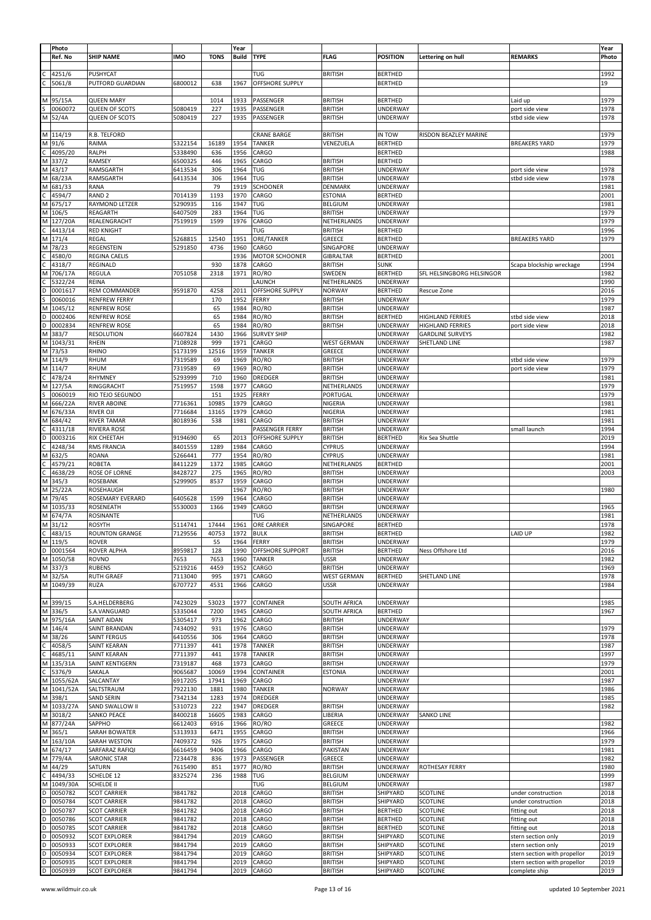|        | Photo<br>Ref. No              | <b>SHIP NAME</b>                               | <b>IMO</b>         | <b>TONS</b>   | Year<br><b>Build</b> | <b>TYPE</b>               | <b>FLAG</b>                      | <b>POSITION</b>             | Lettering on hull                                  | <b>REMARKS</b>                           | Year<br>Photo |
|--------|-------------------------------|------------------------------------------------|--------------------|---------------|----------------------|---------------------------|----------------------------------|-----------------------------|----------------------------------------------------|------------------------------------------|---------------|
|        | 4251/6                        | <b>PUSHYCAT</b>                                |                    |               |                      | TUG                       | BRITISH                          | BERTHED                     |                                                    |                                          | 1992          |
|        | 5061/8                        | PUTFORD GUARDIAN                               | 6800012            | 638           | 1967                 | OFFSHORE SUPPLY           |                                  | <b>BERTHED</b>              |                                                    |                                          | 19            |
|        |                               |                                                |                    |               |                      |                           |                                  |                             |                                                    |                                          |               |
| м      | 95/15A                        | <b>QUEEN MARY</b>                              |                    | 1014          | 1933                 | PASSENGER                 | <b>BRITISH</b>                   | <b>BERTHED</b>              |                                                    | Laid up                                  | 1979          |
|        | 0060072<br>M 52/4A            | <b>QUEEN OF SCOTS</b><br><b>QUEEN OF SCOTS</b> | 5080419<br>5080419 | 227<br>227    | 1935<br>1935         | PASSENGER<br>PASSENGER    | <b>BRITISH</b><br><b>BRITISH</b> | UNDERWAY<br><b>UNDERWAY</b> |                                                    | port side view<br>stbd side view         | 1978<br>1978  |
|        |                               |                                                |                    |               |                      |                           |                                  |                             |                                                    |                                          |               |
|        | M 114/19                      | R.B. TELFORD                                   |                    |               |                      | CRANE BARGE               | <b>BRITISH</b>                   | IN TOW                      | RISDON BEAZLEY MARINE                              |                                          | 1979          |
|        | M 91/6                        | RAIMA                                          | 5322154            | 16189         | 1954                 | <b>TANKER</b>             | VENEZUELA                        | <b>BERTHED</b>              |                                                    | <b>BREAKERS YARD</b>                     | 1979          |
|        | 4095/20                       | RALPH                                          | 5338490            | 636           | 1956                 | CARGO                     |                                  | <b>BERTHED</b>              |                                                    |                                          | 1988          |
| M      | 337/2                         | RAMSEY                                         | 6500325            | 446           | 1965                 | CARGO                     | <b>BRITISH</b>                   | <b>BERTHED</b>              |                                                    |                                          |               |
| M      | 43/17                         | RAMSGARTH                                      | 6413534            | 306           | 1964                 | TUG                       | <b>BRITISH</b>                   | UNDERWAY<br>UNDERWAY        |                                                    | port side view                           | 1978<br>1978  |
| М<br>м | 68/23A<br>681/33              | RAMSGARTH<br>RANA                              | 6413534            | 306<br>79     | 1964<br>1919         | TUG<br><b>SCHOONER</b>    | <b>BRITISH</b><br>DENMARK        | UNDERWAY                    |                                                    | stbd side view                           | 1981          |
|        | 4594/7                        | RAND <sub>2</sub>                              | 7014139            | 1193          | 1970                 | CARGO                     | <b>ESTONIA</b>                   | <b>BERTHED</b>              |                                                    |                                          | 2001          |
| М      | 675/17                        | RAYMOND LETZER                                 | 5290935            | 116           | 1947                 | TUG                       | BELGIUM                          | UNDERWAY                    |                                                    |                                          | 1981          |
| M      | 106/5                         | REAGARTH                                       | 6407509            | 283           | 1964                 | TUG                       | <b>BRITISH</b>                   | UNDERWAY                    |                                                    |                                          | 1979          |
| M      | 127/20A                       | REALENGRACHT                                   | 7519919            | 1599          | 1976                 | CARGO                     | NETHERLANDS                      | UNDERWAY                    |                                                    |                                          | 1979          |
|        | 4413/14                       | <b>RED KNIGHT</b>                              |                    |               |                      | TUG                       | <b>BRITISH</b>                   | <b>BERTHED</b>              |                                                    |                                          | 1996          |
| М      | 171/4<br>78/23                | REGAL                                          | 5268815            | 12540<br>4736 | 1951<br>1960         | ORE/TANKER<br>CARGO       | GREECE<br>SINGAPORE              | <b>BERTHED</b>              |                                                    | <b>BREAKERS YARD</b>                     | 1979          |
|        | 4580/0                        | REGENSTEIN<br><b>REGINA CAELIS</b>             | 5291850            |               | 1936                 | MOTOR SCHOONER            | <b>GIBRALTAR</b>                 | UNDERWAY<br><b>BERTHED</b>  |                                                    |                                          | 2001          |
|        | 4318/7                        | REGINALD                                       |                    | 930           | 1878                 | CARGO                     | <b>BRITISH</b>                   | <b>SUNK</b>                 |                                                    | Scapa blockship wreckage                 | 1994          |
|        | 706/17A                       | REGULA                                         | 7051058            | 2318          | 1971                 | RO/RO                     | SWEDEN                           | <b>BERTHED</b>              | SFL HELSINGBORG HELSINGOR                          |                                          | 1982          |
|        | 5322/24                       | REINA                                          |                    |               |                      | LAUNCH                    | NETHERLANDS                      | UNDERWAY                    |                                                    |                                          | 1990          |
|        | 0001617                       | REM COMMANDER                                  | 9591870            | 4258          | 2011                 | OFFSHORE SUPPLY           | <b>NORWAY</b>                    | <b>BERTHED</b>              | Rescue Zone                                        |                                          | 2016          |
|        | 0060016                       | <b>RENFREW FERRY</b>                           |                    | 170           | 1952                 | FERRY                     | <b>BRITISH</b>                   | UNDERWAY                    |                                                    |                                          | 1979          |
|        | 1045/12                       | <b>RENFREW ROSE</b><br><b>RENFREW ROSE</b>     |                    | 65            | 1984                 | RO/RO                     | <b>BRITISH</b>                   | UNDERWAY                    |                                                    |                                          | 1987          |
| D      | 0002406<br>0002834            | <b>RENFREW ROSE</b>                            |                    | 65<br>65      | 1984<br>1984         | RO/RO<br>RO/RO            | <b>BRITISH</b><br><b>BRITISH</b> | <b>BERTHED</b><br>UNDERWAY  | <b>HIGHLAND FERRIES</b><br><b>HIGHLAND FERRIES</b> | stbd side view<br>port side view         | 2018<br>2018  |
| м      | 383/7                         | <b>RESOLUTION</b>                              | 6607824            | 1430          | 1966                 | <b>SURVEY SHIP</b>        |                                  | UNDERWAY                    | <b>GARDLINE SURVEYS</b>                            |                                          | 1982          |
|        | 1043/31                       | <b>RHEIN</b>                                   | 7108928            | 999           | 1971                 | CARGO                     | <b>WEST GERMAN</b>               | UNDERWAY                    | SHETLAND LINE                                      |                                          | 1987          |
| M      | 73/53                         | RHINO                                          | 5173199            | 12516         | 1959                 | TANKER                    | GREECE                           | UNDERWAY                    |                                                    |                                          |               |
| М      | 114/9                         | RHUM                                           | 7319589            | 69            | 1969                 | RO/RO                     | <b>BRITISH</b>                   | UNDERWAY                    |                                                    | stbd side view                           | 1979          |
| М      | 114/7                         | RHUM                                           | 7319589            | 69            | 1969                 | RO/RO                     | <b>BRITISH</b>                   | UNDERWAY                    |                                                    | port side view                           | 1979          |
|        | 478/24                        | RHYMNEY                                        | 5293999            | 710           | 1960                 | DREDGER                   | <b>BRITISH</b>                   | UNDERWAY                    |                                                    |                                          | 1981          |
| м      | 127/5A<br>0060019             | RINGGRACHT<br>RIO TEJO SEGUNDO                 | 7519957            | 1598<br>151   | 1977<br>1925         | CARGO<br>FERRY            | NETHERLANDS<br>PORTUGAL          | UNDERWAY<br>UNDERWAY        |                                                    |                                          | 1979<br>1979  |
| м      | 666/22A                       | RIVER ABOINE                                   | 7716361            | 10985         | 1979                 | CARGO                     | NIGERIA                          | UNDERWAY                    |                                                    |                                          | 1981          |
|        | 676/33A                       | RIVER OJI                                      | 7716684            | 13165         | 1979                 | CARGO                     | NIGERIA                          | UNDERWAY                    |                                                    |                                          | 1981          |
| M      | 684/42                        | <b>RIVER TAMAR</b>                             | 8018936            | 538           | 1981                 | CARGO                     | BRITISH                          | UNDERWAY                    |                                                    |                                          | 1981          |
|        | 4311/18                       | RIVIERA ROSE                                   |                    |               |                      | PASSENGER FERRY           | <b>BRITISH</b>                   | UNDERWAY                    |                                                    | small launch                             | 1994          |
|        | 0003216                       | RIX CHEETAH                                    | 9194690            | 65            | 2013                 | OFFSHORE SUPPLY           | <b>BRITISH</b>                   | <b>BERTHED</b>              | Rix Sea Shuttle                                    |                                          | 2019          |
|        | 4248/34                       | RMS FRANCIA                                    | 8401559            | 1289          | 1984                 | CARGO                     | <b>CYPRUS</b>                    | UNDERWAY                    |                                                    |                                          | 1994          |
| м      | 632/5                         | ROANA                                          | 5266441            | 777           | 1954                 | RO/RO                     | <b>CYPRUS</b>                    | UNDERWAY                    |                                                    |                                          | 1981          |
|        | 4579/21<br>4638/29            | ROBETA<br>ROSE OF LORNE                        | 8411229<br>8428727 | 1372<br>275   | 1985<br>1965         | CARGO<br>RO/RO            | NETHERLANDS<br>BRITISH           | <b>BERTHED</b><br>UNDERWAY  |                                                    |                                          | 2001<br>2003  |
| М      | 345/3                         | ROSEBANK                                       | 5299905            | 8537          | 1959                 | CARGO                     | <b>BRITISH</b>                   | UNDERWAY                    |                                                    |                                          |               |
| М      | 25/22A                        | ROSEHAUGH                                      |                    |               | 1967                 | RO/RO                     | <b>BRITISH</b>                   | UNDERWAY                    |                                                    |                                          | 1980          |
| м      | 79/45                         | ROSEMARY EVERARD                               | 6405628            | 1599          | 1964                 | CARGO                     | <b>BRITISH</b>                   | UNDERWAY                    |                                                    |                                          |               |
| М      | 1035/33                       | ROSENEATH                                      | 5530003            | 1366          | 1949                 | CARGO                     | <b>BRITISH</b>                   | UNDERWAY                    |                                                    |                                          | 1965          |
| M      | 674/7A                        | ROSINANTE                                      |                    |               |                      | TUG                       | NETHERLANDS                      | UNDERWAY                    |                                                    |                                          | 1981          |
| M      | 31/12                         | <b>ROSYTH</b>                                  | 5114741            | 17444         | 1961                 | ORE CARRIER               | SINGAPORE                        | <b>BERTHED</b>              |                                                    |                                          | 1978          |
|        | 483/15<br>$\frac{C}{M}$ 119/5 | <b>ROUNTON GRANGE</b>                          | 7129556            | 40753         | 1972                 | <b>BULK</b>               | BRITISH                          | <b>BERTHED</b>              |                                                    | LAID UP                                  | 1982          |
| D      | 0001564                       | <b>ROVER</b><br>ROVER ALPHA                    | 8959817            | 55<br>128     | 1964<br>1990         | FERRY<br>OFFSHORE SUPPORT | <b>BRITISH</b><br><b>BRITISH</b> | UNDERWAY<br><b>BERTHED</b>  | Ness Offshore Ltd                                  |                                          | 1979<br>2016  |
| M      | 1050/58                       | ROVNO                                          | 7653               | 7653          | 1960                 | <b>TANKER</b>             | <b>USSR</b>                      | UNDERWAY                    |                                                    |                                          | 1982          |
|        | M 337/3                       | <b>RUBENS</b>                                  | 5219216            | 4459          | 1952                 | CARGO                     | <b>BRITISH</b>                   | <b>UNDERWAY</b>             |                                                    |                                          | 1969          |
|        | M 32/5A                       | <b>RUTH GRAEF</b>                              | 7113040            | 995           | 1971                 | CARGO                     | WEST GERMAN                      | <b>BERTHED</b>              | SHETLAND LINE                                      |                                          | 1978          |
| M      | 1049/39                       | <b>RUZA</b>                                    | 6707727            | 4531          | 1966                 | CARGO                     | <b>USSR</b>                      | UNDERWAY                    |                                                    |                                          | 1984          |
|        |                               |                                                |                    |               |                      |                           |                                  |                             |                                                    |                                          |               |
|        | M 399/15                      | S.A.HELDERBERG                                 | 7423029            | 53023         | 1977                 | CONTAINER                 | SOUTH AFRICA                     | UNDERWAY                    |                                                    |                                          | 1985          |
| M<br>M | 336/5<br>975/16A              | S.A.VANGUARD<br><b>SAINT AIDAN</b>             | 5335044<br>5305417 | 7200<br>973   | 1945<br>1962         | CARGO<br>CARGO            | SOUTH AFRICA<br><b>BRITISH</b>   | <b>BERTHED</b><br>UNDERWAY  |                                                    |                                          | 1967          |
| М      | 146/4                         | SAINT BRANDAN                                  | 7434092            | 931           | 1976                 | CARGO                     | <b>BRITISH</b>                   | UNDERWAY                    |                                                    |                                          | 1979          |
| М      | 38/26                         | SAINT FERGUS                                   | 6410556            | 306           | 1964                 | CARGO                     | <b>BRITISH</b>                   | UNDERWAY                    |                                                    |                                          | 1978          |
|        | 4058/5                        | SAINT KEARAN                                   | 7711397            | 441           | 1978                 | <b>TANKER</b>             | <b>BRITISH</b>                   | UNDERWAY                    |                                                    |                                          | 1987          |
|        | 4685/11                       | SAINT KEARAN                                   | 7711397            | 441           | 1978                 | <b>TANKER</b>             | <b>BRITISH</b>                   | <b>UNDERWAY</b>             |                                                    |                                          | 1997          |
| M      | 135/31A                       | SAINT KENTIGERN                                | 7319187            | 468           | 1973                 | CARGO                     | <b>BRITISH</b>                   | UNDERWAY                    |                                                    |                                          | 1979          |
|        | 5376/9                        | SAKALA                                         | 9065687            | 10069         | 1994                 | CONTAINER                 | <b>ESTONIA</b>                   | UNDERWAY                    |                                                    |                                          | 2001          |
| M<br>M | 1055/62A                      | SALCANTAY                                      | 6917205            | 17941         | 1969<br>1980         | CARGO                     |                                  | UNDERWAY                    |                                                    |                                          | 1987<br>1986  |
| M      | 1041/52A<br>398/1             | SALTSTRAUM<br><b>SAND SERIN</b>                | 7922130<br>7342134 | 1881<br>1283  | 1974                 | <b>TANKER</b><br>DREDGER  | <b>NORWAY</b>                    | <b>UNDERWAY</b><br>UNDERWAY |                                                    |                                          | 1985          |
| M      | 1033/27A                      | SAND SWALLOW II                                | 5310723            | 222           | 1947                 | DREDGER                   | <b>BRITISH</b>                   | UNDERWAY                    |                                                    |                                          | 1982          |
| M      | 3018/2                        | SANKO PEACE                                    | 8400218            | 16605         | 1983                 | CARGO                     | LIBERIA                          | <b>UNDERWAY</b>             | <b>SANKO LINE</b>                                  |                                          |               |
| M      | 877/24A                       | SAPPHO                                         | 6612403            | 6916          | 1966                 | RO/RO                     | GREECE                           | UNDERWAY                    |                                                    |                                          | 1982          |
| М      | 365/1                         | SARAH BOWATER                                  | 5313933            | 6471          | 1955                 | CARGO                     | <b>BRITISH</b>                   | UNDERWAY                    |                                                    |                                          | 1966          |
| М      | 163/10A                       | SARAH WESTON                                   | 7409372            | 926           | 1975                 | CARGO                     | <b>BRITISH</b>                   | UNDERWAY                    |                                                    |                                          | 1979          |
| М      | 674/17                        | SARFARAZ RAFIQI                                | 6616459            | 9406          | 1966                 | CARGO                     | PAKISTAN                         | UNDERWAY                    |                                                    |                                          | 1981          |
|        | M 779/4A                      | SARONIC STAR                                   | 7234478            | 836           | 1973<br>1977         | PASSENGER                 | GREECE                           | UNDERWAY                    |                                                    |                                          | 1982<br>1980  |
| М      | 44/29<br>4494/33              | SATURN<br>SCHELDE 12                           | 7615490<br>8325274 | 851<br>236    | 1988                 | RO/RO<br>TUG              | <b>BRITISH</b><br>BELGIUM        | UNDERWAY<br>UNDERWAY        | ROTHESAY FERRY                                     |                                          | 1999          |
| M      | 1049/30A                      | <b>SCHELDE II</b>                              |                    |               |                      | TUG                       | BELGIUM                          | UNDERWAY                    |                                                    |                                          | 1987          |
| D      | 0050782                       | <b>SCOT CARRIER</b>                            | 9841782            |               | 2018                 | CARGO                     | <b>BRITISH</b>                   | SHIPYARD                    | SCOTLINE                                           | under construction                       | 2018          |
| D      | 0050784                       | <b>SCOT CARRIER</b>                            | 9841782            |               | 2018                 | CARGO                     | <b>BRITISH</b>                   | SHIPYARD                    | SCOTLINE                                           | under construction                       | 2018          |
| D      | 0050787                       | <b>SCOT CARRIER</b>                            | 9841782            |               | 2018                 | CARGO                     | <b>BRITISH</b>                   | <b>BERTHED</b>              | SCOTLINE                                           | fitting out                              | 2018          |
|        | 0050786                       | <b>SCOT CARRIER</b>                            | 9841782            |               | 2018                 | CARGO                     | <b>BRITISH</b>                   | <b>BERTHED</b>              | SCOTLINE                                           | fitting out                              | 2018          |
| D      | 0050785                       | <b>SCOT CARRIER</b>                            | 9841782            |               | 2018                 | CARGO                     | <b>BRITISH</b>                   | <b>BERTHED</b>              | SCOTLINE                                           | fitting out                              | 2018          |
| D<br>D | 0050932<br>0050933            | <b>SCOT EXPLORER</b><br><b>SCOT EXPLORER</b>   | 9841794<br>9841794 |               | 2019<br>2019         | CARGO<br>CARGO            | <b>BRITISH</b><br><b>BRITISH</b> | SHIPYARD<br>SHIPYARD        | SCOTLINE<br><b>SCOTLINE</b>                        | stern section only<br>stern section only | 2019<br>2019  |
| D      | 0050934                       | <b>SCOT EXPLORER</b>                           | 9841794            |               | 2019                 | CARGO                     | <b>BRITISH</b>                   | SHIPYARD                    | SCOTLINE                                           | stern section with propellor             | 2019          |
| D      | 0050935                       | <b>SCOT EXPLORER</b>                           | 9841794            |               | 2019                 | CARGO                     | <b>BRITISH</b>                   | SHIPYARD                    | SCOTLINE                                           | stern section with propellor             | 2019          |
| D      | 0050939                       | <b>SCOT EXPLORER</b>                           | 9841794            |               | 2019                 | CARGO                     | <b>BRITISH</b>                   | SHIPYARD                    | SCOTLINE                                           | complete ship                            | 2019          |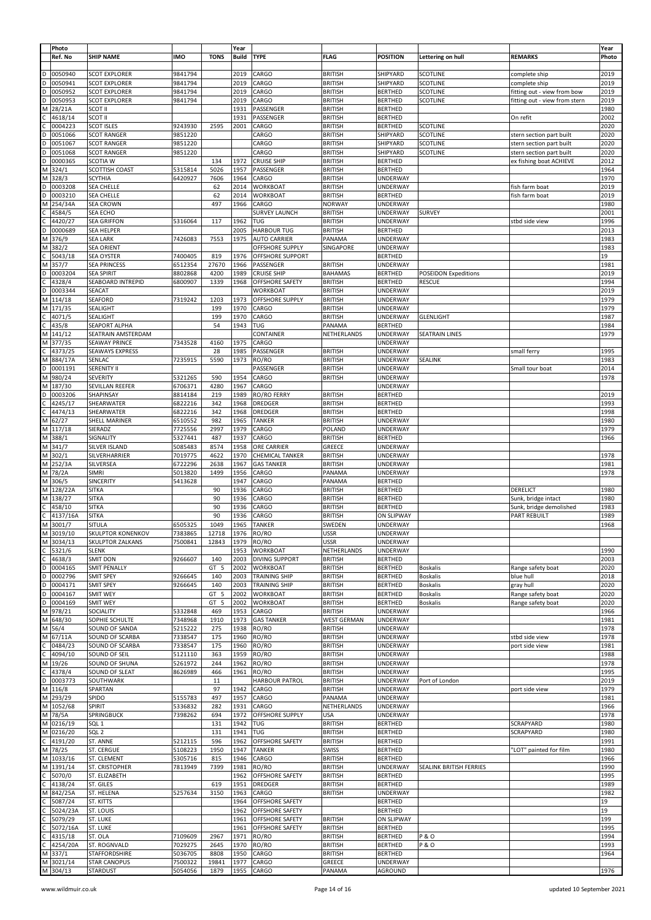|        | Photo<br>Ref. No     | <b>SHIP NAME</b>                             | <b>IMO</b> | <b>TONS</b>     | Year<br><b>Build</b> | <b>TYPE</b>            | <b>FLAG</b>        | <b>POSITION</b>               | Lettering on hull           | <b>REMARKS</b>                | Year<br>Photo |
|--------|----------------------|----------------------------------------------|------------|-----------------|----------------------|------------------------|--------------------|-------------------------------|-----------------------------|-------------------------------|---------------|
|        |                      |                                              |            |                 |                      |                        |                    |                               |                             |                               |               |
| D      | 0050940              | <b>SCOT EXPLORER</b>                         | 9841794    |                 | 2019                 | CARGO                  | <b>BRITISH</b>     | SHIPYARD                      | <b>SCOTLINE</b>             | complete ship                 | 2019          |
| D      | 0050941              | <b>SCOT EXPLORER</b>                         | 9841794    |                 | 2019                 | CARGO                  | <b>BRITISH</b>     | SHIPYARD                      | <b>SCOTLINE</b>             | complete ship                 | 2019          |
| D      | 0050952              | <b>SCOT EXPLORER</b>                         | 9841794    |                 | 2019                 | CARGO                  | <b>BRITISH</b>     | <b>BERTHED</b>                | <b>SCOTLINE</b>             | fitting out - view from bow   | 2019          |
| D      | 0050953              | <b>SCOT EXPLORER</b>                         | 9841794    |                 | 2019                 | CARGO                  | <b>BRITISH</b>     | <b>BERTHED</b>                | <b>SCOTLINE</b>             | fitting out - view from stern | 2019          |
| Μ      | 28/21A               | SCOT II                                      |            |                 | 1931                 | PASSENGER              | <b>BRITISH</b>     | <b>BERTHED</b>                |                             |                               | 1980          |
|        | 4618/14              | <b>SCOT II</b>                               |            |                 | 1931                 | PASSENGER              | <b>BRITISH</b>     | <b>BERTHED</b>                |                             | On refit                      | 2002          |
|        | 0004223              | <b>SCOT ISLES</b>                            | 9243930    | 2595            | 2001                 | CARGO                  | <b>BRITISH</b>     | <b>BERTHED</b>                | <b>SCOTLINE</b>             |                               | 2020          |
| D<br>D | 0051066              | <b>SCOT RANGER</b>                           | 9851220    |                 |                      | CARGO                  | <b>BRITISH</b>     | SHIPYARD                      | SCOTLINE                    | stern section part built      | 2020          |
|        | 0051067              | <b>SCOT RANGER</b>                           | 9851220    |                 |                      | CARGO                  | <b>BRITISH</b>     | SHIPYARD                      | SCOTLINE                    | stern section part built      | 2020          |
| D      | 0051068              | <b>SCOT RANGER</b>                           | 9851220    |                 |                      | CARGO                  | <b>BRITISH</b>     | SHIPYARD                      | <b>SCOTLINE</b>             | stern section part built      | 2020          |
| D      | 0000365              | SCOTIA W                                     |            | 134             | 1972                 | <b>CRUISE SHIP</b>     | <b>BRITISH</b>     | <b>BERTHED</b>                |                             | ex fishing boat ACHIEVE       | 2012          |
|        | $\overline{M}$ 324/1 | SCOTTISH COAST                               | 5315814    | 5026            | 1957                 | PASSENGER              | <b>BRITISH</b>     | <b>BERTHED</b>                |                             |                               | 1964          |
| M      | 328/3                | <b>SCYTHIA</b>                               | 6420927    | 7606            | 1964                 | CARGO                  | <b>BRITISH</b>     | UNDERWAY                      |                             |                               | 1970          |
| D      | 0003208              | <b>SEA CHELLE</b>                            |            | 62              | 2014                 | <b>WORKBOAT</b>        | <b>BRITISH</b>     | <b>UNDERWAY</b>               |                             | fish farm boat                | 2019          |
| D      | 0003210              | SEA CHELLE                                   |            | 62              | 2014                 | <b>WORKBOAT</b>        | <b>BRITISH</b>     | <b>BERTHED</b>                |                             | fish farm boat                | 2019          |
| Μ      | 254/34A              | <b>SEA CROWN</b>                             |            | 497             | 1966                 | CARGO                  | <b>NORWAY</b>      | <b>UNDERWAY</b>               |                             |                               | 1980          |
|        | 4584/5               | SEA ECHO                                     |            |                 |                      | <b>SURVEY LAUNCH</b>   | <b>BRITISH</b>     | <b>UNDERWAY</b>               | <b>SURVEY</b>               |                               | 2001          |
| C      | 4420/27              | <b>SEA GRIFFON</b>                           | 5316064    | 117             | 1962                 | <b>TUG</b>             | <b>BRITISH</b>     | <b>UNDERWAY</b>               |                             | stbd side view                | 1996          |
| D      | 0000689              | SEA HELPER                                   |            |                 | 2005                 | <b>HARBOUR TUG</b>     | <b>BRITISH</b>     | <b>BERTHED</b>                |                             |                               | 2013          |
|        | M 376/9              | <b>SEA LARK</b>                              | 7426083    | 7553            | 1975                 | <b>AUTO CARRIER</b>    | PANAMA             | <b>UNDERWAY</b>               |                             |                               | 1983          |
|        | M 382/2              | <b>SEA ORIENT</b>                            |            |                 |                      | OFFSHORE SUPPLY        | SINGAPORE          | <b>UNDERWAY</b>               |                             |                               | 1983          |
|        | 5043/18              | SEA OYSTER                                   | 7400405    | 819             | 1976                 | OFFSHORE SUPPORT       |                    | <b>BERTHED</b>                |                             |                               | 19            |
|        | M 357/7              | <b>SEA PRINCESS</b>                          | 6512354    | 27670           | 1966                 | PASSENGER              | <b>BRITISH</b>     | UNDERWAY                      |                             |                               | 1981          |
| D      | 0003204              | <b>SEA SPIRIT</b>                            | 8802868    | 4200            | 1989                 | <b>CRUISE SHIP</b>     | <b>BAHAMAS</b>     | <b>BERTHED</b>                | <b>POSEIDON Expeditions</b> |                               | 2019          |
| С      | 4328/4               | SEABOARD INTREPID                            | 6800907    | 1339            | 1968                 | OFFSHORE SAFETY        | <b>BRITISH</b>     | <b>BERTHED</b>                | <b>RESCUE</b>               |                               | 1994          |
| D      | 0003344              | SEACAT                                       |            |                 |                      | WORKBOAT               | <b>BRITISH</b>     | <b>UNDERWAY</b>               |                             |                               | 2019          |
|        | M 114/18             | SEAFORD                                      | 7319242    | 1203            | 1973                 | <b>OFFSHORE SUPPLY</b> | <b>BRITISH</b>     | UNDERWAY                      |                             |                               | 1979          |
|        | M 171/35             | SEALIGHT                                     |            | 199             | 1970                 | CARGO                  | <b>BRITISH</b>     | <b>UNDERWAY</b>               |                             |                               | 1979          |
|        | 4071/5               | SEALIGHT                                     |            | 199             | 1970                 | CARGO                  | <b>BRITISH</b>     | <b>UNDERWAY</b>               | <b>GLENLIGHT</b>            |                               | 1987          |
| C      | 435/8                | SEAPORT ALPHA                                |            | 54              | 1943                 | TUG                    | PANAMA             | <b>BERTHED</b>                |                             |                               | 1984          |
|        | M 141/12             | SEATRAIN AMSTERDAM                           |            |                 |                      | CONTAINER              | NETHERLANDS        | UNDERWAY                      | <b>SEATRAIN LINES</b>       |                               | 1979          |
|        | M 377/35             | <b>SEAWAY PRINCE</b>                         | 7343528    | 4160            | 1975                 | CARGO                  |                    | UNDERWAY                      |                             |                               |               |
| С      | 4373/25              | <b>SEAWAYS EXPRESS</b>                       |            | 28              | 1985                 | PASSENGER              | <b>BRITISH</b>     | UNDERWAY                      |                             | small ferry                   | 1995          |
|        | M 884/17A            | SENLAC                                       | 7235915    | 5590            | 1973                 | RO/RO                  | <b>BRITISH</b>     | <b>UNDERWAY</b>               | SEALINK                     |                               | 1983          |
| D      | 0001191              | <b>SERENITY II</b>                           |            |                 |                      | PASSENGER              | <b>BRITISH</b>     | <b>UNDERWAY</b>               |                             | Small tour boat               | 2014          |
|        | M 980/24             | <b>SEVERITY</b>                              | 5321265    | 590             | 1954                 | CARGO                  | <b>BRITISH</b>     | <b>UNDERWAY</b>               |                             |                               | 1978          |
|        | M 187/30             | SEVILLAN REEFER                              | 6706371    | 4280            | 1967                 | CARGO                  |                    | <b>UNDERWAY</b>               |                             |                               |               |
| D      | 0003206              | SHAPINSAY                                    | 8814184    | 219             | 1989                 | RO/RO FERRY            | <b>BRITISH</b>     | <b>BERTHED</b>                |                             |                               | 2019          |
| С      | 4245/17              | SHEARWATER                                   | 6822216    | 342             | 1968                 | DREDGER                | <b>BRITISH</b>     | <b>BERTHED</b>                |                             |                               | 1993          |
|        | 4474/13              | SHEARWATER                                   | 6822216    | 342             | 1968                 | DREDGER                | <b>BRITISH</b>     | <b>BERTHED</b>                |                             |                               | 1998          |
|        | M 62/27              | SHELL MARINER                                | 6510552    | 982             | 1965                 | <b>TANKER</b>          | <b>BRITISH</b>     | <b>UNDERWAY</b>               |                             |                               | 1980          |
|        | M 117/18             | SIERADZ                                      | 7725556    | 2997            | 1979                 | CARGO                  | POLAND             | <b>UNDERWAY</b>               |                             |                               | 1979          |
|        | M 388/1              | SIGNALITY                                    | 5327441    | 487             | 1937                 | CARGO                  | <b>BRITISH</b>     | <b>BERTHED</b>                |                             |                               | 1966          |
|        | M 341/7              | SILVER ISLAND                                | 5085483    | 8574            | 1958                 | ORE CARRIER            | GREECE             | <b>UNDERWAY</b>               |                             |                               |               |
|        | M 302/1              | SILVERHARRIER                                | 7019775    | 4622            | 1970                 | CHEMICAL TANKER        | <b>BRITISH</b>     | UNDERWAY                      |                             |                               | 1978          |
|        | M 252/3A             | SILVERSEA                                    | 6722296    | 2638            | 1967                 | <b>GAS TANKER</b>      | <b>BRITISH</b>     | UNDERWAY                      |                             |                               | 1981          |
|        | M 78/2A              | <b>SIMRI</b>                                 | 5013820    | 1499            | 1956                 | CARGO                  | PANAMA             | <b>UNDERWAY</b>               |                             |                               | 1978          |
|        | M 306/5              | SINCERITY                                    | 5413628    |                 | 1947                 | CARGO                  | PANAMA             | <b>BERTHED</b>                |                             |                               |               |
|        | M 128/22A            | <b>SITKA</b>                                 |            | 90              | 1936                 | CARGO                  | <b>BRITISH</b>     | <b>BERTHED</b>                |                             | DERELICT                      | 1980          |
|        | M 138/27             | <b>SITKA</b>                                 |            | 90              | 1936                 | CARGO                  | <b>BRITISH</b>     | <b>BERTHED</b>                |                             | Sunk, bridge intact           | 1980          |
|        | 458/10               | <b>SITKA</b>                                 |            | 90              | 1936                 | CARGO                  | <b>BRITISH</b>     | <b>BERTHED</b>                |                             |                               | 1983          |
| Ċ      |                      |                                              |            | 90              |                      |                        |                    |                               |                             | Sunk, bridge demolished       |               |
|        | 4137/16A             | <b>SITKA</b><br>SITULA                       |            |                 | 1936                 | CARGO                  | <b>BRITISH</b>     | <b>ON SLIPWAY</b><br>UNDERWAY |                             | PART REBUILT                  | 1989<br>1968  |
|        | M 3001/7             |                                              | 6505325    | 1049            | 1965                 | <b>TANKER</b>          | SWEDEN             |                               |                             |                               |               |
|        | M 3019/10            | SKULPTOR KONENKOV<br><b>SKULPTOR ZALKANS</b> | 7383865    | 12718           | 1976                 | RO/RO                  | USSR               | UNDERWAY                      |                             |                               |               |
|        | M 3034/13            |                                              | 7500841    | 12843           | 1979                 | RO/RO                  | <b>USSR</b>        | <b>UNDERWAY</b>               |                             |                               |               |
|        | C 5321/6             | <b>SLENK</b>                                 |            |                 | 1953                 | <b>WORKBOAT</b>        | NETHERLANDS        | <b>UNDERWAY</b>               |                             |                               | 1990          |
| C      | 4638/3               | SMIT DON                                     | 9266607    | 140             | 2003                 | <b>DIVING SUPPORT</b>  | <b>BRITISH</b>     | <b>BERTHED</b>                |                             |                               | 2003          |
|        | D 0004165            | <b>SMIT PENALLY</b>                          |            | GT 5            | 2002                 | <b>WORKBOAT</b>        | <b>BRITISH</b>     | <b>BERTHED</b>                | <b>Boskalis</b>             | Range safety boat             | 2020          |
| D      | 0002796              | SMIT SPEY                                    | 9266645    | 140             | 2003                 | <b>TRAINING SHIP</b>   | <b>BRITISH</b>     | <b>BERTHED</b>                | <b>Boskalis</b>             | blue hull                     | 2018          |
| D      | 0004171              | SMIT SPEY                                    | 9266645    | 140             | 2003                 | <b>TRAINING SHIP</b>   | <b>BRITISH</b>     | <b>BERTHED</b>                | <b>Boskalis</b>             | gray hull                     | 2020          |
|        | D 0004167            | SMIT WEY                                     |            | GT 5            | 2002                 | <b>WORKBOAT</b>        | <b>BRITISH</b>     | <b>BERTHED</b>                | <b>Boskalis</b>             | Range safety boat             | 2020          |
|        | D 0004169            | SMIT WEY                                     |            | GT <sub>5</sub> | 2002                 | <b>WORKBOAT</b>        | <b>BRITISH</b>     | <b>BERTHED</b>                | <b>Boskalis</b>             | Range safety boat             | 2020          |
|        | M 978/21             | SOCIALITY                                    | 5332848    | 469             | 1953                 | CARGO                  | <b>BRITISH</b>     | <b>UNDERWAY</b>               |                             |                               | 1966          |
|        | M 648/30             | SOPHIE SCHULTE                               | 7348968    | 1910            | 1973                 | <b>GAS TANKER</b>      | <b>WEST GERMAN</b> | <b>UNDERWAY</b>               |                             |                               | 1981          |
|        | M 56/4               | SOUND OF SANDA                               | 5215222    | 275             | 1938                 | RO/RO                  | <b>BRITISH</b>     | <b>UNDERWAY</b>               |                             |                               | 1978          |
|        | M 67/11A             | SOUND OF SCARBA                              | 7338547    | 175             | 1960                 | RO/RO                  | <b>BRITISH</b>     | <b>UNDERWAY</b>               |                             | stbd side view                | 1978          |
| с      | 0484/23              | SOUND OF SCARBA                              | 7338547    | 175             | 1960                 | RO/RO                  | <b>BRITISH</b>     | <b>UNDERWAY</b>               |                             | port side view                | 1981          |
|        | 4094/10              | SOUND OF SEIL                                | 5121110    | 363             | 1959                 | RO/RO                  | <b>BRITISH</b>     | <b>UNDERWAY</b>               |                             |                               | 1988          |
|        | M 19/26              | SOUND OF SHUNA                               | 5261972    | 244             | 1962                 | RO/RO                  | <b>BRITISH</b>     | <b>UNDERWAY</b>               |                             |                               | 1978          |
| С      | 4378/4               | SOUND OF SLEAT                               | 8626989    | 466             | 1961                 | RO/RO                  | <b>BRITISH</b>     | <b>UNDERWAY</b>               |                             |                               | 1995          |
| D      | 0003773              | SOUTHWARK                                    |            | 11              |                      | <b>HARBOUR PATROL</b>  | <b>BRITISH</b>     | <b>UNDERWAY</b>               | Port of London              |                               | 2019          |
|        | M 116/8              | SPARTAN                                      |            | 97              | 1942                 | CARGO                  | <b>BRITISH</b>     | <b>UNDERWAY</b>               |                             | port side view                | 1979          |
|        | M 293/29             | SPIDO                                        | 5155783    | 497             | 1957                 | CARGO                  | PANAMA             | <b>UNDERWAY</b>               |                             |                               | 1981          |
|        | M 1052/68            | SPIRIT                                       | 5336832    | 282             | 1931                 | CARGO                  | NETHERLANDS        | <b>UNDERWAY</b>               |                             |                               | 1966          |
|        | M 78/5A              | SPRINGBUCK                                   | 7398262    | 694             | 1972                 | <b>OFFSHORE SUPPLY</b> | <b>USA</b>         | <b>UNDERWAY</b>               |                             |                               | 1978          |
|        | M 0216/19            | SQL 1                                        |            | 131             | 1942                 | TUG                    | <b>BRITISH</b>     | <b>BERTHED</b>                |                             | SCRAPYARD                     | 1980          |
|        | M 0216/20            | SQL <sub>2</sub>                             |            | 131             | 1941                 | TUG                    | <b>BRITISH</b>     | <b>BERTHED</b>                |                             | SCRAPYARD                     | 1980          |
|        | C 4191/20            | ST. ANNE                                     | 5212115    | 596             | 1962                 | OFFSHORE SAFETY        | <b>BRITISH</b>     | <b>BERTHED</b>                |                             |                               | 1991          |
|        | M 78/25              | ST. CERGUE                                   | 5108223    | 1950            | 1947                 | <b>TANKER</b>          | SWISS              | <b>BERTHED</b>                |                             | "LOT" painted for film        | 1980          |
|        | M 1033/16            | ST. CLEMENT                                  | 5305716    | 815             | 1946                 | CARGO                  | <b>BRITISH</b>     | <b>BERTHED</b>                |                             |                               | 1966          |
|        | M 1391/14            | ST. CRISTOPHER                               | 7813949    | 7399            | 1981                 | RO/RO                  | <b>BRITISH</b>     | <b>UNDERWAY</b>               | SEALINK BRITISH FERRIES     |                               | 1990          |
| C      | 5070/0               | ST. ELIZABETH                                |            |                 | 1962                 | OFFSHORE SAFETY        | <b>BRITISH</b>     | <b>BERTHED</b>                |                             |                               | 1995          |
|        | $C$ 4138/24          | ST. GILES                                    |            | 619             | 1951                 | DREDGER                | <b>BRITISH</b>     | <b>BERTHED</b>                |                             |                               | 1989          |
|        | M 842/25A            | ST. HELENA                                   | 5257634    | 3150            | 1963                 | CARGO                  | <b>BRITISH</b>     | <b>UNDERWAY</b>               |                             |                               | 1982          |
| С      | 5087/24              | ST. KITTS                                    |            |                 | 1964                 | OFFSHORE SAFETY        |                    | <b>BERTHED</b>                |                             |                               | 19            |
| С      | 5024/23A             | ST. LOUIS                                    |            |                 | 1962                 | OFFSHORE SAFETY        |                    | <b>BERTHED</b>                |                             |                               | 19            |
| C      | 5079/29              | ST. LUKE                                     |            |                 | 1961                 | OFFSHORE SAFETY        | <b>BRITISH</b>     | ON SLIPWAY                    |                             |                               | 199           |
| C      | 5072/16A             | ST. LUKE                                     |            |                 | 1961                 | OFFSHORE SAFETY        | <b>BRITISH</b>     | <b>BERTHED</b>                |                             |                               | 1995          |
| С      | 4315/18              | ST. OLA                                      | 7109609    | 2967            | 1971                 | RO/RO                  | <b>BRITISH</b>     | <b>BERTHED</b>                | <b>P&amp;O</b>              |                               | 1994          |
| C      | 4254/20A             | ST. ROGNVALD                                 | 7029275    | 2645            | 1970                 | RO/RO                  | <b>BRITISH</b>     | <b>BERTHED</b>                | <b>P&amp;O</b>              |                               | 1993          |
|        | M 337/1              | STAFFORDSHIRE                                | 5036705    | 8808            | 1950                 | CARGO                  | <b>BRITISH</b>     | <b>BERTHED</b>                |                             |                               | 1964          |
|        | M 3021/14            | <b>STAR CANOPUS</b>                          | 7500322    | 19841           | 1977                 | CARGO                  | GREECE             | UNDERWAY                      |                             |                               |               |
|        | M 304/13             | STARDUST                                     | 5054056    | 1879            | 1955                 | CARGO                  | PANAMA             | AGROUND                       |                             |                               | 1976          |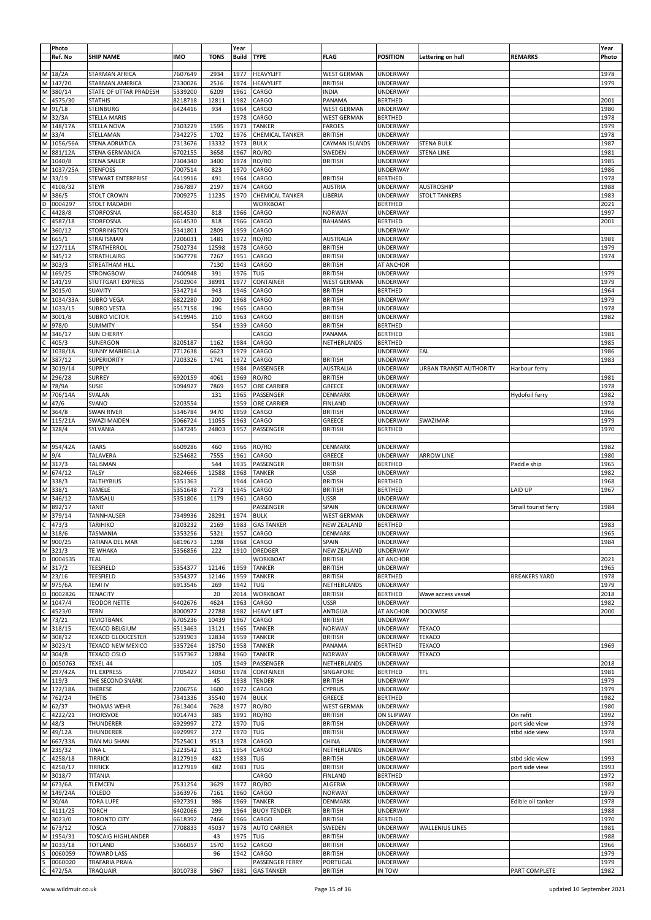|        | Photo<br>Ref. No   | <b>SHIP NAME</b>                              | <b>IMO</b>         | <b>TONS</b>    | Year<br><b>Build</b> | <b>TYPE</b>                          | <b>FLAG</b>                              | <b>POSITION</b>               | Lettering on hull                         | <b>REMARKS</b>             | Year<br>Photo |
|--------|--------------------|-----------------------------------------------|--------------------|----------------|----------------------|--------------------------------------|------------------------------------------|-------------------------------|-------------------------------------------|----------------------------|---------------|
| М      | 18/2A              | STARMAN AFRICA                                | 7607649            | 2934           | 1977                 | <b>HEAVYLIFT</b>                     | <b>WEST GERMAN</b>                       | UNDERWAY                      |                                           |                            | 1978          |
| M      | 147/20             | STARMAN AMERICA                               | 7330026            | 2516           | 1974                 | <b>HEAVYLIFT</b>                     | <b>BRITISH</b>                           | <b>UNDERWAY</b>               |                                           |                            | 1979          |
| M      | 380/14             | STATE OF UTTAR PRADESH                        | 5339200            | 6209           | 1961                 | CARGO                                | <b>INDIA</b>                             | UNDERWAY                      |                                           |                            |               |
|        | 4575/30            | <b>STATHIS</b>                                | 8218718            | 12811          | 1982                 | CARGO                                | PANAMA                                   | <b>BERTHED</b>                |                                           |                            | 2001          |
| M      | 91/18<br>M 32/3A   | <b>STEINBURG</b><br><b>STELLA MARIS</b>       | 6424416            | 934            | 1964<br>1978         | CARGO<br>CARGO                       | <b>WEST GERMAN</b><br><b>WEST GERMAN</b> | UNDERWAY<br><b>BERTHED</b>    |                                           |                            | 1980<br>1978  |
|        | M 148/17A          | <b>STELLA NOVA</b>                            | 7303229            | 1595           | 1973                 | <b>TANKER</b>                        | <b>FAROES</b>                            | UNDERWAY                      |                                           |                            | 1979          |
| M      | 33/4               | STELLAMAN                                     | 7342275            | 1702           | 1976                 | CHEMICAL TANKER                      | <b>BRITISH</b>                           | UNDERWAY                      |                                           |                            | 1978          |
| M      | 1056/56A           | STENA ADRIATICA                               | 7313676            | 13332          | 1973                 | <b>BULK</b>                          | CAYMAN ISLANDS                           | UNDERWAY                      | <b>STENA BULK</b>                         |                            | 1987          |
| М      | 881/12A            | STENA GERMANICA                               | 6702155            | 3658           | 1967                 | RO/RO                                | SWEDEN                                   | UNDERWAY                      | <b>STENA LINE</b>                         |                            | 1981          |
| M      | 1040/8             | <b>STENA SAILER</b>                           | 7304340            | 3400           | 1974                 | RO/RO                                | <b>BRITISH</b>                           | UNDERWAY                      |                                           |                            | 1985          |
| M      | 1037/25A           | <b>STENFOSS</b>                               | 7007514            | 823            | 1970                 | CARGO                                |                                          | UNDERWAY                      |                                           |                            | 1986          |
| М      | 33/19              | STEWART ENTERPRISE                            | 6419916            | 491            | 1964                 | CARGO                                | <b>BRITISH</b>                           | <b>BERTHED</b>                |                                           |                            | 1978          |
| м      | 4108/32<br>386/5   | <b>STEYR</b><br><b>STOLT CROWN</b>            | 7367897<br>7009275 | 2197<br>11235  | 1974<br>1970         | CARGO<br><b>CHEMICAL TANKER</b>      | <b>AUSTRIA</b><br>LIBERIA                | UNDERWAY<br>UNDERWAY          | <b>AUSTROSHIP</b><br><b>STOLT TANKERS</b> |                            | 1988<br>1983  |
|        | 0004297            | <b>STOLT MADADH</b>                           |                    |                |                      | <b>WORKBOAT</b>                      |                                          | <b>BERTHED</b>                |                                           |                            | 2021          |
|        | 4428/8             | STORFOSNA                                     | 6614530            | 818            | 1966                 | CARGO                                | <b>NORWAY</b>                            | UNDERWAY                      |                                           |                            | 1997          |
|        | 4587/18            | STORFOSNA                                     | 6614530            | 818            | 1966                 | CARGO                                | <b>BAHAMAS</b>                           | <b>BERTHED</b>                |                                           |                            | 2001          |
| М      | 360/12             | <b>STORRINGTON</b>                            | 5341801            | 2809           | 1959                 | CARGO                                |                                          | UNDERWAY                      |                                           |                            |               |
| M      | 665/1              | STRAITSMAN                                    | 7206031            | 1481           | 1972                 | RO/RO                                | <b>AUSTRALIA</b>                         | UNDERWAY                      |                                           |                            | 1981          |
| M      | 127/11A            | STRATHERROL                                   | 7502734            | 12598          | 1978                 | CARGO                                | <b>BRITISH</b>                           | UNDERWAY                      |                                           |                            | 1979          |
| M      | 345/12             | STRATHLAIRG                                   | 5067778            | 7267           | 1951                 | CARGO                                | <b>BRITISH</b>                           | UNDERWAY                      |                                           |                            | 1974          |
| M<br>M | 303/3<br>169/25    | STREATHAM HILL<br><b>STRONGBOW</b>            | 7400948            | 7130<br>391    | 1943<br>1976         | CARGO<br>TUG                         | <b>BRITISH</b><br><b>BRITISH</b>         | AT ANCHOR<br>UNDERWAY         |                                           |                            | 1979          |
| M      | 141/19             | STUTTGART EXPRESS                             | 7502904            | 38991          | 1977                 | CONTAINER                            | <b>WEST GERMAN</b>                       | UNDERWAY                      |                                           |                            | 1979          |
| M      | 3015/0             | <b>SUAVITY</b>                                | 5342714            | 943            | 1946                 | CARGO                                | <b>BRITISH</b>                           | <b>BERTHED</b>                |                                           |                            | 1964          |
| M      | 1034/33A           | <b>SUBRO VEGA</b>                             | 6822280            | 200            | 1968                 | CARGO                                | <b>BRITISH</b>                           | UNDERWAY                      |                                           |                            | 1979          |
| М      | 1033/15            | <b>SUBRO VESTA</b>                            | 6517158            | 196            | 1965                 | CARGO                                | <b>BRITISH</b>                           | UNDERWAY                      |                                           |                            | 1978          |
| М      | 3001/8             | <b>SUBRO VICTOR</b>                           | 5419945            | 210            | 1963                 | CARGO                                | <b>BRITISH</b>                           | UNDERWAY                      |                                           |                            | 1982          |
| M      | 978/0              | <b>SUMMITY</b>                                |                    | 554            | 1939                 | CARGO                                | <b>BRITISH</b>                           | <b>BERTHED</b>                |                                           |                            |               |
| M      | 346/17             | <b>SUN CHERRY</b>                             |                    |                |                      | CARGO                                | PANAMA                                   | <b>BERTHED</b>                |                                           |                            | 1981          |
| M      | 405/3<br>1038/1A   | SUNERGON<br><b>SUNNY MARIBELLA</b>            | 8205187<br>7712638 | 1162<br>6623   | 1984<br>1979         | CARGO<br>CARGO                       | NETHERLANDS                              | <b>BERTHED</b><br>UNDERWAY    | EAL                                       |                            | 1985<br>1986  |
| M      | 387/12             | <b>SUPERIORITY</b>                            | 7203326            | 1741           | 1972                 | CARGO                                | <b>BRITISH</b>                           | UNDERWAY                      |                                           |                            | 1983          |
| M      | 3019/14            | <b>SUPPLY</b>                                 |                    |                | 1984                 | PASSENGER                            | <b>AUSTRALIA</b>                         | UNDERWAY                      | URBAN TRANSIT AUTHORITY                   | Harbour ferry              |               |
| M      | 296/28             | <b>SURREY</b>                                 | 6920159            | 4061           | 1969                 | RO/RO                                | <b>BRITISH</b>                           | UNDERWAY                      |                                           |                            | 1981          |
| M      | 78/9A              | SUSIE                                         | 5094927            | 7869           | 1957                 | ORE CARRIER                          | GREECE                                   | UNDERWAY                      |                                           |                            | 1978          |
| Μ      | 706/14A            | <b>SVALAN</b>                                 |                    | 131            | 1965                 | PASSENGER                            | DENMARK                                  | UNDERWAY                      |                                           | Hydofoil ferry             | 1982          |
| M      | 47/6               | SVANO                                         | 5203554            |                | 1959                 | ORE CARRIER                          | <b>FINLAND</b>                           | UNDERWAY                      |                                           |                            | 1978          |
| M      | 364/8              | SWAN RIVER                                    | 5346784            | 9470           | 1959                 | CARGO                                | <b>BRITISH</b>                           | UNDERWAY                      |                                           |                            | 1966          |
| М<br>M | 115/21A<br>328/4   | SWAZI MAIDEN<br>SYLVANIA                      | 5066724<br>5347245 | 11055<br>24803 | 1963<br>1957         | CARGO<br>PASSENGER                   | GREECE<br><b>BRITISH</b>                 | UNDERWAY<br><b>BERTHED</b>    | SWAZIMAR                                  |                            | 1979<br>1970  |
|        |                    |                                               |                    |                |                      |                                      |                                          |                               |                                           |                            |               |
|        | M 954/42A          | <b>TAARS</b>                                  | 6609286            | 460            | 1966                 | RO/RO                                | DENMARK                                  | UNDERWAY                      |                                           |                            | 1982          |
|        | M 9/4              | TALAVERA                                      | 5254682            | 7555           | 1961                 | CARGO                                | GREECE                                   | UNDERWAY                      | <b>ARROW LINE</b>                         |                            | 1980          |
|        | M 317/3            | TALISMAN                                      |                    | 544            | 1935                 | PASSENGER                            | <b>BRITISH</b>                           | <b>BERTHED</b>                |                                           | Paddle ship                | 1965          |
| M      | 674/12             | TALSY                                         | 6824666            | 12588          | 1968                 | <b>TANKER</b>                        | <b>USSR</b>                              | <b>UNDERWAY</b>               |                                           |                            | 1982          |
|        | M 338/3            | <b>TALTHYBIUS</b>                             | 5351363            |                | 1944                 | CARGO                                | <b>BRITISH</b>                           | <b>BERTHED</b>                |                                           |                            | 1968          |
| M<br>M | 338/1<br>346/12    | TAMELE<br>TAMSALU                             | 5351648<br>5351806 | 7173<br>1179   | 1945<br>1961         | CARGO<br>CARGO                       | <b>BRITISH</b><br><b>USSR</b>            | <b>BERTHED</b><br>UNDERWAY    |                                           | LAID UP                    | 1967          |
| M      | 892/17             | <b>TANIT</b>                                  |                    |                |                      | PASSENGER                            | SPAIN                                    | UNDERWAY                      |                                           | Small tourist ferry        | 1984          |
| M      | 379/14             | TANNHAUSER                                    | 7349936            | 28291          | 1974                 | <b>BULK</b>                          | WEST GERMAN                              | UNDERWAY                      |                                           |                            |               |
| C      | 473/3              | <b>TARIHIKO</b>                               | 8203232            | 2169           | 1983                 | <b>GAS TANKER</b>                    | <b>NEW ZEALAND</b>                       | <b>BERTHED</b>                |                                           |                            | 1983          |
| M      | 318/6              | <b>TASMANIA</b>                               | 5353256            | 5321           | 1957                 | CARGO                                | <b>DENMARK</b>                           | UNDERWAY                      |                                           |                            | 1965          |
|        | M 900/25           | TATIANA DEL MAR                               | 6819673            | 1298           | 1968                 | CARGO                                | SPAIN                                    | UNDERWAY                      |                                           |                            | 1984          |
|        | M 321/3            | <b>TE WHAKA</b>                               | 5356856            | 222            | 1910                 | DREDGER                              | <b>NEW ZEALAND</b>                       | UNDERWAY                      |                                           |                            |               |
| D      | 0004535            | TEAL                                          |                    |                |                      | <b>WORKBOAT</b>                      | <b>BRITISH</b>                           | AT ANCHOR                     |                                           |                            | 2021          |
| M      | 317/2<br>M 23/16   | TEESFIELD<br>TEESFIELD                        | 5354377<br>5354377 | 12146<br>12146 | 1959<br>1959         | <b>TANKER</b><br><b>TANKER</b>       | <b>BRITISH</b><br><b>BRITISH</b>         | UNDERWAY<br><b>BERTHED</b>    |                                           | <b>BREAKERS YARD</b>       | 1965<br>1978  |
|        | M 975/6A           | <b>TEMI IV</b>                                | 6913546            | 269            | 1942                 | TUG                                  | NETHERLANDS                              | UNDERWAY                      |                                           |                            | 1979          |
| D      | 0002826            | TENACITY                                      |                    | 20             | 2014                 | <b>WORKBOAT</b>                      | <b>BRITISH</b>                           | <b>BERTHED</b>                | Wave access vessel                        |                            | 2018          |
| M      | 1047/4             | <b>TEODOR NETTE</b>                           | 6402676            | 4624           | 1963                 | CARGO                                | <b>USSR</b>                              | UNDERWAY                      |                                           |                            | 1982          |
|        | 4523/0             | TERN                                          | 8000977            | 22788          | 1982                 | <b>HEAVY LIFT</b>                    | ANTIGUA                                  | AT ANCHOR                     | <b>DOCKWISE</b>                           |                            | 2000          |
| M      | 73/21              | <b>TEVIOTBANK</b>                             | 6705236            | 10439          | 1967                 | CARGO                                | <b>BRITISH</b>                           | UNDERWAY                      |                                           |                            |               |
| M      | 318/15             | <b>TEXACO BELGIUM</b>                         | 6513463            | 13121          | 1965                 | <b>TANKER</b>                        | <b>NORWAY</b>                            | UNDERWAY                      | TEXACO<br><b>TEXACO</b>                   |                            |               |
| M<br>M | 308/12<br>3023/1   | <b>TEXACO GLOUCESTER</b><br>TEXACO NEW MEXICO | 5291903<br>5357264 | 12834<br>18750 | 1959<br>1958         | <b>TANKER</b><br><b>TANKER</b>       | <b>BRITISH</b><br>PANAMA                 | UNDERWAY<br><b>BERTHED</b>    | TEXACO                                    |                            | 1969          |
| M      | 304/8              | TEXACO OSLO                                   | 5357367            | 12884          | 1960                 | TANKER                               | <b>NORWAY</b>                            | UNDERWAY                      | TEXACO                                    |                            |               |
| D      | 0050763            | TEXEL 44                                      |                    | 105            | 1949                 | PASSENGER                            | NETHERLANDS                              | <b>UNDERWAY</b>               |                                           |                            | 2018          |
| M      | 297/42A            | TFL EXPRESS                                   | 7705427            | 14050          | 1978                 | CONTAINER                            | SINGAPORE                                | <b>BERTHED</b>                | TFL                                       |                            | 1981          |
|        | M 119/3            | THE SECOND SNARK                              |                    | 45             | 1938                 | TENDER                               | <b>BRITISH</b>                           | UNDERWAY                      |                                           |                            | 1979          |
| M      | 172/18A            | THERESE                                       | 7206756            | 1600           | 1972                 | CARGO                                | <b>CYPRUS</b>                            | UNDERWAY                      |                                           |                            | 1979          |
|        | M 762/24           | <b>THETIS</b>                                 | 7341336            | 35540          | 1974                 | <b>BULK</b>                          | GREECE                                   | <b>BERTHED</b>                |                                           |                            | 1982          |
| C      | M 62/37            | THOMAS WEHR                                   | 7613404            | 7628           | 1977                 | RO/RO                                | <b>WEST GERMAN</b>                       | UNDERWAY                      |                                           |                            | 1980          |
| M      | 4222/21<br>48/3    | <b>THORSVOE</b><br>THUNDERER                  | 9014743<br>6929997 | 385<br>272     | 1991<br>1970         | RO/RO<br>TUG                         | <b>BRITISH</b><br><b>BRITISH</b>         | ON SLIPWAY<br><b>UNDERWAY</b> |                                           | On refit<br>port side view | 1992<br>1978  |
| M      | 49/12A             | THUNDERER                                     | 6929997            | 272            | 1970                 | TUG                                  | <b>BRITISH</b>                           | UNDERWAY                      |                                           | stbd side view             | 1978          |
| М      | 667/33A            | TIAN MU SHAN                                  | 7525401            | 9513           | 1978                 | CARGO                                | CHINA                                    | UNDERWAY                      |                                           |                            | 1981          |
|        | 235/32             | TINA L                                        | 5223542            | 311            | 1954                 | CARGO                                | NETHERLANDS                              | UNDERWAY                      |                                           |                            |               |
|        | 4258/18            | <b>TIRRICK</b>                                | 8127919            | 482            | 1983                 | TUG                                  | <b>BRITISH</b>                           | UNDERWAY                      |                                           | stbd side view             | 1993          |
|        | 4258/17            | TIRRICK                                       | 8127919            | 482            | 1983                 | TUG                                  | <b>BRITISH</b>                           | UNDERWAY                      |                                           | port side view             | 1993          |
| М      | 3018/7             | TITANIA                                       |                    |                |                      | CARGO                                | <b>FINLAND</b>                           | <b>BERTHED</b>                |                                           |                            | 1972          |
| M      | 673/6A             | <b>TLEMCEN</b><br>TOLEDO                      | 7531254<br>5363976 | 3629<br>7161   | 1977<br>1960         | RO/RO<br>CARGO                       | <b>ALGERIA</b><br><b>NORWAY</b>          | UNDERWAY<br>UNDERWAY          |                                           |                            | 1982<br>1979  |
| М      | M 149/24A<br>30/4A | TORA LUPE                                     | 6927391            | 986            | 1969                 | <b>TANKER</b>                        | DENMARK                                  | UNDERWAY                      |                                           | Edible oil tanker          | 1978          |
|        | 4111/25            | <b>TORCH</b>                                  | 6402066            | 299            | 1964                 | <b>BUOY TENDER</b>                   | <b>BRITISH</b>                           | UNDERWAY                      |                                           |                            | 1988          |
| M      | 3023/0             | <b>TORONTO CITY</b>                           | 6618392            | 7466           | 1966                 | CARGO                                | <b>BRITISH</b>                           | <b>BERTHED</b>                |                                           |                            | 1970          |
| M      | 673/12             | <b>TOSCA</b>                                  | 7708833            | 45037          | 1978                 | <b>AUTO CARRIER</b>                  | SWEDEN                                   | <b>UNDERWAY</b>               | <b>WALLENIUS LINES</b>                    |                            | 1981          |
| M      | 1954/31            | TOSCAIG HIGHLANDER                            |                    | 43             | 1975                 | TUG                                  | <b>BRITISH</b>                           | UNDERWAY                      |                                           |                            | 1988          |
| М      | 1033/18            | TOTLAND                                       | 5366057            | 1570           | 1952                 | CARGO                                | <b>BRITISH</b>                           | UNDERWAY                      |                                           |                            | 1966          |
|        | 0060059            | <b>TOWARD LASS</b>                            |                    | 96             | 1942                 | CARGO                                | <b>BRITISH</b>                           | UNDERWAY                      |                                           |                            | 1979          |
| c      | 0060020<br>472/5A  | TRAFARIA PRAIA<br><b>TRAQUAIR</b>             | 8010738            | 5967           | 1981                 | PASSENGER FERRY<br><b>GAS TANKER</b> | PORTUGAL<br><b>BRITISH</b>               | UNDERWAY<br>IN TOW            |                                           | PART COMPLETE              | 1979<br>1982  |